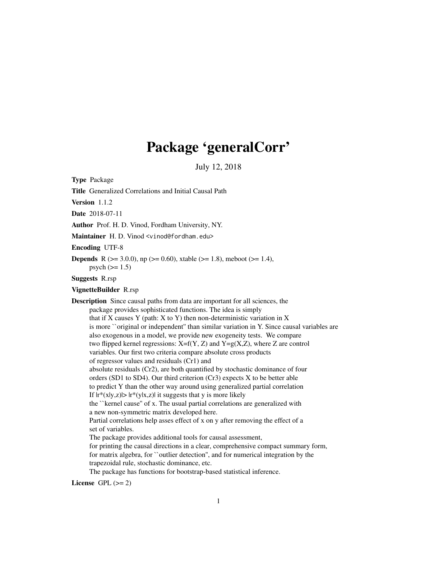# Package 'generalCorr'

July 12, 2018

Type Package

Title Generalized Correlations and Initial Causal Path

Version 1.1.2

Date 2018-07-11

Author Prof. H. D. Vinod, Fordham University, NY.

Maintainer H. D. Vinod <vinod@fordham.edu>

Encoding UTF-8

**Depends** R ( $>= 3.0.0$ ), np ( $>= 0.60$ ), xtable ( $>= 1.8$ ), meboot ( $>= 1.4$ ),  $psych (= 1.5)$ 

Suggests R.rsp

VignetteBuilder R.rsp

Description Since causal paths from data are important for all sciences, the package provides sophisticated functions. The idea is simply that if  $X$  causes  $Y$  (path:  $X$  to  $Y$ ) then non-deterministic variation in  $X$ is more ``original or independent'' than similar variation in Y. Since causal variables are also exogenous in a model, we provide new exogeneity tests. We compare two flipped kernel regressions:  $X=f(Y, Z)$  and  $Y=g(X, Z)$ , where Z are control variables. Our first two criteria compare absolute cross products of regressor values and residuals (Cr1) and absolute residuals (Cr2), are both quantified by stochastic dominance of four orders (SD1 to SD4). Our third criterion (Cr3) expects X to be better able to predict Y than the other way around using generalized partial correlation If  $|r^{*}(x|y,z)| > |r^{*}(y|x,z)|$  it suggests that y is more likely the ``kernel cause'' of x. The usual partial correlations are generalized with a new non-symmetric matrix developed here. Partial correlations help asses effect of x on y after removing the effect of a set of variables. The package provides additional tools for causal assessment, for printing the causal directions in a clear, comprehensive compact summary form, for matrix algebra, for ``outlier detection'', and for numerical integration by the trapezoidal rule, stochastic dominance, etc. The package has functions for bootstrap-based statistical inference.

License GPL  $(>= 2)$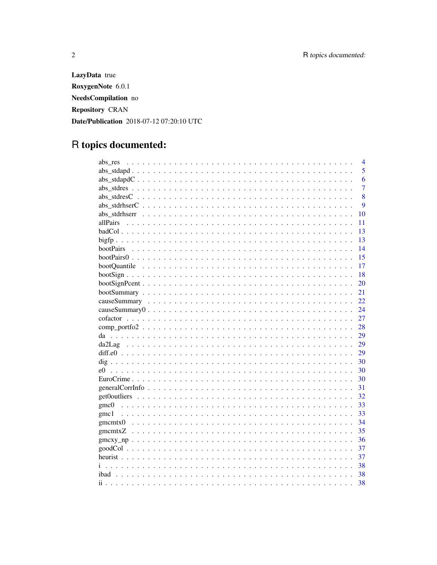LazyData true RoxygenNote 6.0.1 NeedsCompilation no Repository CRAN Date/Publication 2018-07-12 07:20:10 UTC

# R topics documented:

| abs res        | 4              |
|----------------|----------------|
|                | 5              |
|                | 6              |
|                | $\overline{7}$ |
|                | 8              |
|                | 9              |
| abs stdrhserr  | 10             |
|                | 11             |
|                | 13             |
|                | 13             |
| bootPairs      | 14             |
|                | 15             |
|                | 17             |
|                | 18             |
|                | 20             |
|                | 21             |
|                | 22             |
|                | 24             |
|                | 27             |
|                | 28             |
|                | 29             |
|                | 29             |
|                | 29             |
|                | 30             |
| e <sub>0</sub> | 30             |
|                | 30             |
|                | 31             |
|                | 32             |
|                | 33             |
| gmc1           | 33             |
|                | 34             |
|                | 35             |
|                | 36             |
|                | 37             |
|                |                |
|                | 37             |
|                | 38             |
|                | 38             |
| $\mathbf{ii}$  | 38             |

 $\overline{2}$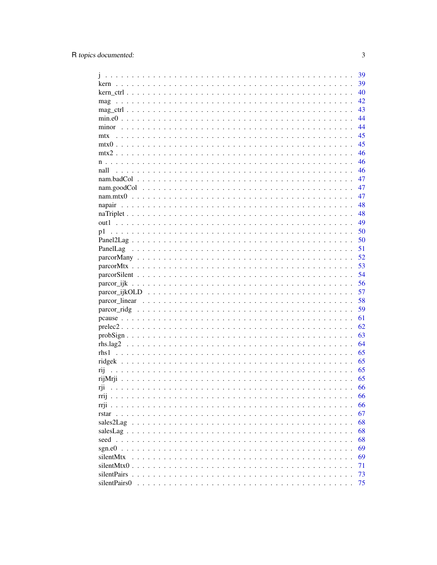|                              | 39 |
|------------------------------|----|
| kern                         | 39 |
|                              | 40 |
| mag                          | 42 |
|                              | 43 |
|                              | 44 |
|                              | 44 |
| mtx                          | 45 |
|                              | 45 |
|                              | 46 |
|                              | 46 |
|                              |    |
| nall                         | 46 |
|                              | 47 |
|                              | 47 |
|                              | 47 |
| napair                       | 48 |
|                              | 48 |
| out1                         | 49 |
| p1                           | 50 |
|                              | 50 |
|                              | 51 |
|                              | 52 |
|                              | 53 |
|                              | 54 |
|                              | 56 |
|                              | 57 |
|                              | 58 |
|                              | 59 |
|                              | 61 |
|                              | 62 |
|                              | 63 |
|                              |    |
|                              | 64 |
|                              | 65 |
|                              | 65 |
| rij                          | 65 |
|                              | 65 |
|                              | 66 |
| rrij                         | 66 |
| $rri$ .<br>.                 | 66 |
| rstar                        | 67 |
| sales2Lag                    | 68 |
| salesLag $\ldots$ .          | 68 |
| seed                         | 68 |
| sgn.e0                       | 69 |
| silentMtx                    | 69 |
| silentMtx0.<br>1.1.1.1.1     | 71 |
| silentPairs<br>$\sim$ $\sim$ | 73 |
| silentPairs0                 | 75 |
|                              |    |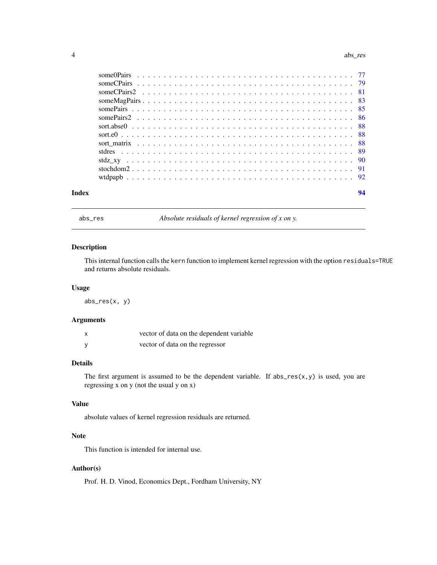#### <span id="page-3-0"></span>4 abs\_res abs\_res abs\_res abs\_res abs\_res abs\_res abs\_res abs\_res abs\_res abs\_res

abs\_res *Absolute residuals of kernel regression of x on y.*

# Description

This internal function calls the kern function to implement kernel regression with the option residuals=TRUE and returns absolute residuals.

#### Usage

abs\_res(x, y)

# Arguments

| vector of data on the dependent variable |
|------------------------------------------|
| vector of data on the regressor          |

# Details

The first argument is assumed to be the dependent variable. If  $abs\_res(x, y)$  is used, you are regressing x on y (not the usual y on x)

### Value

absolute values of kernel regression residuals are returned.

# Note

This function is intended for internal use.

# Author(s)

Prof. H. D. Vinod, Economics Dept., Fordham University, NY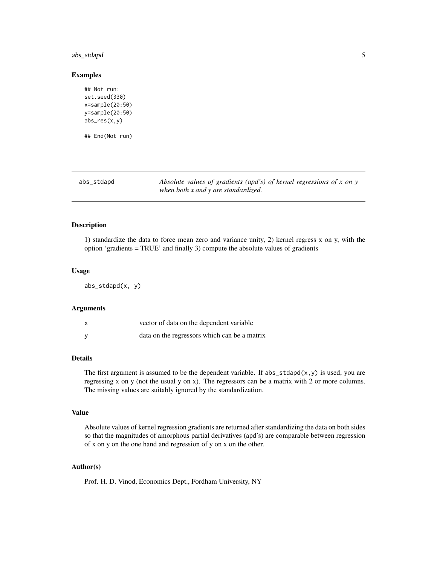# <span id="page-4-0"></span>abs\_stdapd 5

#### Examples

```
## Not run:
set.seed(330)
x=sample(20:50)
y=sample(20:50)
abs_res(x,y)
## End(Not run)
```
<span id="page-4-1"></span>

| abs_stdapd | Absolute values of gradients (apd's) of kernel regressions of $x$ on $y$ |
|------------|--------------------------------------------------------------------------|
|            | when both x and y are standardized.                                      |

#### Description

1) standardize the data to force mean zero and variance unity, 2) kernel regress x on y, with the option 'gradients = TRUE' and finally 3) compute the absolute values of gradients

#### Usage

abs\_stdapd(x, y)

#### Arguments

| vector of data on the dependent variable     |
|----------------------------------------------|
| data on the regressors which can be a matrix |

# Details

The first argument is assumed to be the dependent variable. If  $abs\_stdapd(x,y)$  is used, you are regressing x on y (not the usual y on x). The regressors can be a matrix with 2 or more columns. The missing values are suitably ignored by the standardization.

#### Value

Absolute values of kernel regression gradients are returned after standardizing the data on both sides so that the magnitudes of amorphous partial derivatives (apd's) are comparable between regression of x on y on the one hand and regression of y on x on the other.

# Author(s)

Prof. H. D. Vinod, Economics Dept., Fordham University, NY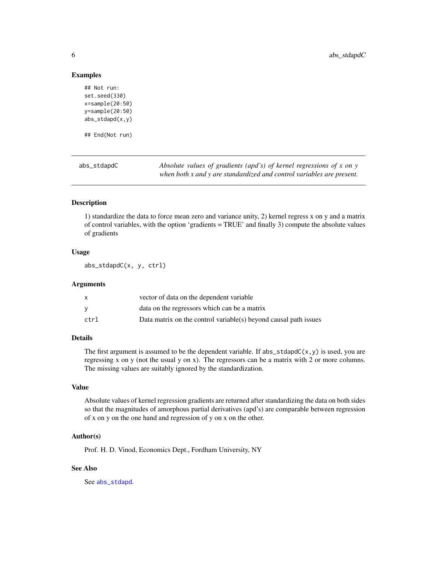#### Examples

```
## Not run:
set.seed(330)
x=sample(20:50)
y=sample(20:50)
abs_stdapd(x,y)
## End(Not run)
```
abs\_stdapdC *Absolute values of gradients (apd's) of kernel regressions of x on y when both x and y are standardized and control variables are present.*

# Description

1) standardize the data to force mean zero and variance unity, 2) kernel regress x on y and a matrix of control variables, with the option 'gradients = TRUE' and finally 3) compute the absolute values of gradients

# Usage

abs\_stdapdC(x, y, ctrl)

#### Arguments

|      | vector of data on the dependent variable                         |
|------|------------------------------------------------------------------|
|      | data on the regressors which can be a matrix                     |
| ctrl | Data matrix on the control variable(s) beyond causal path issues |

# Details

The first argument is assumed to be the dependent variable. If  $abs\_stdapdC(x, y)$  is used, you are regressing x on y (not the usual y on x). The regressors can be a matrix with 2 or more columns. The missing values are suitably ignored by the standardization.

#### Value

Absolute values of kernel regression gradients are returned after standardizing the data on both sides so that the magnitudes of amorphous partial derivatives (apd's) are comparable between regression of x on y on the one hand and regression of y on x on the other.

# Author(s)

Prof. H. D. Vinod, Economics Dept., Fordham University, NY

#### See Also

See [abs\\_stdapd](#page-4-1).

<span id="page-5-0"></span>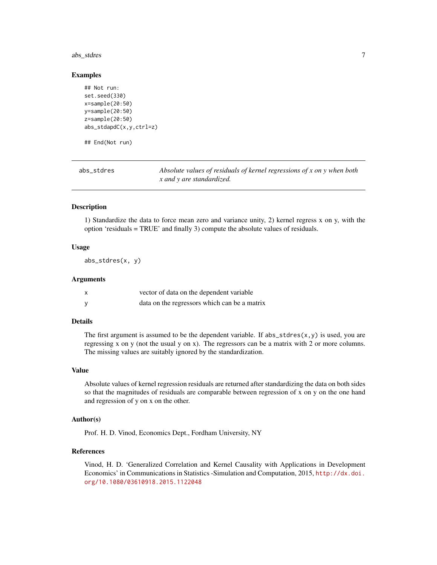#### <span id="page-6-0"></span>abs\_stdres 7

#### Examples

```
## Not run:
set.seed(330)
x=sample(20:50)
y=sample(20:50)
z=sample(20:50)
abs_stdapdC(x,y,ctrl=z)
## End(Not run)
```
<span id="page-6-1"></span>

|  | abs stdres |
|--|------------|
|--|------------|

abs\_stdres *Absolute values of residuals of kernel regressions of x on y when both x and y are standardized.*

# Description

1) Standardize the data to force mean zero and variance unity, 2) kernel regress x on y, with the option 'residuals = TRUE' and finally 3) compute the absolute values of residuals.

# Usage

abs\_stdres(x, y)

# Arguments

| vector of data on the dependent variable     |
|----------------------------------------------|
| data on the regressors which can be a matrix |

# Details

The first argument is assumed to be the dependent variable. If  $abs\_states(x, y)$  is used, you are regressing x on y (not the usual y on x). The regressors can be a matrix with 2 or more columns. The missing values are suitably ignored by the standardization.

#### Value

Absolute values of kernel regression residuals are returned after standardizing the data on both sides so that the magnitudes of residuals are comparable between regression of x on y on the one hand and regression of y on x on the other.

# Author(s)

Prof. H. D. Vinod, Economics Dept., Fordham University, NY

#### References

Vinod, H. D. 'Generalized Correlation and Kernel Causality with Applications in Development Economics' in Communications in Statistics -Simulation and Computation, 2015, [http://dx.doi.](http://dx.doi.org/10.1080/03610918.2015.1122048) [org/10.1080/03610918.2015.1122048](http://dx.doi.org/10.1080/03610918.2015.1122048)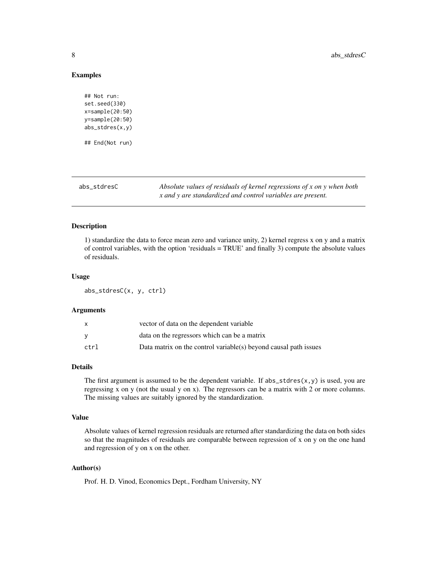#### <span id="page-7-0"></span>Examples

```
## Not run:
set.seed(330)
x=sample(20:50)
y=sample(20:50)
abs_stdres(x,y)
## End(Not run)
```
abs\_stdresC *Absolute values of residuals of kernel regressions of x on y when both x and y are standardized and control variables are present.*

#### Description

1) standardize the data to force mean zero and variance unity, 2) kernel regress x on y and a matrix of control variables, with the option 'residuals = TRUE' and finally 3) compute the absolute values of residuals.

#### Usage

abs\_stdresC(x, y, ctrl)

#### Arguments

| x    | vector of data on the dependent variable                         |
|------|------------------------------------------------------------------|
| v    | data on the regressors which can be a matrix                     |
| ctrl | Data matrix on the control variable(s) beyond causal path issues |

# Details

The first argument is assumed to be the dependent variable. If  $abs\_stdres(x, y)$  is used, you are regressing x on y (not the usual y on x). The regressors can be a matrix with 2 or more columns. The missing values are suitably ignored by the standardization.

# Value

Absolute values of kernel regression residuals are returned after standardizing the data on both sides so that the magnitudes of residuals are comparable between regression of x on y on the one hand and regression of y on x on the other.

# Author(s)

Prof. H. D. Vinod, Economics Dept., Fordham University, NY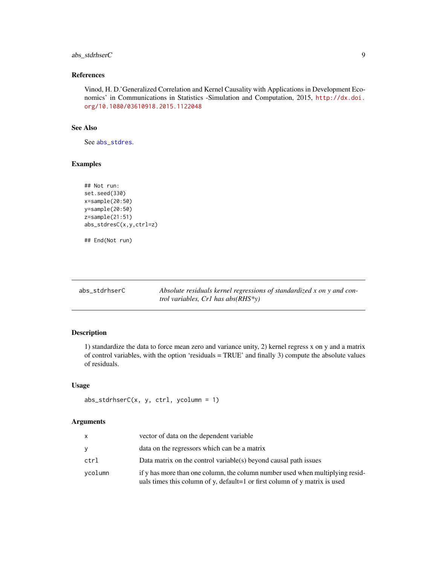# <span id="page-8-0"></span>abs\_stdrhserC 9

# References

Vinod, H. D.'Generalized Correlation and Kernel Causality with Applications in Development Economics' in Communications in Statistics -Simulation and Computation, 2015, [http://dx.doi.](http://dx.doi.org/10.1080/03610918.2015.1122048) [org/10.1080/03610918.2015.1122048](http://dx.doi.org/10.1080/03610918.2015.1122048)

#### See Also

See [abs\\_stdres](#page-6-1).

# Examples

```
## Not run:
set.seed(330)
x=sample(20:50)
y=sample(20:50)
z=sample(21:51)
abs_stdresC(x,y,ctrl=z)
```
## End(Not run)

|  |  |  |  | abs_stdrhserC |  |
|--|--|--|--|---------------|--|
|--|--|--|--|---------------|--|

Absolute residuals kernel regressions of standardized x on y and con*trol variables, Cr1 has abs(RHS\*y)*

#### Description

1) standardize the data to force mean zero and variance unity, 2) kernel regress x on y and a matrix of control variables, with the option 'residuals = TRUE' and finally 3) compute the absolute values of residuals.

#### Usage

```
abs_stdrhserC(x, y, ctrl, ycolumn = 1)
```
### Arguments

| x       | vector of data on the dependent variable                                                                                                                    |
|---------|-------------------------------------------------------------------------------------------------------------------------------------------------------------|
|         | data on the regressors which can be a matrix                                                                                                                |
| ctrl    | Data matrix on the control variable(s) beyond causal path issues                                                                                            |
| vcolumn | if y has more than one column, the column number used when multiplying resid-<br>uals times this column of y, default=1 or first column of y matrix is used |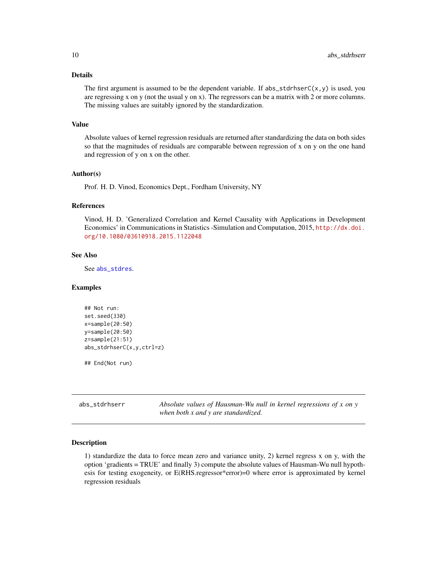# <span id="page-9-0"></span>Details

The first argument is assumed to be the dependent variable. If  $abs\_stdrhserC(x, y)$  is used, you are regressing x on y (not the usual y on x). The regressors can be a matrix with 2 or more columns. The missing values are suitably ignored by the standardization.

#### Value

Absolute values of kernel regression residuals are returned after standardizing the data on both sides so that the magnitudes of residuals are comparable between regression of x on y on the one hand and regression of y on x on the other.

#### Author(s)

Prof. H. D. Vinod, Economics Dept., Fordham University, NY

# References

Vinod, H. D. 'Generalized Correlation and Kernel Causality with Applications in Development Economics' in Communications in Statistics -Simulation and Computation, 2015, [http://dx.doi.](http://dx.doi.org/10.1080/03610918.2015.1122048) [org/10.1080/03610918.2015.1122048](http://dx.doi.org/10.1080/03610918.2015.1122048)

# See Also

See [abs\\_stdres](#page-6-1).

#### Examples

```
## Not run:
set.seed(330)
x=sample(20:50)
y=sample(20:50)
z=sample(21:51)
abs_stdrhserC(x,y,ctrl=z)
```
## End(Not run)

| abs_stdrhserr | Absolute values of Hausman-Wu null in kernel regressions of $x$ on $y$ |
|---------------|------------------------------------------------------------------------|
|               | when both x and y are standardized.                                    |

#### Description

1) standardize the data to force mean zero and variance unity, 2) kernel regress x on y, with the option 'gradients = TRUE' and finally 3) compute the absolute values of Hausman-Wu null hypothesis for testing exogeneity, or E(RHS.regressor\*error)=0 where error is approximated by kernel regression residuals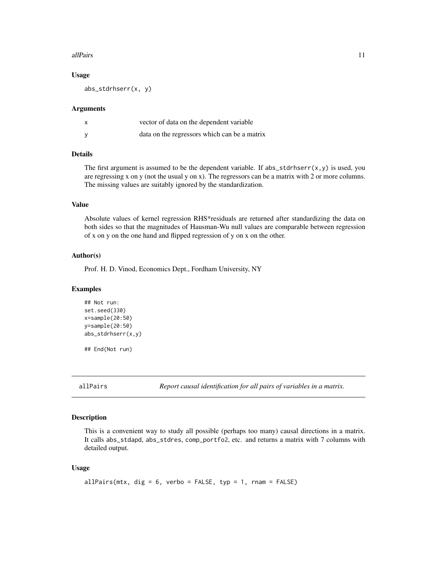#### <span id="page-10-0"></span>allPairs and the contract of the contract of the contract of the contract of the contract of the contract of the contract of the contract of the contract of the contract of the contract of the contract of the contract of t

#### Usage

abs\_stdrhserr(x, y)

#### Arguments

| vector of data on the dependent variable     |
|----------------------------------------------|
| data on the regressors which can be a matrix |

# Details

The first argument is assumed to be the dependent variable. If abs\_stdrhserr(x,y) is used, you are regressing x on y (not the usual y on x). The regressors can be a matrix with 2 or more columns. The missing values are suitably ignored by the standardization.

#### Value

Absolute values of kernel regression RHS\*residuals are returned after standardizing the data on both sides so that the magnitudes of Hausman-Wu null values are comparable between regression of x on y on the one hand and flipped regression of y on x on the other.

#### Author(s)

Prof. H. D. Vinod, Economics Dept., Fordham University, NY

#### Examples

```
## Not run:
set.seed(330)
x=sample(20:50)
y=sample(20:50)
abs_stdrhserr(x,y)
```
## End(Not run)

allPairs *Report causal identification for all pairs of variables in a matrix.*

#### Description

This is a convenient way to study all possible (perhaps too many) causal directions in a matrix. It calls abs\_stdapd, abs\_stdres, comp\_portfo2, etc. and returns a matrix with 7 columns with detailed output.

#### Usage

```
allPairs(mtx, dig = 6, verbo = FALSE, typ = 1, rnam = FALSE)
```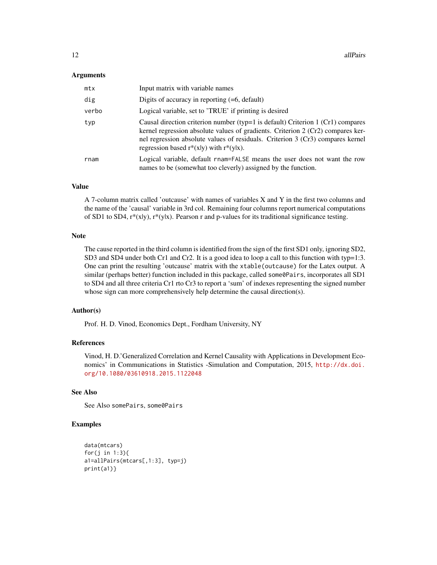#### **Arguments**

| mtx   | Input matrix with variable names                                                                                                                                                                                                                                                                      |
|-------|-------------------------------------------------------------------------------------------------------------------------------------------------------------------------------------------------------------------------------------------------------------------------------------------------------|
| dig   | Digits of accuracy in reporting $(=6,$ default)                                                                                                                                                                                                                                                       |
| verbo | Logical variable, set to 'TRUE' if printing is desired                                                                                                                                                                                                                                                |
| typ   | Causal direction criterion number (typ=1 is default) Criterion 1 (Cr1) compares<br>kernel regression absolute values of gradients. Criterion 2 (Cr2) compares ker-<br>nel regression absolute values of residuals. Criterion 3 (Cr3) compares kernel<br>regression based $r^*(x y)$ with $r^*(y x)$ . |
| rnam  | Logical variable, default rnam=FALSE means the user does not want the row<br>names to be (somewhat too cleverly) assigned by the function.                                                                                                                                                            |

#### Value

A 7-column matrix called 'outcause' with names of variables X and Y in the first two columns and the name of the 'causal' variable in 3rd col. Remaining four columns report numerical computations of SD1 to SD4,  $r^*(x|y)$ ,  $r^*(y|x)$ . Pearson r and p-values for its traditional significance testing.

# Note

The cause reported in the third column is identified from the sign of the first SD1 only, ignoring SD2, SD3 and SD4 under both Cr1 and Cr2. It is a good idea to loop a call to this function with typ=1:3. One can print the resulting 'outcause' matrix with the xtable(outcause) for the Latex output. A similar (perhaps better) function included in this package, called some @Pairs, incorporates all SD1 to SD4 and all three criteria Cr1 rto Cr3 to report a 'sum' of indexes representing the signed number whose sign can more comprehensively help determine the causal direction(s).

#### Author(s)

Prof. H. D. Vinod, Economics Dept., Fordham University, NY

#### References

Vinod, H. D.'Generalized Correlation and Kernel Causality with Applications in Development Economics' in Communications in Statistics -Simulation and Computation, 2015, [http://dx.doi.](http://dx.doi.org/10.1080/03610918.2015.1122048) [org/10.1080/03610918.2015.1122048](http://dx.doi.org/10.1080/03610918.2015.1122048)

# See Also

See Also somePairs, some0Pairs

# Examples

```
data(mtcars)
for(j in 1:3){
a1=allPairs(mtcars[,1:3], typ=j)
print(a1)}
```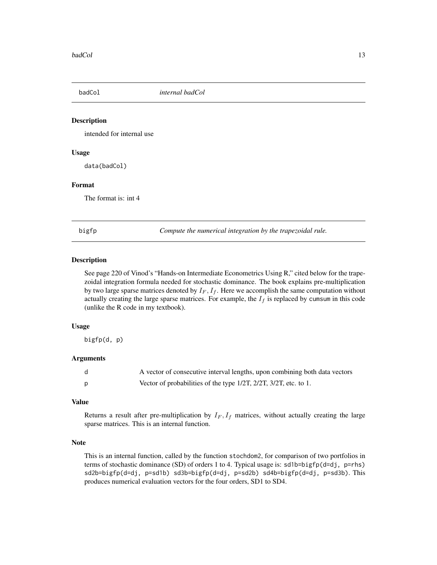<span id="page-12-0"></span>

#### Description

intended for internal use

#### Usage

data(badCol)

# Format

The format is: int 4

bigfp *Compute the numerical integration by the trapezoidal rule.*

#### Description

See page 220 of Vinod's "Hands-on Intermediate Econometrics Using R," cited below for the trapezoidal integration formula needed for stochastic dominance. The book explains pre-multiplication by two large sparse matrices denoted by  $I_F$ ,  $I_f$ . Here we accomplish the same computation without actually creating the large sparse matrices. For example, the  $I_f$  is replaced by cumsum in this code (unlike the R code in my textbook).

#### Usage

bigfp(d, p)

#### **Arguments**

| A vector of consecutive interval lengths, upon combining both data vectors |
|----------------------------------------------------------------------------|
| Vector of probabilities of the type 1/2T, 2/2T, 3/2T, etc. to 1.           |

#### Value

Returns a result after pre-multiplication by  $I_F$ ,  $I_f$  matrices, without actually creating the large sparse matrices. This is an internal function.

#### Note

This is an internal function, called by the function stochdom2, for comparison of two portfolios in terms of stochastic dominance (SD) of orders 1 to 4. Typical usage is: sd1b=bigfp(d=dj, p=rhs) sd2b=bigfp(d=dj, p=sd1b) sd3b=bigfp(d=dj, p=sd2b) sd4b=bigfp(d=dj, p=sd3b). This produces numerical evaluation vectors for the four orders, SD1 to SD4.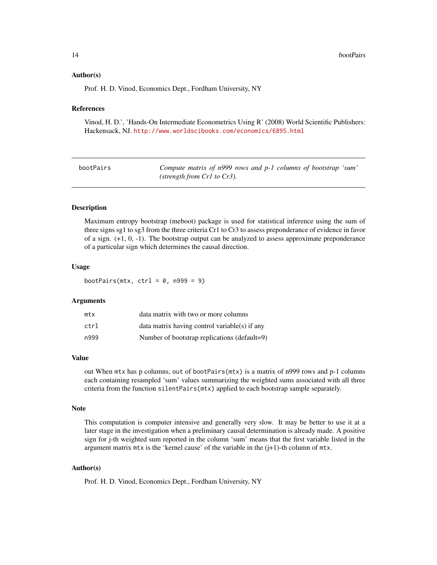#### <span id="page-13-0"></span>Author(s)

Prof. H. D. Vinod, Economics Dept., Fordham University, NY

# References

Vinod, H. D.', 'Hands-On Intermediate Econometrics Using R' (2008) World Scientific Publishers: Hackensack, NJ. <http://www.worldscibooks.com/economics/6895.html>

<span id="page-13-1"></span>

| bootPairs | Compute matrix of n999 rows and p-1 columns of bootstrap 'sum' |
|-----------|----------------------------------------------------------------|
|           | (strength from $Cr1$ to $Cr3$ ).                               |

# **Description**

Maximum entropy bootstrap (meboot) package is used for statistical inference using the sum of three signs sg1 to sg3 from the three criteria Cr1 to Cr3 to assess preponderance of evidence in favor of a sign. (+1, 0, -1). The bootstrap output can be analyzed to assess approximate preponderance of a particular sign which determines the causal direction.

#### Usage

bootPairs(mtx,  $ctrl = 0$ ,  $n999 = 9$ )

#### Arguments

| mtx  | data matrix with two or more columns          |
|------|-----------------------------------------------|
| ctrl | data matrix having control variable(s) if any |
| n999 | Number of bootstrap replications (default=9)  |

#### Value

out When mtx has p columns, out of bootPairs(mtx) is a matrix of n999 rows and p-1 columns each containing resampled 'sum' values summarizing the weighted sums associated with all three criteria from the function silentPairs(mtx) applied to each bootstrap sample separately.

#### Note

This computation is computer intensive and generally very slow. It may be better to use it at a later stage in the investigation when a preliminary causal determination is already made. A positive sign for j-th weighted sum reported in the column 'sum' means that the first variable listed in the argument matrix  $mtx$  is the 'kernel cause' of the variable in the  $(i+1)$ -th column of  $mtx$ .

#### Author(s)

Prof. H. D. Vinod, Economics Dept., Fordham University, NY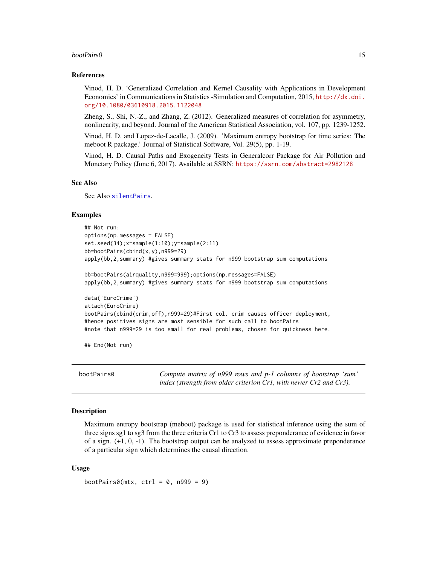#### <span id="page-14-0"></span>bootPairs0 15

#### References

Vinod, H. D. 'Generalized Correlation and Kernel Causality with Applications in Development Economics' in Communications in Statistics -Simulation and Computation, 2015, [http://dx.doi.](http://dx.doi.org/10.1080/03610918.2015.1122048) [org/10.1080/03610918.2015.1122048](http://dx.doi.org/10.1080/03610918.2015.1122048)

Zheng, S., Shi, N.-Z., and Zhang, Z. (2012). Generalized measures of correlation for asymmetry, nonlinearity, and beyond. Journal of the American Statistical Association, vol. 107, pp. 1239-1252.

Vinod, H. D. and Lopez-de-Lacalle, J. (2009). 'Maximum entropy bootstrap for time series: The meboot R package.' Journal of Statistical Software, Vol. 29(5), pp. 1-19.

Vinod, H. D. Causal Paths and Exogeneity Tests in Generalcorr Package for Air Pollution and Monetary Policy (June 6, 2017). Available at SSRN: <https://ssrn.com/abstract=2982128>

#### See Also

See Also [silentPairs](#page-72-1).

#### Examples

```
## Not run:
options(np.messages = FALSE)
set.seed(34);x=sample(1:10);y=sample(2:11)
bb=bootPairs(cbind(x,y),n999=29)
apply(bb,2,summary) #gives summary stats for n999 bootstrap sum computations
bb=bootPairs(airquality,n999=999);options(np.messages=FALSE)
apply(bb,2,summary) #gives summary stats for n999 bootstrap sum computations
data('EuroCrime')
attach(EuroCrime)
bootPairs(cbind(crim,off),n999=29)#First col. crim causes officer deployment,
#hence positives signs are most sensible for such call to bootPairs
#note that n999=29 is too small for real problems, chosen for quickness here.
```
## End(Not run)

bootPairs0 *Compute matrix of n999 rows and p-1 columns of bootstrap 'sum' index (strength from older criterion Cr1, with newer Cr2 and Cr3).*

#### **Description**

Maximum entropy bootstrap (meboot) package is used for statistical inference using the sum of three signs sg1 to sg3 from the three criteria Cr1 to Cr3 to assess preponderance of evidence in favor of a sign. (+1, 0, -1). The bootstrap output can be analyzed to assess approximate preponderance of a particular sign which determines the causal direction.

#### Usage

```
bootPairs0(mx, ctrl = 0, n999 = 9)
```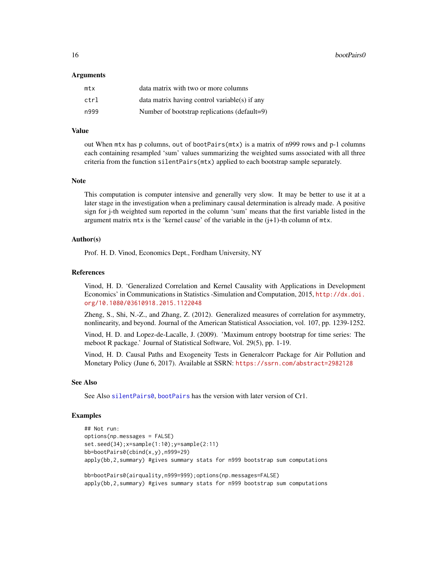16 bootPairs0

#### Arguments

| mtx  | data matrix with two or more columns            |
|------|-------------------------------------------------|
| ctrl | $data$ matrix having control variable(s) if any |
| n999 | Number of bootstrap replications (default=9)    |

#### Value

out When mtx has p columns, out of bootPairs(mtx) is a matrix of n999 rows and p-1 columns each containing resampled 'sum' values summarizing the weighted sums associated with all three criteria from the function silentPairs(mtx) applied to each bootstrap sample separately.

# **Note**

This computation is computer intensive and generally very slow. It may be better to use it at a later stage in the investigation when a preliminary causal determination is already made. A positive sign for j-th weighted sum reported in the column 'sum' means that the first variable listed in the argument matrix  $m \times x$  is the 'kernel cause' of the variable in the  $(j+1)$ -th column of  $m \times x$ .

#### Author(s)

Prof. H. D. Vinod, Economics Dept., Fordham University, NY

#### References

Vinod, H. D. 'Generalized Correlation and Kernel Causality with Applications in Development Economics' in Communications in Statistics -Simulation and Computation, 2015, [http://dx.doi.](http://dx.doi.org/10.1080/03610918.2015.1122048) [org/10.1080/03610918.2015.1122048](http://dx.doi.org/10.1080/03610918.2015.1122048)

Zheng, S., Shi, N.-Z., and Zhang, Z. (2012). Generalized measures of correlation for asymmetry, nonlinearity, and beyond. Journal of the American Statistical Association, vol. 107, pp. 1239-1252.

Vinod, H. D. and Lopez-de-Lacalle, J. (2009). 'Maximum entropy bootstrap for time series: The meboot R package.' Journal of Statistical Software, Vol. 29(5), pp. 1-19.

Vinod, H. D. Causal Paths and Exogeneity Tests in Generalcorr Package for Air Pollution and Monetary Policy (June 6, 2017). Available at SSRN: <https://ssrn.com/abstract=2982128>

#### See Also

See Also [silentPairs0](#page-74-1), [bootPairs](#page-13-1) has the version with later version of Cr1.

#### Examples

```
## Not run:
options(np.messages = FALSE)
set.seed(34);x=sample(1:10);y=sample(2:11)
bb=bootPairs0(cbind(x,y),n999=29)
apply(bb,2,summary) #gives summary stats for n999 bootstrap sum computations
bb=bootPairs0(airquality,n999=999);options(np.messages=FALSE)
```
apply(bb,2,summary) #gives summary stats for n999 bootstrap sum computations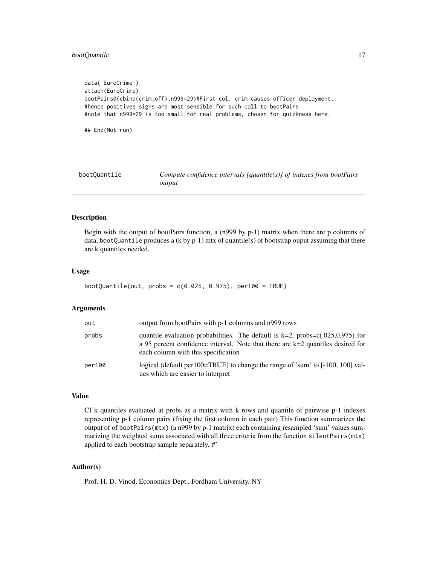# <span id="page-16-0"></span>bootQuantile 17

```
data('EuroCrime')
attach(EuroCrime)
bootPairs0(cbind(crim,off),n999=29)#First col. crim causes officer deployment,
#hence positives signs are most sensible for such call to bootPairs
#note that n999=29 is too small for real problems, chosen for quickness here.
## End(Not run)
```
<span id="page-16-1"></span>

| bootOuantile | Compute confidence intervals $[quantile(s)]$ of indexes from bootPairs |
|--------------|------------------------------------------------------------------------|
|              | output                                                                 |

# Description

Begin with the output of bootPairs function, a (n999 by p-1) matrix when there are p columns of data, bootQuantile produces a (k by p-1) mtx of quantile(s) of bootstrap ouput assuming that there are k quantiles needed.

#### Usage

```
bootQuantile(out, probs = c(0.025, 0.975), per100 = TRUE)
```
#### Arguments

| out    | output from bootPairs with p-1 columns and n999 rows                                                                                                                                                          |
|--------|---------------------------------------------------------------------------------------------------------------------------------------------------------------------------------------------------------------|
| probs  | quantile evaluation probabilities. The default is $k=2$ , probs=c(.025,0.975) for<br>a 95 percent confidence interval. Note that there are $k=2$ quantiles desired for<br>each column with this specification |
| per100 | logical (default per 100=TRUE) to change the range of 'sum' to [-100, 100] val-<br>ues which are easier to interpret                                                                                          |

# Value

CI k quantiles evaluated at probs as a matrix with k rows and quantile of pairwise p-1 indexes representing p-1 column pairs (fixing the first column in each pair) This function summarizes the output of of bootPairs(mtx) (a n999 by p-1 matrix) each containing resampled 'sum' values summarizing the weighted sums associated with all three criteria from the function silentPairs(mtx) applied to each bootstrap sample separately. #'

# Author(s)

Prof. H. D. Vinod, Economics Dept., Fordham University, NY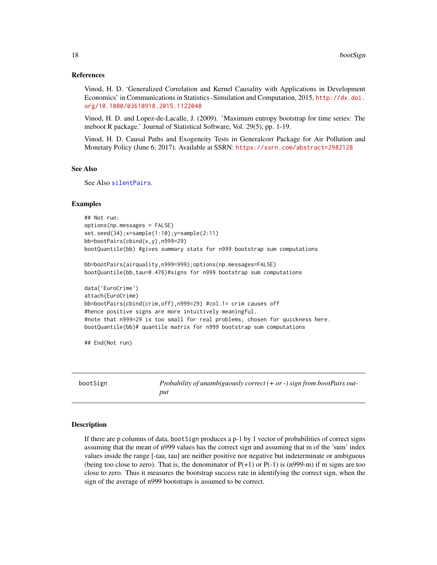#### <span id="page-17-0"></span>References

Vinod, H. D. 'Generalized Correlation and Kernel Causality with Applications in Development Economics' in Communications in Statistics -Simulation and Computation, 2015, [http://dx.doi.](http://dx.doi.org/10.1080/03610918.2015.1122048) [org/10.1080/03610918.2015.1122048](http://dx.doi.org/10.1080/03610918.2015.1122048)

Vinod, H. D. and Lopez-de-Lacalle, J. (2009). 'Maximum entropy bootstrap for time series: The meboot R package.' Journal of Statistical Software, Vol. 29(5), pp. 1-19.

Vinod, H. D. Causal Paths and Exogeneity Tests in Generalcorr Package for Air Pollution and Monetary Policy (June 6, 2017). Available at SSRN: <https://ssrn.com/abstract=2982128>

#### See Also

See Also [silentPairs](#page-72-1).

#### Examples

```
## Not run:
options(np.messages = FALSE)
set.seed(34);x=sample(1:10);y=sample(2:11)
bb=bootPairs(cbind(x,y),n999=29)
bootQuantile(bb) #gives summary stats for n999 bootstrap sum computations
bb=bootPairs(airquality,n999=999);options(np.messages=FALSE)
bootQuantile(bb,tau=0.476)#signs for n999 bootstrap sum computations
data('EuroCrime')
attach(EuroCrime)
bb=bootPairs(cbind(crim,off),n999=29) #col.1= crim causes off
#hence positive signs are more intuitively meaningful.
#note that n999=29 is too small for real problems, chosen for quickness here.
bootQuantile(bb)# quantile matrix for n999 bootstrap sum computations
```
## End(Not run)

<span id="page-17-1"></span>bootSign *Probability of unambiguously correct (+ or -) sign from bootPairs output*

#### Description

If there are p columns of data, bootSign produces a p-1 by 1 vector of probabilities of correct signs assuming that the mean of n999 values has the correct sign and assuming that m of the 'sum' index values inside the range [-tau, tau] are neither positive nor negative but indeterminate or ambiguous (being too close to zero). That is, the denominator of  $P(+1)$  or  $P(-1)$  is (n999-m) if m signs are too close to zero. Thus it measures the bootstrap success rate in identifying the correct sign, when the sign of the average of n999 bootstraps is assumed to be correct.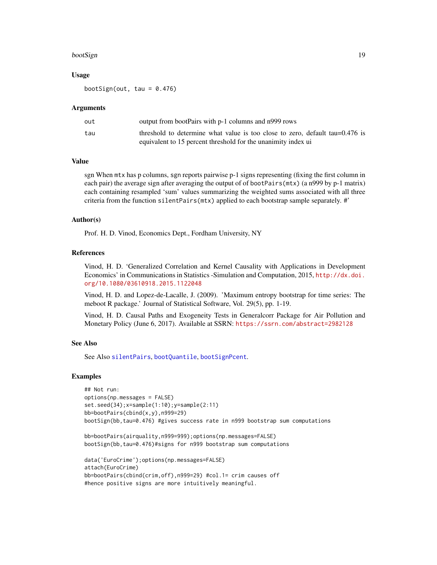#### bootSign 2008 and 2008 and 2008 and 2008 and 2008 and 2008 and 2008 and 2008 and 2008 and 2008 and 2008 and 20

#### Usage

bootSign(out, tau =  $0.476$ )

#### Arguments

| out | output from bootPairs with p-1 columns and n999 rows                         |
|-----|------------------------------------------------------------------------------|
| tau | threshold to determine what value is too close to zero, default tau=0.476 is |
|     | equivalent to 15 percent threshold for the unanimity index ui                |

# Value

sgn When mtx has p columns, sgn reports pairwise p-1 signs representing (fixing the first column in each pair) the average sign after averaging the output of of bootPairs(mtx) (a n999 by p-1 matrix) each containing resampled 'sum' values summarizing the weighted sums associated with all three criteria from the function silentPairs(mtx) applied to each bootstrap sample separately. #'

#### Author(s)

Prof. H. D. Vinod, Economics Dept., Fordham University, NY

# References

Vinod, H. D. 'Generalized Correlation and Kernel Causality with Applications in Development Economics' in Communications in Statistics -Simulation and Computation, 2015, [http://dx.doi.](http://dx.doi.org/10.1080/03610918.2015.1122048) [org/10.1080/03610918.2015.1122048](http://dx.doi.org/10.1080/03610918.2015.1122048)

Vinod, H. D. and Lopez-de-Lacalle, J. (2009). 'Maximum entropy bootstrap for time series: The meboot R package.' Journal of Statistical Software, Vol. 29(5), pp. 1-19.

Vinod, H. D. Causal Paths and Exogeneity Tests in Generalcorr Package for Air Pollution and Monetary Policy (June 6, 2017). Available at SSRN: <https://ssrn.com/abstract=2982128>

#### See Also

See Also [silentPairs](#page-72-1), [bootQuantile](#page-16-1), [bootSignPcent](#page-19-1).

#### Examples

```
## Not run:
options(np.messages = FALSE)
set.seed(34);x=sample(1:10);y=sample(2:11)
bb=bootPairs(cbind(x,y),n999=29)
bootSign(bb,tau=0.476) #gives success rate in n999 bootstrap sum computations
```
bb=bootPairs(airquality,n999=999);options(np.messages=FALSE) bootSign(bb,tau=0.476)#signs for n999 bootstrap sum computations

```
data('EuroCrime');options(np.messages=FALSE)
attach(EuroCrime)
bb=bootPairs(cbind(crim,off),n999=29) #col.1= crim causes off
#hence positive signs are more intuitively meaningful.
```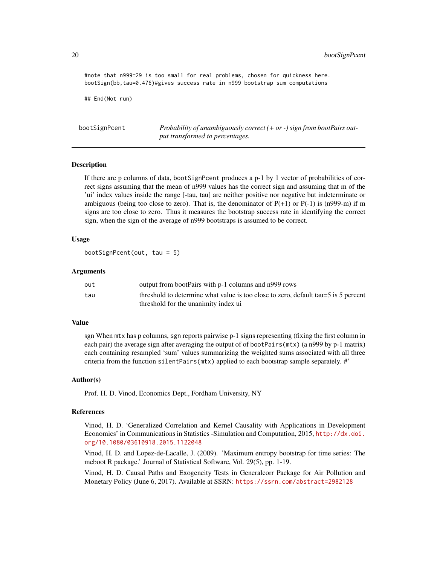#note that n999=29 is too small for real problems, chosen for quickness here. bootSign(bb,tau=0.476)#gives success rate in n999 bootstrap sum computations

## End(Not run)

<span id="page-19-1"></span>bootSignPcent *Probability of unambiguously correct (+ or -) sign from bootPairs output transformed to percentages.*

#### Description

If there are p columns of data, bootSignPcent produces a p-1 by 1 vector of probabilities of correct signs assuming that the mean of n999 values has the correct sign and assuming that m of the 'ui' index values inside the range [-tau, tau] are neither positive nor negative but indeterminate or ambiguous (being too close to zero). That is, the denominator of  $P(+1)$  or  $P(-1)$  is (n999-m) if m signs are too close to zero. Thus it measures the bootstrap success rate in identifying the correct sign, when the sign of the average of n999 bootstraps is assumed to be correct.

# Usage

```
bootSignPcent(out, tau = 5)
```
#### Arguments

| out | output from bootPairs with p-1 columns and n999 rows                                 |
|-----|--------------------------------------------------------------------------------------|
| tau | threshold to determine what value is too close to zero, default tau = 5 is 5 percent |
|     | threshold for the unanimity index ui                                                 |

# Value

sgn When mtx has p columns, sgn reports pairwise p-1 signs representing (fixing the first column in each pair) the average sign after averaging the output of of bootPairs(mtx) (a n999 by p-1 matrix) each containing resampled 'sum' values summarizing the weighted sums associated with all three criteria from the function  $silentPairs(mtx)$  applied to each bootstrap sample separately. #'

#### Author(s)

Prof. H. D. Vinod, Economics Dept., Fordham University, NY

#### References

Vinod, H. D. 'Generalized Correlation and Kernel Causality with Applications in Development Economics' in Communications in Statistics -Simulation and Computation, 2015, [http://dx.doi.](http://dx.doi.org/10.1080/03610918.2015.1122048) [org/10.1080/03610918.2015.1122048](http://dx.doi.org/10.1080/03610918.2015.1122048)

Vinod, H. D. and Lopez-de-Lacalle, J. (2009). 'Maximum entropy bootstrap for time series: The meboot R package.' Journal of Statistical Software, Vol. 29(5), pp. 1-19.

Vinod, H. D. Causal Paths and Exogeneity Tests in Generalcorr Package for Air Pollution and Monetary Policy (June 6, 2017). Available at SSRN: <https://ssrn.com/abstract=2982128>

<span id="page-19-0"></span>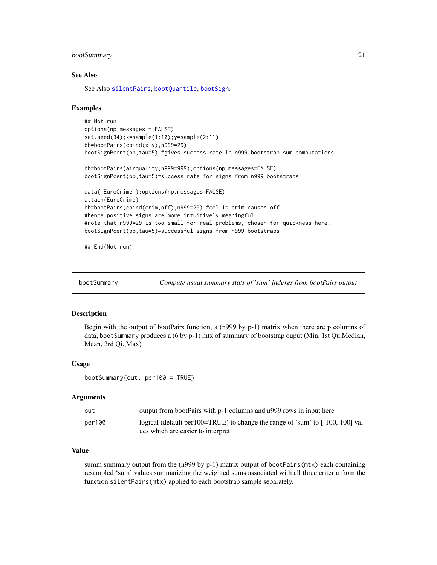#### <span id="page-20-0"></span>bootSummary 21

#### See Also

See Also [silentPairs](#page-72-1), [bootQuantile](#page-16-1), [bootSign](#page-17-1).

#### Examples

```
## Not run:
options(np.messages = FALSE)
set.seed(34);x=sample(1:10);y=sample(2:11)
bb=bootPairs(cbind(x,y),n999=29)
bootSignPcent(bb,tau=5) #gives success rate in n999 bootstrap sum computations
```

```
bb=bootPairs(airquality,n999=999);options(np.messages=FALSE)
bootSignPcent(bb,tau=5)#success rate for signs from n999 bootstraps
```

```
data('EuroCrime');options(np.messages=FALSE)
attach(EuroCrime)
bb=bootPairs(cbind(crim,off),n999=29) #col.1= crim causes off
#hence positive signs are more intuitively meaningful.
#note that n999=29 is too small for real problems, chosen for quickness here.
bootSignPcent(bb,tau=5)#successful signs from n999 bootstraps
```
## End(Not run)

bootSummary *Compute usual summary stats of 'sum' indexes from bootPairs output*

#### Description

Begin with the output of bootPairs function, a (n999 by p-1) matrix when there are p columns of data, boot Summary produces a  $(6 \text{ by } p-1)$  mtx of summary of bootstrap ouput (Min, 1st Qu,Median, Mean, 3rd Qi.,Max)

#### Usage

bootSummary(out, per100 = TRUE)

#### Arguments

| out    | output from bootPairs with p-1 columns and n999 rows in input here              |
|--------|---------------------------------------------------------------------------------|
| per100 | logical (default per 100=TRUE) to change the range of 'sum' to [-100, 100] val- |
|        | ues which are easier to interpret                                               |

# Value

summ summary output from the (n999 by  $p-1$ ) matrix output of bootPairs( $mtx$ ) each containing resampled 'sum' values summarizing the weighted sums associated with all three criteria from the function silentPairs(mtx) applied to each bootstrap sample separately.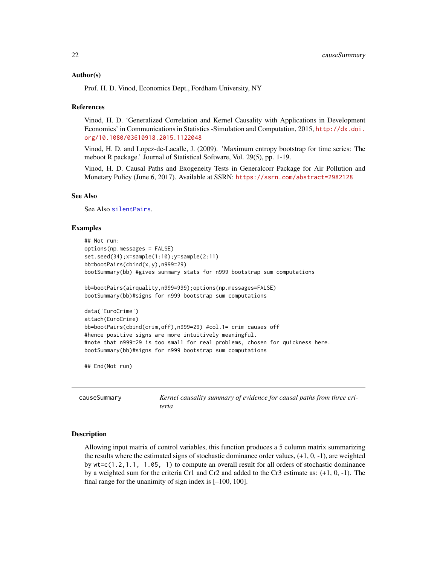#### <span id="page-21-0"></span>Author(s)

Prof. H. D. Vinod, Economics Dept., Fordham University, NY

#### References

Vinod, H. D. 'Generalized Correlation and Kernel Causality with Applications in Development Economics' in Communications in Statistics -Simulation and Computation, 2015, [http://dx.doi.](http://dx.doi.org/10.1080/03610918.2015.1122048) [org/10.1080/03610918.2015.1122048](http://dx.doi.org/10.1080/03610918.2015.1122048)

Vinod, H. D. and Lopez-de-Lacalle, J. (2009). 'Maximum entropy bootstrap for time series: The meboot R package.' Journal of Statistical Software, Vol. 29(5), pp. 1-19.

Vinod, H. D. Causal Paths and Exogeneity Tests in Generalcorr Package for Air Pollution and Monetary Policy (June 6, 2017). Available at SSRN: <https://ssrn.com/abstract=2982128>

#### See Also

See Also [silentPairs](#page-72-1).

#### Examples

```
## Not run:
options(np.messages = FALSE)
set.seed(34);x=sample(1:10);y=sample(2:11)
bb=bootPairs(cbind(x,y),n999=29)
bootSummary(bb) #gives summary stats for n999 bootstrap sum computations
bb=bootPairs(airquality,n999=999);options(np.messages=FALSE)
bootSummary(bb)#signs for n999 bootstrap sum computations
data('EuroCrime')
attach(EuroCrime)
bb=bootPairs(cbind(crim,off),n999=29) #col.1= crim causes off
#hence positive signs are more intuitively meaningful.
#note that n999=29 is too small for real problems, chosen for quickness here.
bootSummary(bb)#signs for n999 bootstrap sum computations
```
## End(Not run)

causeSummary *Kernel causality summary of evidence for causal paths from three criteria*

#### Description

Allowing input matrix of control variables, this function produces a 5 column matrix summarizing the results where the estimated signs of stochastic dominance order values,  $(+1, 0, -1)$ , are weighted by  $wt = c(1, 2, 1, 1, 1, 05, 1)$  to compute an overall result for all orders of stochastic dominance by a weighted sum for the criteria Cr1 and Cr2 and added to the Cr3 estimate as: (+1, 0, -1). The final range for the unanimity of sign index is [–100, 100].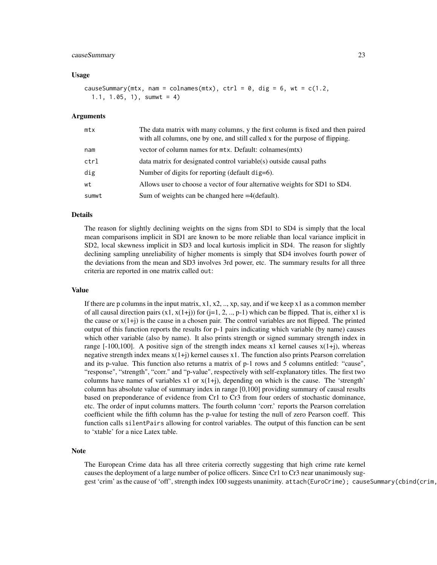#### causeSummary 23

#### Usage

causeSummary(mtx, nam = colnames(mtx), ctrl =  $0$ , dig =  $6$ , wt = c(1.2, 1.1, 1.05, 1), sumwt = 4)

#### Arguments

| mtx   | The data matrix with many columns, y the first column is fixed and then paired<br>with all columns, one by one, and still called x for the purpose of flipping. |
|-------|-----------------------------------------------------------------------------------------------------------------------------------------------------------------|
| nam   | vector of column names for mtx. Default: colnames(mtx)                                                                                                          |
| ctrl  | data matrix for designated control variable(s) outside causal paths                                                                                             |
| dig   | Number of digits for reporting (default dig=6).                                                                                                                 |
| wt    | Allows user to choose a vector of four alternative weights for SD1 to SD4.                                                                                      |
| sumwt | Sum of weights can be changed here $=4$ (default).                                                                                                              |

#### Details

The reason for slightly declining weights on the signs from SD1 to SD4 is simply that the local mean comparisons implicit in SD1 are known to be more reliable than local variance implicit in SD2, local skewness implicit in SD3 and local kurtosis implicit in SD4. The reason for slightly declining sampling unreliability of higher moments is simply that SD4 involves fourth power of the deviations from the mean and SD3 involves 3rd power, etc. The summary results for all three criteria are reported in one matrix called out:

#### Value

If there are p columns in the input matrix,  $x1, x2, \ldots, xp$ , say, and if we keep x1 as a common member of all causal direction pairs  $(x1, x(1+j))$  for  $(j=1, 2, ..., p-1)$  which can be flipped. That is, either x1 is the cause or  $x(1+j)$  is the cause in a chosen pair. The control variables are not flipped. The printed output of this function reports the results for p-1 pairs indicating which variable (by name) causes which other variable (also by name). It also prints strength or signed summary strength index in range  $[-100,100]$ . A positive sign of the strength index means x1 kernel causes  $x(1+i)$ , whereas negative strength index means  $x(1+i)$  kernel causes  $x1$ . The function also prints Pearson correlation and its p-value. This function also returns a matrix of p-1 rows and 5 columns entitled: "cause", "response", "strength", "corr." and "p-value", respectively with self-explanatory titles. The first two columns have names of variables  $x1$  or  $x(1+j)$ , depending on which is the cause. The 'strength' column has absolute value of summary index in range [0,100] providing summary of causal results based on preponderance of evidence from Cr1 to Cr3 from four orders of stochastic dominance, etc. The order of input columns matters. The fourth column 'corr.' reports the Pearson correlation coefficient while the fifth column has the p-value for testing the null of zero Pearson coeff. This function calls silentPairs allowing for control variables. The output of this function can be sent to 'xtable' for a nice Latex table.

# **Note**

The European Crime data has all three criteria correctly suggesting that high crime rate kernel causes the deployment of a large number of police officers. Since Cr1 to Cr3 near unanimously suggest 'crim' as the cause of 'off', strength index 100 suggests unanimity. attach(EuroCrime); causeSummary(cbind(crim,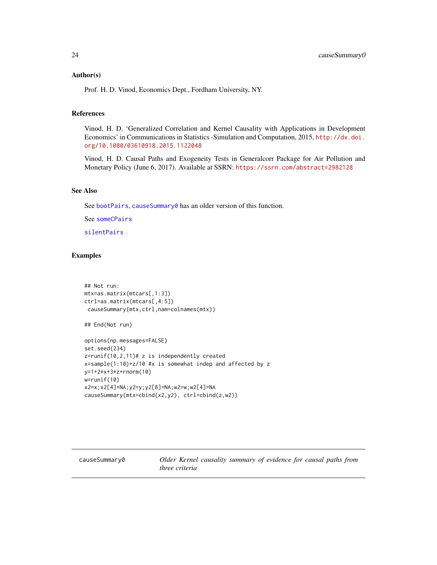#### <span id="page-23-0"></span>Author(s)

Prof. H. D. Vinod, Economics Dept., Fordham University, NY.

# References

Vinod, H. D. 'Generalized Correlation and Kernel Causality with Applications in Development Economics' in Communications in Statistics -Simulation and Computation, 2015, [http://dx.doi.](http://dx.doi.org/10.1080/03610918.2015.1122048) [org/10.1080/03610918.2015.1122048](http://dx.doi.org/10.1080/03610918.2015.1122048)

Vinod, H. D. Causal Paths and Exogeneity Tests in Generalcorr Package for Air Pollution and Monetary Policy (June 6, 2017). Available at SSRN: <https://ssrn.com/abstract=2982128>

#### See Also

See [bootPairs](#page-13-1), [causeSummary0](#page-23-1) has an older version of this function.

See [someCPairs](#page-78-1)

[silentPairs](#page-72-1)

#### Examples

```
## Not run:
mtx=as.matrix(mtcars[,1:3])
ctrl=as.matrix(mtcars[,4:5])
 causeSummary(mtx,ctrl,nam=colnames(mtx))
## End(Not run)
options(np.messages=FALSE)
set.seed(234)
z=runif(10,2,11)# z is independently created
x=sample(1:10)+z/10 #x is somewhat indep and affected by z
y=1+2*x+3*z+rnorm(10)
w=runif(10)
x2=x;x2[4]=NA;y2=y;y2[8]=NA;w2=w;w2[4]=NA
causeSummary(mtx=cbind(x2,y2), ctrl=cbind(z,w2))
```
<span id="page-23-1"></span>causeSummary0 *Older Kernel causality summary of evidence for causal paths from three criteria*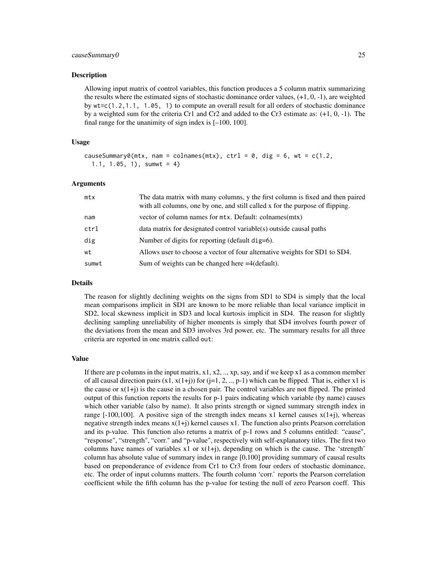#### causeSummary0 25

#### Description

Allowing input matrix of control variables, this function produces a 5 column matrix summarizing the results where the estimated signs of stochastic dominance order values,  $(+1, 0, -1)$ , are weighted by wt=c(1.2,1.1, 1.05, 1) to compute an overall result for all orders of stochastic dominance by a weighted sum for the criteria Cr1 and Cr2 and added to the Cr3 estimate as: (+1, 0, -1). The final range for the unanimity of sign index is [–100, 100].

#### Usage

```
causeSummary0(mtx, nam = colnames(mtx), ctrl = 0, dig = 6, wt = c(1.2),
  1.1, 1.05, 1), sumwt = 4)
```
#### Arguments

| mtx   | The data matrix with many columns, y the first column is fixed and then paired<br>with all columns, one by one, and still called x for the purpose of flipping. |
|-------|-----------------------------------------------------------------------------------------------------------------------------------------------------------------|
| nam   | vector of column names for mtx. Default: colnames(mtx)                                                                                                          |
| ctrl  | data matrix for designated control variable(s) outside causal paths                                                                                             |
| dig   | Number of digits for reporting (default dig=6).                                                                                                                 |
| wt    | Allows user to choose a vector of four alternative weights for SD1 to SD4.                                                                                      |
| sumwt | Sum of weights can be changed here =4(default).                                                                                                                 |

#### Details

The reason for slightly declining weights on the signs from SD1 to SD4 is simply that the local mean comparisons implicit in SD1 are known to be more reliable than local variance implicit in SD2, local skewness implicit in SD3 and local kurtosis implicit in SD4. The reason for slightly declining sampling unreliability of higher moments is simply that SD4 involves fourth power of the deviations from the mean and SD3 involves 3rd power, etc. The summary results for all three criteria are reported in one matrix called out:

#### Value

If there are p columns in the input matrix,  $x1$ ,  $x2$ , ..,  $xp$ ,  $\frac{1}{2}$ ,  $\frac{1}{2}$  as a common member of all causal direction pairs  $(x1, x(1+i))$  for  $(i=1, 2, ..., p-1)$  which can be flipped. That is, either x1 is the cause or  $x(1+i)$  is the cause in a chosen pair. The control variables are not flipped. The printed output of this function reports the results for p-1 pairs indicating which variable (by name) causes which other variable (also by name). It also prints strength or signed summary strength index in range  $[-100,100]$ . A positive sign of the strength index means x1 kernel causes  $x(1+j)$ , whereas negative strength index means  $x(1+i)$  kernel causes  $x1$ . The function also prints Pearson correlation and its p-value. This function also returns a matrix of p-1 rows and 5 columns entitled: "cause", "response", "strength", "corr." and "p-value", respectively with self-explanatory titles. The first two columns have names of variables  $x1$  or  $x(1+i)$ , depending on which is the cause. The 'strength' column has absolute value of summary index in range [0,100] providing summary of causal results based on preponderance of evidence from Cr1 to Cr3 from four orders of stochastic dominance, etc. The order of input columns matters. The fourth column 'corr.' reports the Pearson correlation coefficient while the fifth column has the p-value for testing the null of zero Pearson coeff. This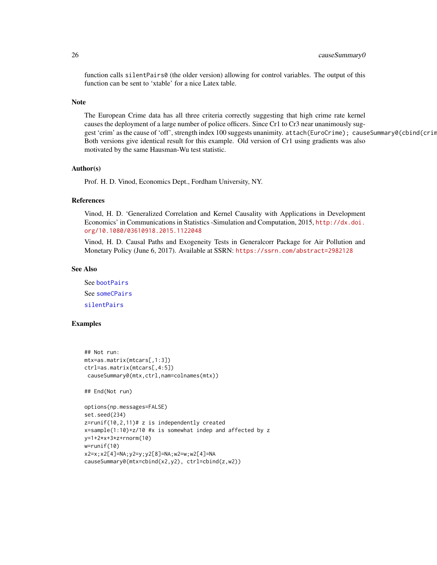#### 26 causeSummary0

function calls silentPairs0 (the older version) allowing for control variables. The output of this function can be sent to 'xtable' for a nice Latex table.

#### Note

The European Crime data has all three criteria correctly suggesting that high crime rate kernel causes the deployment of a large number of police officers. Since Cr1 to Cr3 near unanimously suggest 'crim' as the cause of 'off', strength index 100 suggests unanimity. attach(EuroCrime); causeSummary0(cbind(crim Both versions give identical result for this example. Old version of Cr1 using gradients was also motivated by the same Hausman-Wu test statistic.

# Author(s)

Prof. H. D. Vinod, Economics Dept., Fordham University, NY.

# References

Vinod, H. D. 'Generalized Correlation and Kernel Causality with Applications in Development Economics' in Communications in Statistics -Simulation and Computation, 2015, [http://dx.doi.](http://dx.doi.org/10.1080/03610918.2015.1122048) [org/10.1080/03610918.2015.1122048](http://dx.doi.org/10.1080/03610918.2015.1122048)

Vinod, H. D. Causal Paths and Exogeneity Tests in Generalcorr Package for Air Pollution and Monetary Policy (June 6, 2017). Available at SSRN: <https://ssrn.com/abstract=2982128>

# See Also

See [bootPairs](#page-13-1) See [someCPairs](#page-78-1) [silentPairs](#page-72-1)

#### Examples

```
## Not run:
mtx=as.matrix(mtcars[,1:3])
ctrl=as.matrix(mtcars[,4:5])
causeSummary0(mtx,ctrl,nam=colnames(mtx))
## End(Not run)
options(np.messages=FALSE)
```

```
set.seed(234)
z=runif(10,2,11)# z is independently created
x=sample(1:10)+z/10 #x is somewhat indep and affected by z
y=1+2*x+3*z+rnorm(10)
w=runif(10)
x2=x;x2[4]=NA;y2=y;y2[8]=NA;w2=w;w2[4]=NA
causeSummary0(mtx=cbind(x2,y2), ctrl=cbind(z,w2))
```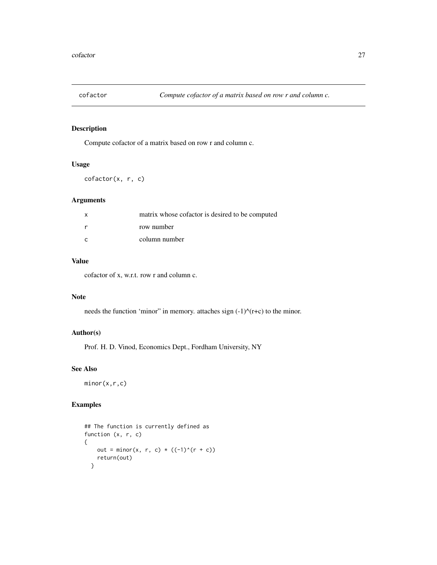<span id="page-26-0"></span>

# Description

Compute cofactor of a matrix based on row r and column c.

# Usage

cofactor(x, r, c)

# Arguments

| $\boldsymbol{\mathsf{x}}$ | matrix whose cofactor is desired to be computed |
|---------------------------|-------------------------------------------------|
|                           | row number                                      |
|                           | column number                                   |

# Value

cofactor of x, w.r.t. row r and column c.

# Note

needs the function 'minor" in memory. attaches sign  $(-1)$ <sup> $\land$ </sup> $(r+c)$  to the minor.

# Author(s)

Prof. H. D. Vinod, Economics Dept., Fordham University, NY

# See Also

minor(x,r,c)

# Examples

```
## The function is currently defined as
function (x, r, c)
{
   out = minor(x, r, c) * ((-1)^{(r + c)})
   return(out)
  }
```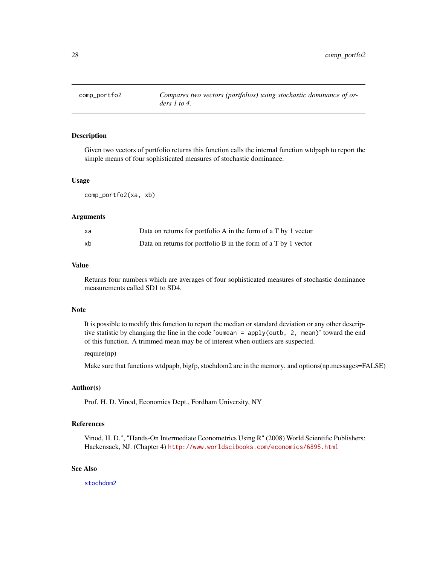<span id="page-27-0"></span>

#### Description

Given two vectors of portfolio returns this function calls the internal function wtdpapb to report the simple means of four sophisticated measures of stochastic dominance.

#### Usage

comp\_portfo2(xa, xb)

#### Arguments

| xa | Data on returns for portfolio A in the form of a T by 1 vector |
|----|----------------------------------------------------------------|
| xb | Data on returns for portfolio B in the form of a T by 1 vector |

#### Value

Returns four numbers which are averages of four sophisticated measures of stochastic dominance measurements called SD1 to SD4.

# Note

It is possible to modify this function to report the median or standard deviation or any other descriptive statistic by changing the line in the code 'oumean = apply(outb, 2, mean)' toward the end of this function. A trimmed mean may be of interest when outliers are suspected.

# require(np)

Make sure that functions wtdpapb, bigfp, stochdom2 are in the memory. and options(np.messages=FALSE)

#### Author(s)

Prof. H. D. Vinod, Economics Dept., Fordham University, NY

# References

Vinod, H. D.", "Hands-On Intermediate Econometrics Using R" (2008) World Scientific Publishers: Hackensack, NJ. (Chapter 4) <http://www.worldscibooks.com/economics/6895.html>

#### See Also

[stochdom2](#page-90-1)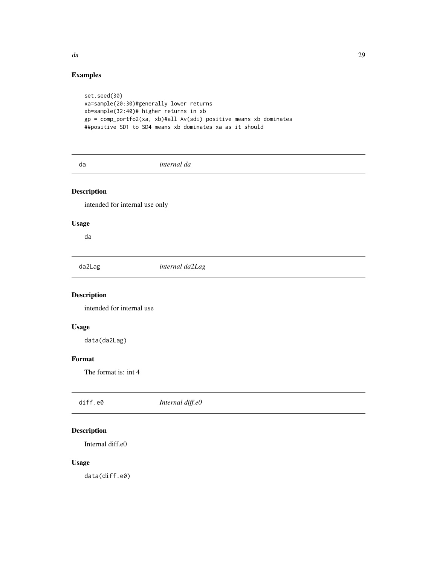# <span id="page-28-0"></span>Examples

```
set.seed(30)
xa=sample(20:30)#generally lower returns
xb=sample(32:40)# higher returns in xb
gp = comp_portfo2(xa, xb)#all Av(sdi) positive means xb dominates
##positive SD1 to SD4 means xb dominates xa as it should
```
da *internal da*

# Description

intended for internal use only

# Usage

da

da2Lag *internal da2Lag*

# Description

intended for internal use

# Usage

data(da2Lag)

# Format

The format is: int 4

| diff.e0 | Internal diff.e0 |
|---------|------------------|
|         |                  |

# Description

Internal diff.e0

# Usage

data(diff.e0)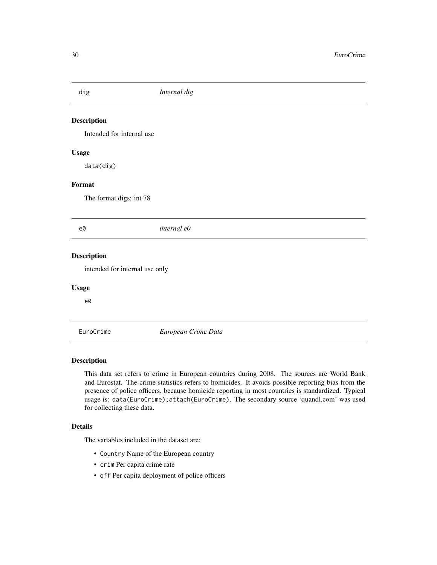<span id="page-29-0"></span>

| dig                            | Internal dig        |  |
|--------------------------------|---------------------|--|
| <b>Description</b>             |                     |  |
|                                |                     |  |
| Intended for internal use      |                     |  |
| <b>Usage</b>                   |                     |  |
| data(dig)                      |                     |  |
| Format                         |                     |  |
| The format digs: int 78        |                     |  |
|                                |                     |  |
| e0                             | internal e0         |  |
| Description                    |                     |  |
| intended for internal use only |                     |  |
| <b>Usage</b>                   |                     |  |
| e0                             |                     |  |
|                                |                     |  |
| EuroCrime                      | European Crime Data |  |

# Description

This data set refers to crime in European countries during 2008. The sources are World Bank and Eurostat. The crime statistics refers to homicides. It avoids possible reporting bias from the presence of police officers, because homicide reporting in most countries is standardized. Typical usage is: data(EuroCrime);attach(EuroCrime). The secondary source 'quandl.com' was used for collecting these data.

# Details

The variables included in the dataset are:

- Country Name of the European country
- crim Per capita crime rate
- off Per capita deployment of police officers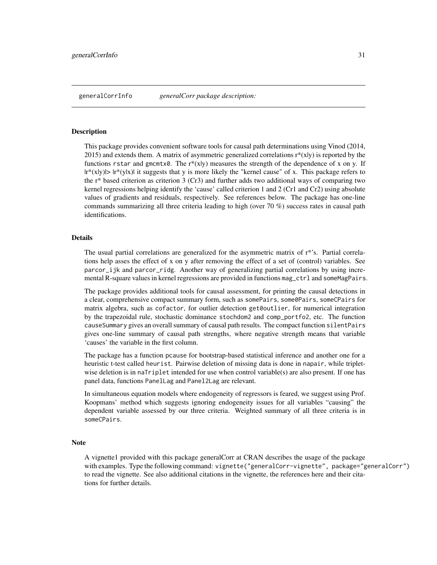#### <span id="page-30-0"></span>**Description**

This package provides convenient software tools for causal path determinations using Vinod (2014, 2015) and extends them. A matrix of asymmetric generalized correlations  $r^*(x|y)$  is reported by the functions rstar and gmcmtx0. The r\*(x|y) measures the strength of the dependence of x on y. If  $|r^{*}(x|y)|> |r^{*}(y|x)|$  it suggests that y is more likely the "kernel cause" of x. This package refers to the  $r^*$  based criterion as criterion 3 (Cr3) and further adds two additional ways of comparing two kernel regressions helping identify the 'cause' called criterion 1 and 2 (Cr1 and Cr2) using absolute values of gradients and residuals, respectively. See references below. The package has one-line commands summarizing all three criteria leading to high (over 70 %) success rates in causal path identifications.

#### Details

The usual partial correlations are generalized for the asymmetric matrix of  $r^*$ 's. Partial correlations help asses the effect of x on y after removing the effect of a set of (control) variables. See parcor\_ijk and parcor\_ridg. Another way of generalizing partial correlations by using incremental R-square values in kernel regressions are provided in functions mag\_ctrl and someMagPairs.

The package provides additional tools for causal assessment, for printing the causal detections in a clear, comprehensive compact summary form, such as somePairs, some0Pairs, someCPairs for matrix algebra, such as cofactor, for outlier detection get0outlier, for numerical integration by the trapezoidal rule, stochastic dominance stochdom2 and comp\_portfo2, etc. The function causeSummary gives an overall summary of causal path results. The compact function silentPairs gives one-line summary of causal path strengths, where negative strength means that variable 'causes' the variable in the first column.

The package has a function pcause for bootstrap-based statistical inference and another one for a heuristic t-test called heurist. Pairwise deletion of missing data is done in napair, while tripletwise deletion is in naTriplet intended for use when control variable(s) are also present. If one has panel data, functions PanelLag and Panel2Lag are relevant.

In simultaneous equation models where endogeneity of regressors is feared, we suggest using Prof. Koopmans' method which suggests ignoring endogeneity issues for all variables "causing" the dependent variable assessed by our three criteria. Weighted summary of all three criteria is in someCPairs.

#### **Note**

A vignette1 provided with this package generalCorr at CRAN describes the usage of the package with examples. Type the following command: vignette("generalCorr-vignette", package="generalCorr") to read the vignette. See also additional citations in the vignette, the references here and their citations for further details.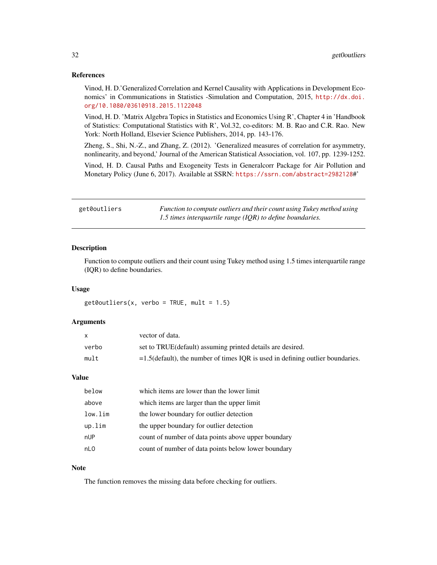#### <span id="page-31-0"></span>References

Vinod, H. D.'Generalized Correlation and Kernel Causality with Applications in Development Economics' in Communications in Statistics -Simulation and Computation, 2015, [http://dx.doi.](http://dx.doi.org/10.1080/03610918.2015.1122048) [org/10.1080/03610918.2015.1122048](http://dx.doi.org/10.1080/03610918.2015.1122048)

Vinod, H. D. 'Matrix Algebra Topics in Statistics and Economics Using R', Chapter 4 in 'Handbook of Statistics: Computational Statistics with R', Vol.32, co-editors: M. B. Rao and C.R. Rao. New York: North Holland, Elsevier Science Publishers, 2014, pp. 143-176.

Zheng, S., Shi, N.-Z., and Zhang, Z. (2012). 'Generalized measures of correlation for asymmetry, nonlinearity, and beyond,' Journal of the American Statistical Association, vol. 107, pp. 1239-1252.

Vinod, H. D. Causal Paths and Exogeneity Tests in Generalcorr Package for Air Pollution and Monetary Policy (June 6, 2017). Available at SSRN: <https://ssrn.com/abstract=2982128>#'

| get0outliers | Function to compute outliers and their count using Tukey method using |
|--------------|-----------------------------------------------------------------------|
|              | 1.5 times interquartile range $(IQR)$ to define boundaries.           |

# Description

Function to compute outliers and their count using Tukey method using 1.5 times interquartile range (IQR) to define boundaries.

#### Usage

 $get0outliers(x, verbo = TRUE, mult = 1.5)$ 

#### Arguments

| $\mathsf{x}$ | vector of data.                                                                   |
|--------------|-----------------------------------------------------------------------------------|
| verbo        | set to TRUE(default) assuming printed details are desired.                        |
| mult         | $=1.5$ (default), the number of times IOR is used in defining outlier boundaries. |

### Value

| below   | which items are lower than the lower limit          |
|---------|-----------------------------------------------------|
| above   | which items are larger than the upper limit         |
| low.lim | the lower boundary for outlier detection            |
| up.lim  | the upper boundary for outlier detection            |
| nUP     | count of number of data points above upper boundary |
| nLO     | count of number of data points below lower boundary |

#### Note

The function removes the missing data before checking for outliers.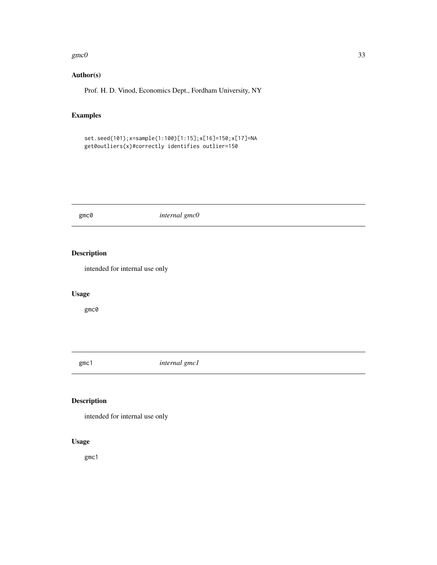#### <span id="page-32-0"></span> $\text{gmc0}$  33

# Author(s)

Prof. H. D. Vinod, Economics Dept., Fordham University, NY

# Examples

```
set.seed(101);x=sample(1:100)[1:15];x[16]=150;x[17]=NA
get0outliers(x)#correctly identifies outlier=150
```
gmc0 *internal gmc0*

# Description

intended for internal use only

# Usage

gmc0

gmc1 *internal gmc1*

# Description

intended for internal use only

# Usage

gmc1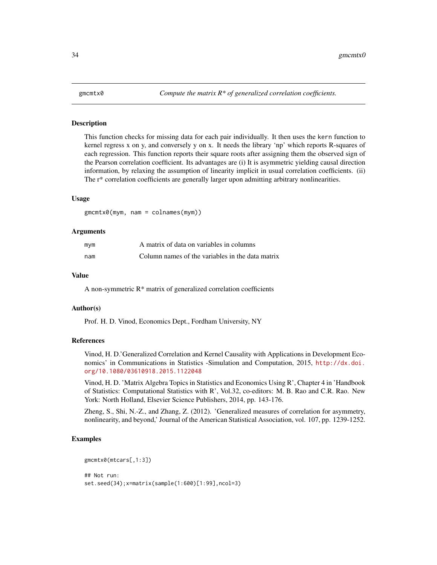#### <span id="page-33-0"></span>Description

This function checks for missing data for each pair individually. It then uses the kern function to kernel regress x on y, and conversely y on x. It needs the library 'np' which reports R-squares of each regression. This function reports their square roots after assigning them the observed sign of the Pearson correlation coefficient. Its advantages are (i) It is asymmetric yielding causal direction information, by relaxing the assumption of linearity implicit in usual correlation coefficients. (ii) The r\* correlation coefficients are generally larger upon admitting arbitrary nonlinearities.

#### Usage

gmcmtx0(mym, nam = colnames(mym))

### Arguments

| mym | A matrix of data on variables in columns         |
|-----|--------------------------------------------------|
| nam | Column names of the variables in the data matrix |

# Value

A non-symmetric R\* matrix of generalized correlation coefficients

#### Author(s)

Prof. H. D. Vinod, Economics Dept., Fordham University, NY

#### References

Vinod, H. D.'Generalized Correlation and Kernel Causality with Applications in Development Economics' in Communications in Statistics -Simulation and Computation, 2015, [http://dx.doi.](http://dx.doi.org/10.1080/03610918.2015.1122048) [org/10.1080/03610918.2015.1122048](http://dx.doi.org/10.1080/03610918.2015.1122048)

Vinod, H. D. 'Matrix Algebra Topics in Statistics and Economics Using R', Chapter 4 in 'Handbook of Statistics: Computational Statistics with R', Vol.32, co-editors: M. B. Rao and C.R. Rao. New York: North Holland, Elsevier Science Publishers, 2014, pp. 143-176.

Zheng, S., Shi, N.-Z., and Zhang, Z. (2012). 'Generalized measures of correlation for asymmetry, nonlinearity, and beyond,' Journal of the American Statistical Association, vol. 107, pp. 1239-1252.

# Examples

```
gmcmtx0(mtcars[,1:3])
## Not run:
set.seed(34);x=matrix(sample(1:600)[1:99],ncol=3)
```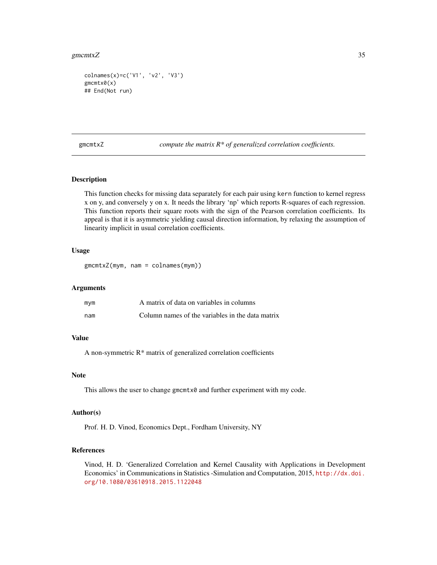#### <span id="page-34-0"></span>gmcmtx $Z$  35

colnames(x)=c('V1', 'v2', 'V3') gmcmtx0(x) ## End(Not run)

gmcmtxZ *compute the matrix R\* of generalized correlation coefficients.*

# Description

This function checks for missing data separately for each pair using kern function to kernel regress x on y, and conversely y on x. It needs the library 'np' which reports R-squares of each regression. This function reports their square roots with the sign of the Pearson correlation coefficients. Its appeal is that it is asymmetric yielding causal direction information, by relaxing the assumption of linearity implicit in usual correlation coefficients.

# Usage

gmcmtxZ(mym, nam = colnames(mym))

# Arguments

| mym | A matrix of data on variables in columns         |
|-----|--------------------------------------------------|
| nam | Column names of the variables in the data matrix |

# Value

A non-symmetric R\* matrix of generalized correlation coefficients

#### Note

This allows the user to change gmcmtx0 and further experiment with my code.

# Author(s)

Prof. H. D. Vinod, Economics Dept., Fordham University, NY

#### References

Vinod, H. D. 'Generalized Correlation and Kernel Causality with Applications in Development Economics' in Communications in Statistics -Simulation and Computation, 2015, [http://dx.doi.](http://dx.doi.org/10.1080/03610918.2015.1122048) [org/10.1080/03610918.2015.1122048](http://dx.doi.org/10.1080/03610918.2015.1122048)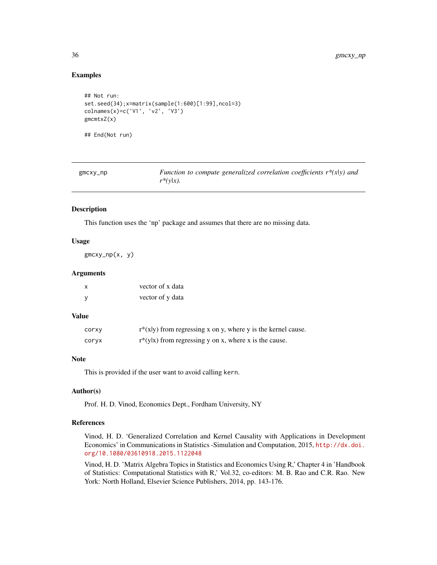# Examples

```
## Not run:
set.seed(34);x=matrix(sample(1:600)[1:99],ncol=3)
colnames(x)=c('V1', 'v2', 'V3')
gmcmtxZ(x)
## End(Not run)
```

| $g$ mc $xy$ _np | Function to compute generalized correlation coefficients $r^*(x y)$ and |
|-----------------|-------------------------------------------------------------------------|
|                 | $r^*(y x)$ .                                                            |

#### Description

This function uses the 'np' package and assumes that there are no missing data.

#### Usage

gmcxy\_np(x, y)

#### Arguments

| X | vector of x data |
|---|------------------|
| y | vector of y data |

#### Value

| corxy | $r^*(x y)$ from regressing x on y, where y is the kernel cause. |
|-------|-----------------------------------------------------------------|
| corvx | $r*(y x)$ from regressing y on x, where x is the cause.         |

#### Note

This is provided if the user want to avoid calling kern.

#### Author(s)

Prof. H. D. Vinod, Economics Dept., Fordham University, NY

# References

Vinod, H. D. 'Generalized Correlation and Kernel Causality with Applications in Development Economics' in Communications in Statistics -Simulation and Computation, 2015, [http://dx.doi.](http://dx.doi.org/10.1080/03610918.2015.1122048) [org/10.1080/03610918.2015.1122048](http://dx.doi.org/10.1080/03610918.2015.1122048)

Vinod, H. D. 'Matrix Algebra Topics in Statistics and Economics Using R,' Chapter 4 in 'Handbook of Statistics: Computational Statistics with R,' Vol.32, co-editors: M. B. Rao and C.R. Rao. New York: North Holland, Elsevier Science Publishers, 2014, pp. 143-176.

<span id="page-35-0"></span>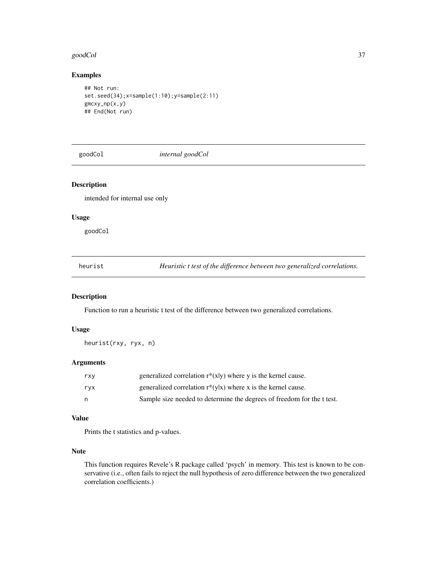#### goodCol 37

# Examples

```
## Not run:
set.seed(34);x=sample(1:10);y=sample(2:11)
gmcxy_np(x,y)
## End(Not run)
```
goodCol *internal goodCol*

# Description

intended for internal use only

## Usage

goodCol

heurist *Heuristic t test of the difference between two generalized correlations.*

# Description

Function to run a heuristic t test of the difference between two generalized correlations.

# Usage

heurist(rxy, ryx, n)

## Arguments

| rxy | generalized correlation $r^*(x y)$ where y is the kernel cause.        |
|-----|------------------------------------------------------------------------|
| ryx | generalized correlation $r^*(y x)$ where x is the kernel cause.        |
| n   | Sample size needed to determine the degrees of freedom for the t test. |

#### Value

Prints the t statistics and p-values.

# Note

This function requires Revele's R package called 'psych' in memory. This test is known to be conservative (i.e., often fails to reject the null hypothesis of zero difference between the two generalized correlation coefficients.)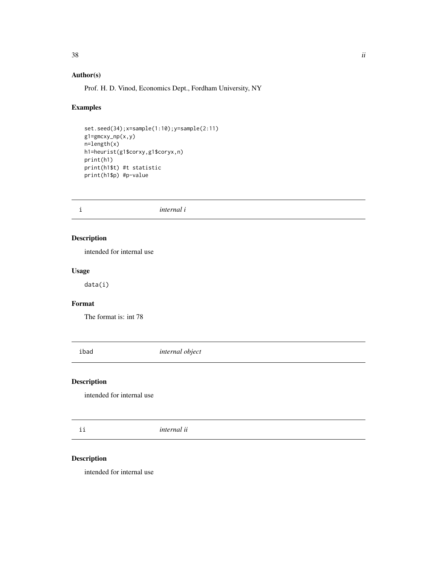# Author(s)

Prof. H. D. Vinod, Economics Dept., Fordham University, NY

# Examples

```
set.seed(34);x=sample(1:10);y=sample(2:11)
g1=gmcxy_np(x,y)
n=length(x)
h1=heurist(g1$corxy,g1$coryx,n)
print(h1)
print(h1$t) #t statistic
print(h1$p) #p-value
```
i *internal i*

# Description

intended for internal use

## Usage

data(i)

# Format

The format is: int 78

ibad *internal object*

# Description

intended for internal use

ii *internal ii*

# Description

intended for internal use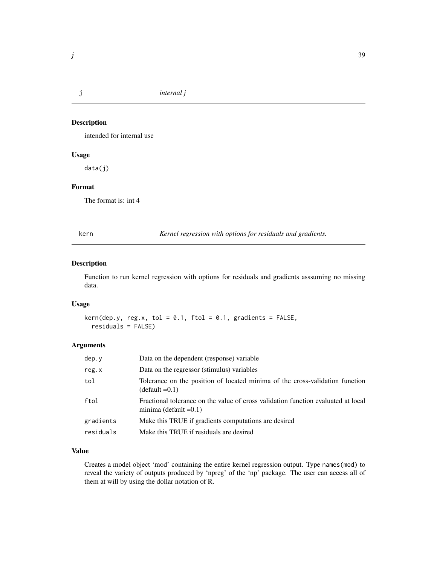intended for internal use

# Usage

data(j)

## Format

The format is: int 4

<span id="page-38-0"></span>

kern *Kernel regression with options for residuals and gradients.*

# Description

Function to run kernel regression with options for residuals and gradients asssuming no missing data.

## Usage

 $kern(dep.y, reg.x, tol = 0.1, ftol = 0.1, gradients = FALSE,$ residuals = FALSE)

# Arguments

| dep.y     | Data on the dependent (response) variable                                                                     |
|-----------|---------------------------------------------------------------------------------------------------------------|
| reg.x     | Data on the regressor (stimulus) variables                                                                    |
| tol       | Tolerance on the position of located minima of the cross-validation function<br>$(detault = 0.1)$             |
| ftol      | Fractional tolerance on the value of cross validation function evaluated at local<br>minima (default $=0.1$ ) |
| gradients | Make this TRUE if gradients computations are desired                                                          |
| residuals | Make this TRUE if residuals are desired                                                                       |
|           |                                                                                                               |

## Value

Creates a model object 'mod' containing the entire kernel regression output. Type names(mod) to reveal the variety of outputs produced by 'npreg' of the 'np' package. The user can access all of them at will by using the dollar notation of R.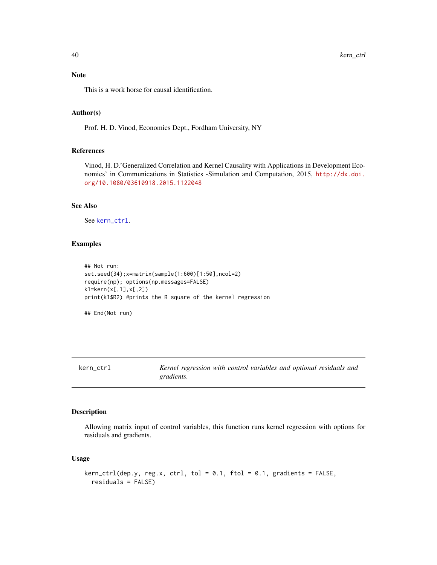# Note

This is a work horse for causal identification.

## Author(s)

Prof. H. D. Vinod, Economics Dept., Fordham University, NY

## References

Vinod, H. D.'Generalized Correlation and Kernel Causality with Applications in Development Economics' in Communications in Statistics -Simulation and Computation, 2015, [http://dx.doi.](http://dx.doi.org/10.1080/03610918.2015.1122048) [org/10.1080/03610918.2015.1122048](http://dx.doi.org/10.1080/03610918.2015.1122048)

# See Also

See [kern\\_ctrl](#page-39-0).

# Examples

```
## Not run:
set.seed(34);x=matrix(sample(1:600)[1:50],ncol=2)
require(np); options(np.messages=FALSE)
k1=kern(x[,1],x[,2])
print(k1$R2) #prints the R square of the kernel regression
## End(Not run)
```
<span id="page-39-0"></span>kern\_ctrl *Kernel regression with control variables and optional residuals and gradients.*

# Description

Allowing matrix input of control variables, this function runs kernel regression with options for residuals and gradients.

## Usage

```
kern_ctrl(dep.y, reg.x, ctrl, tol = 0.1, ftol = 0.1, gradients = FALSE,residuals = FALSE)
```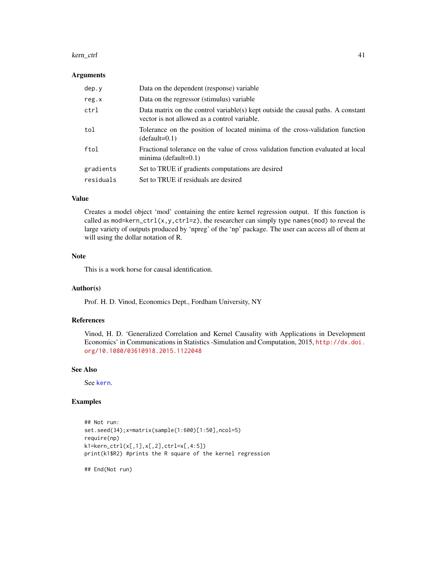#### kern\_ctrl 41

#### Arguments

| dep.y     | Data on the dependent (response) variable                                                                                        |
|-----------|----------------------------------------------------------------------------------------------------------------------------------|
| reg.x     | Data on the regressor (stimulus) variable                                                                                        |
| ctrl      | Data matrix on the control variable(s) kept outside the causal paths. A constant<br>vector is not allowed as a control variable. |
| tol       | Tolerance on the position of located minima of the cross-validation function<br>$(detault=0.1)$                                  |
| ftol      | Fractional tolerance on the value of cross validation function evaluated at local<br>minima (default= $0.1$ )                    |
| gradients | Set to TRUE if gradients computations are desired                                                                                |
| residuals | Set to TRUE if residuals are desired                                                                                             |

## Value

Creates a model object 'mod' containing the entire kernel regression output. If this function is called as mod=kern\_ctrl(x,y,ctrl=z), the researcher can simply type names(mod) to reveal the large variety of outputs produced by 'npreg' of the 'np' package. The user can access all of them at will using the dollar notation of R.

#### Note

This is a work horse for causal identification.

#### Author(s)

Prof. H. D. Vinod, Economics Dept., Fordham University, NY

## References

Vinod, H. D. 'Generalized Correlation and Kernel Causality with Applications in Development Economics' in Communications in Statistics -Simulation and Computation, 2015, [http://dx.doi.](http://dx.doi.org/10.1080/03610918.2015.1122048) [org/10.1080/03610918.2015.1122048](http://dx.doi.org/10.1080/03610918.2015.1122048)

## See Also

See [kern](#page-38-0).

## Examples

```
## Not run:
set.seed(34);x=matrix(sample(1:600)[1:50],ncol=5)
require(np)
k1=kern_ctrl(x[,1],x[,2],ctrl=x[,4:5])
print(k1$R2) #prints the R square of the kernel regression
```
## End(Not run)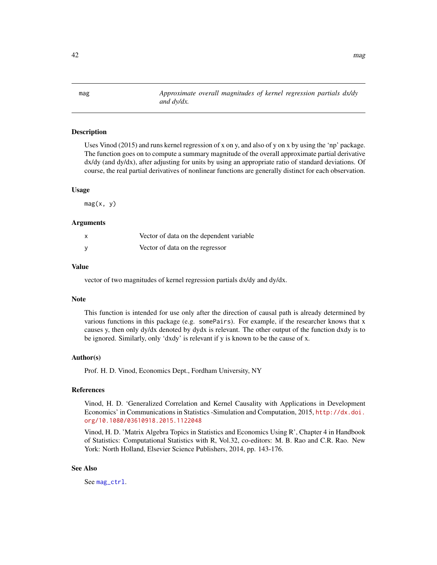<span id="page-41-0"></span>mag *Approximate overall magnitudes of kernel regression partials dx/dy and dy/dx.*

## Description

Uses Vinod (2015) and runs kernel regression of x on y, and also of y on x by using the 'np' package. The function goes on to compute a summary magnitude of the overall approximate partial derivative dx/dy (and dy/dx), after adjusting for units by using an appropriate ratio of standard deviations. Of course, the real partial derivatives of nonlinear functions are generally distinct for each observation.

#### Usage

mag(x, y)

## Arguments

| x | Vector of data on the dependent variable |
|---|------------------------------------------|
|   | Vector of data on the regressor          |

#### Value

vector of two magnitudes of kernel regression partials dx/dy and dy/dx.

## Note

This function is intended for use only after the direction of causal path is already determined by various functions in this package (e.g. somePairs). For example, if the researcher knows that x causes y, then only dy/dx denoted by dydx is relevant. The other output of the function dxdy is to be ignored. Similarly, only 'dxdy' is relevant if y is known to be the cause of x.

#### Author(s)

Prof. H. D. Vinod, Economics Dept., Fordham University, NY

## References

Vinod, H. D. 'Generalized Correlation and Kernel Causality with Applications in Development Economics' in Communications in Statistics -Simulation and Computation, 2015, [http://dx.doi.](http://dx.doi.org/10.1080/03610918.2015.1122048) [org/10.1080/03610918.2015.1122048](http://dx.doi.org/10.1080/03610918.2015.1122048)

Vinod, H. D. 'Matrix Algebra Topics in Statistics and Economics Using R', Chapter 4 in Handbook of Statistics: Computational Statistics with R, Vol.32, co-editors: M. B. Rao and C.R. Rao. New York: North Holland, Elsevier Science Publishers, 2014, pp. 143-176.

#### See Also

See [mag\\_ctrl](#page-42-0).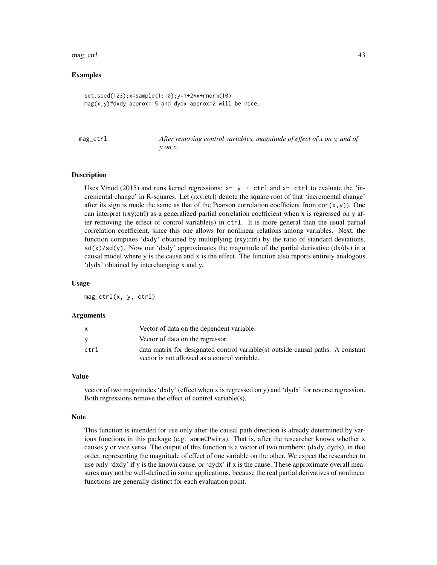#### mag\_ctrl 43

## Examples

```
set.seed(123);x=sample(1:10);y=1+2*x+rnorm(10)
mag(x,y)#dxdy approx=.5 and dydx approx=2 will be nice.
```
<span id="page-42-0"></span>

| mag |  |
|-----|--|
|     |  |

After removing control variables, magnitude of effect of x on y, and of *y on x.*

#### Description

Uses Vinod (2015) and runs kernel regressions:  $x \sim y + \text{ctrl}$  and  $x \sim \text{ctrl}$  to evaluate the 'incremental change' in R-squares. Let (rxy;ctrl) denote the square root of that 'incremental change' after its sign is made the same as that of the Pearson correlation coefficient from  $cor(x,y)$ ). One can interpret (rxy;ctrl) as a generalized partial correlation coefficient when x is regressed on y after removing the effect of control variable(s) in ctrl. It is more general than the usual partial correlation coefficient, since this one allows for nonlinear relations among variables. Next, the function computes 'dxdy' obtained by multiplying (rxy;ctrl) by the ratio of standard deviations,  $sd(x)/sd(y)$ . Now our 'dxdy' approximates the magnitude of the partial derivative (dx/dy) in a causal model where y is the cause and x is the effect. The function also reports entirely analogous 'dydx' obtained by interchanging x and y.

#### Usage

mag\_ctrl(x, y, ctrl)

#### Arguments

|      | Vector of data on the dependent variable.                                       |
|------|---------------------------------------------------------------------------------|
|      | Vector of data on the regressor.                                                |
| ctrl | data matrix for designated control variable(s) outside causal paths. A constant |
|      | vector is not allowed as a control variable.                                    |

#### Value

vector of two magnitudes 'dxdy' (effect when x is regressed on y) and 'dydx' for reverse regression. Both regressions remove the effect of control variable(s).

#### Note

This function is intended for use only after the causal path direction is already determined by various functions in this package (e.g. someCPairs). That is, after the researcher knows whether x causes y or vice versa. The output of this function is a vector of two numbers: (dxdy, dydx), in that order, representing the magnitude of effect of one variable on the other. We expect the researcher to use only 'dxdy' if y is the known cause, or 'dydx' if x is the cause. These approximate overall measures may not be well-defined in some applications, because the real partial derivatives of nonlinear functions are generally distinct for each evaluation point.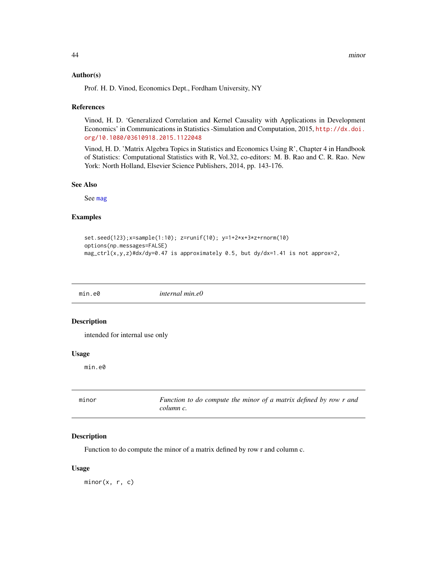#### Author(s)

Prof. H. D. Vinod, Economics Dept., Fordham University, NY

#### References

Vinod, H. D. 'Generalized Correlation and Kernel Causality with Applications in Development Economics' in Communications in Statistics -Simulation and Computation, 2015, [http://dx.doi.](http://dx.doi.org/10.1080/03610918.2015.1122048) [org/10.1080/03610918.2015.1122048](http://dx.doi.org/10.1080/03610918.2015.1122048)

Vinod, H. D. 'Matrix Algebra Topics in Statistics and Economics Using R', Chapter 4 in Handbook of Statistics: Computational Statistics with R, Vol.32, co-editors: M. B. Rao and C. R. Rao. New York: North Holland, Elsevier Science Publishers, 2014, pp. 143-176.

# See Also

See [mag](#page-41-0)

# Examples

```
set.seed(123);x=sample(1:10); z=runif(10); y=1+2*x+3*z+rnorm(10)
options(np.messages=FALSE)
mag_ctrl(x,y,z)#dx/dy=0.47 is approximately 0.5, but dy/dx=1.41 is not approx=2,
```
min.e0 *internal min.e0*

## Description

intended for internal use only

## Usage

min.e0

<span id="page-43-0"></span>

| minor | Function to do compute the minor of a matrix defined by row r and |
|-------|-------------------------------------------------------------------|
|       | column c.                                                         |

#### Description

Function to do compute the minor of a matrix defined by row r and column c.

#### Usage

 $minor(x, r, c)$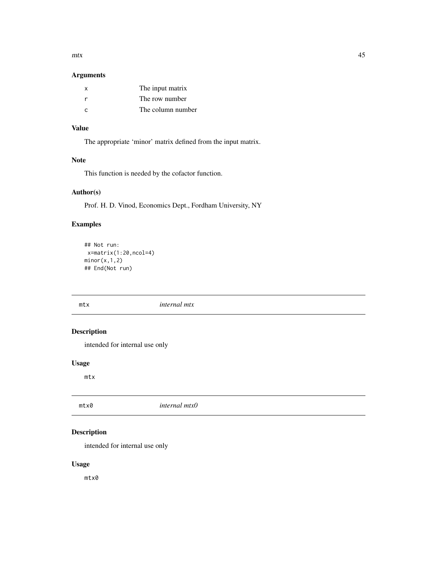$mtx$  45

# Arguments

| x             | The input matrix  |
|---------------|-------------------|
|               | The row number    |
| $\mathcal{C}$ | The column number |

# Value

The appropriate 'minor' matrix defined from the input matrix.

## Note

This function is needed by the cofactor function.

# Author(s)

Prof. H. D. Vinod, Economics Dept., Fordham University, NY

# Examples

```
## Not run:
x=matrix(1:20,ncol=4)
minor(x,1,2)
## End(Not run)
```
mtx *internal mtx*

# Description

intended for internal use only

# Usage

mtx

mtx0 *internal mtx0*

# Description

intended for internal use only

# Usage

mtx0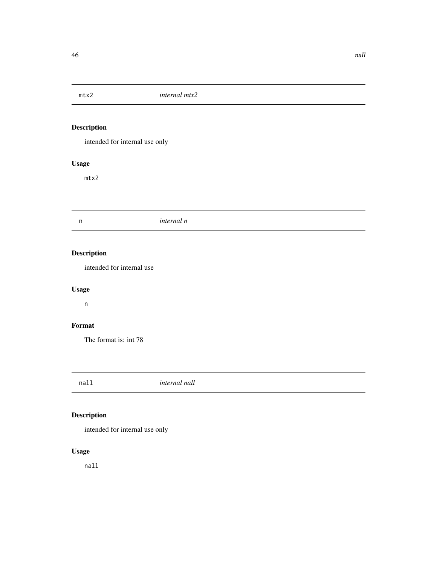intended for internal use only

# Usage

mtx2

n *internal n*

# Description

intended for internal use

# Usage

n

# Format

The format is: int 78

nall *internal nall*

# Description

intended for internal use only

# Usage

nall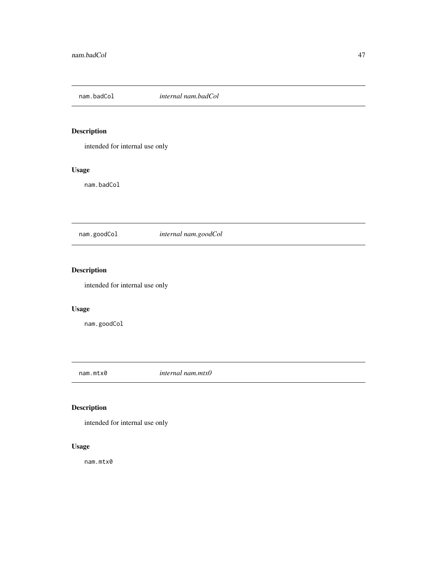intended for internal use only

# Usage

nam.badCol

# nam.goodCol *internal nam.goodCol*

# Description

intended for internal use only

# Usage

nam.goodCol

nam.mtx0 *internal nam.mtx0*

# Description

intended for internal use only

# Usage

nam.mtx0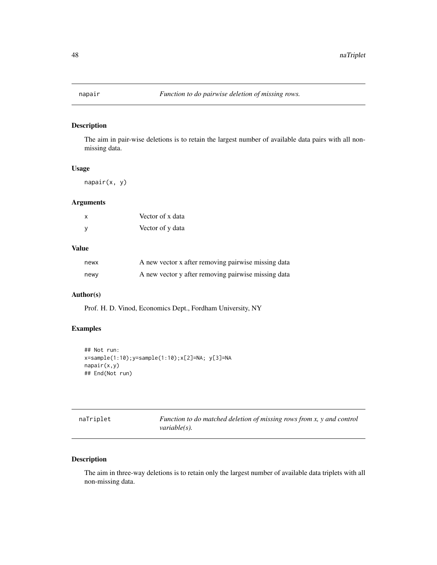<span id="page-47-0"></span>

The aim in pair-wise deletions is to retain the largest number of available data pairs with all nonmissing data.

# Usage

napair(x, y)

## Arguments

| $\mathsf{x}$ | Vector of x data |
|--------------|------------------|
| y            | Vector of y data |

## Value

| newx | A new vector x after removing pairwise missing data |
|------|-----------------------------------------------------|
| newy | A new vector y after removing pairwise missing data |

# Author(s)

Prof. H. D. Vinod, Economics Dept., Fordham University, NY

# Examples

```
## Not run:
x=sample(1:10);y=sample(1:10);x[2]=NA; y[3]=NA
napair(x,y)
## End(Not run)
```

| naTriplet | Function to do matched deletion of missing rows from x, y and control |
|-----------|-----------------------------------------------------------------------|
|           | <i>variable(s).</i>                                                   |

# Description

The aim in three-way deletions is to retain only the largest number of available data triplets with all non-missing data.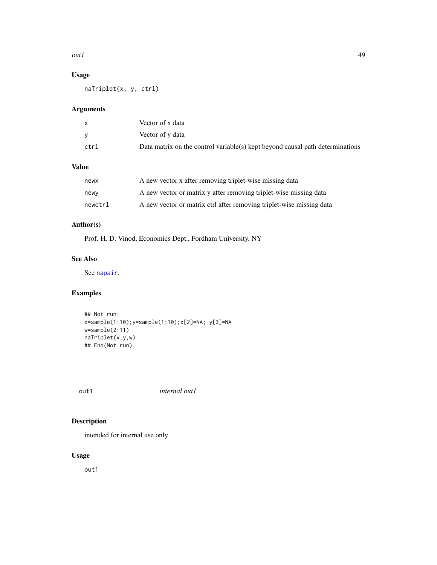#### $\alpha$ utl $\alpha$

# Usage

naTriplet(x, y, ctrl)

# Arguments

| x    | Vector of x data                                                              |
|------|-------------------------------------------------------------------------------|
|      | Vector of y data                                                              |
| ctrl | Data matrix on the control variable(s) kept beyond causal path determinations |

# Value

| newx    | A new vector x after removing triplet-wise missing data              |
|---------|----------------------------------------------------------------------|
| newy    | A new vector or matrix y after removing triplet-wise missing data    |
| newctrl | A new vector or matrix ctrl after removing triplet-wise missing data |

# Author(s)

Prof. H. D. Vinod, Economics Dept., Fordham University, NY

# See Also

See [napair](#page-47-0).

# Examples

```
## Not run:
x=sample(1:10);y=sample(1:10);x[2]=NA; y[3]=NA
w=sample(2:11)
naTriplet(x,y,w)
## End(Not run)
```
out1 *internal out1*

# Description

intended for internal use only

# Usage

out1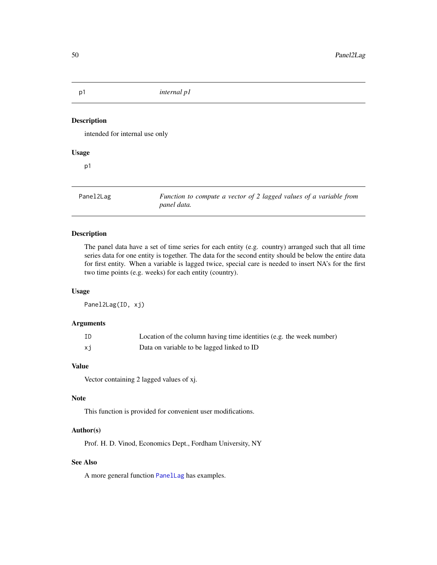intended for internal use only

# Usage

p1

Panel2Lag *Function to compute a vector of 2 lagged values of a variable from panel data.*

## Description

The panel data have a set of time series for each entity (e.g. country) arranged such that all time series data for one entity is together. The data for the second entity should be below the entire data for first entity. When a variable is lagged twice, special care is needed to insert NA's for the first two time points (e.g. weeks) for each entity (country).

# Usage

Panel2Lag(ID, xj)

# Arguments

| ID | Location of the column having time identities (e.g. the week number) |
|----|----------------------------------------------------------------------|
| хj | Data on variable to be lagged linked to ID                           |

# Value

Vector containing 2 lagged values of xj.

## Note

This function is provided for convenient user modifications.

## Author(s)

Prof. H. D. Vinod, Economics Dept., Fordham University, NY

## See Also

A more general function [PanelLag](#page-50-0) has examples.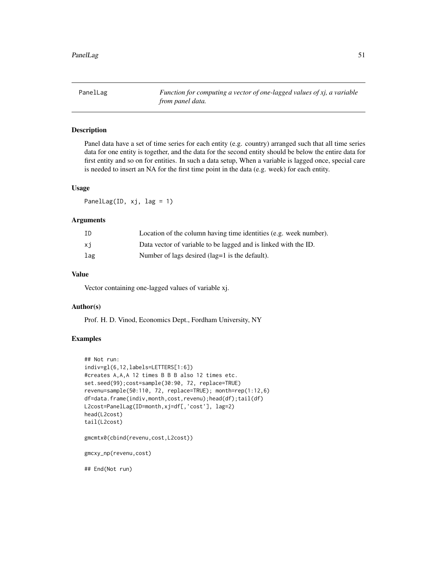<span id="page-50-0"></span>PanelLag *Function for computing a vector of one-lagged values of xj, a variable from panel data.*

# Description

Panel data have a set of time series for each entity (e.g. country) arranged such that all time series data for one entity is together, and the data for the second entity should be below the entire data for first entity and so on for entities. In such a data setup, When a variable is lagged once, special care is needed to insert an NA for the first time point in the data (e.g. week) for each entity.

# Usage

PanelLag(ID, xj, lag = 1)

## Arguments

| ID  | Location of the column having time identities (e.g. week number). |
|-----|-------------------------------------------------------------------|
| xi  | Data vector of variable to be lagged and is linked with the ID.   |
| lag | Number of lags desired (lag=1 is the default).                    |

# Value

Vector containing one-lagged values of variable xj.

### Author(s)

Prof. H. D. Vinod, Economics Dept., Fordham University, NY

## Examples

```
## Not run:
indiv=gl(6,12,labels=LETTERS[1:6])
#creates A,A,A 12 times B B B also 12 times etc.
set.seed(99);cost=sample(30:90, 72, replace=TRUE)
revenu=sample(50:110, 72, replace=TRUE); month=rep(1:12,6)
df=data.frame(indiv,month,cost,revenu);head(df);tail(df)
L2cost=PanelLag(ID=month,xj=df[,'cost'], lag=2)
head(L2cost)
tail(L2cost)
gmcmtx0(cbind(revenu,cost,L2cost))
gmcxy_np(revenu,cost)
## End(Not run)
```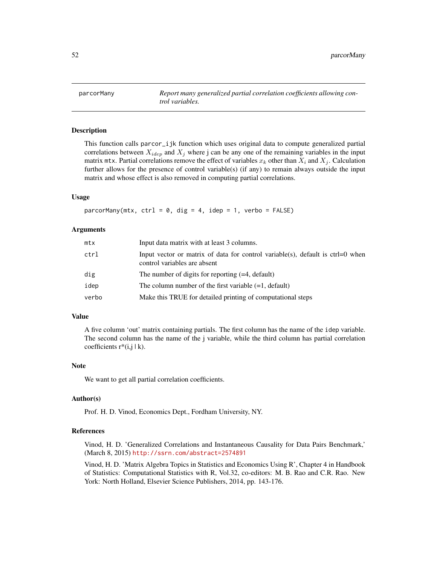parcorMany *Report many generalized partial correlation coefficients allowing control variables.*

## Description

This function calls parcor\_ijk function which uses original data to compute generalized partial correlations between  $X_{idep}$  and  $X_j$  where j can be any one of the remaining variables in the input matrix mtx. Partial correlations remove the effect of variables  $x_k$  other than  $X_i$  and  $X_j$ . Calculation further allows for the presence of control variable(s) (if any) to remain always outside the input matrix and whose effect is also removed in computing partial correlations.

## Usage

parcorMany(mtx, ctrl = 0, dig = 4, idep = 1, verbo = FALSE)

#### Arguments

| mtx   | Input data matrix with at least 3 columns.                                                                       |
|-------|------------------------------------------------------------------------------------------------------------------|
| ctrl  | Input vector or matrix of data for control variable(s), default is $ctrl=0$ when<br>control variables are absent |
| dig   | The number of digits for reporting $(=4, \text{ default})$                                                       |
| idep  | The column number of the first variable $(=1,$ default)                                                          |
| verbo | Make this TRUE for detailed printing of computational steps                                                      |

## Value

A five column 'out' matrix containing partials. The first column has the name of the idep variable. The second column has the name of the j variable, while the third column has partial correlation coefficients  $r^*(i,j | k)$ .

## Note

We want to get all partial correlation coefficients.

#### Author(s)

Prof. H. D. Vinod, Economics Dept., Fordham University, NY.

#### References

Vinod, H. D. 'Generalized Correlations and Instantaneous Causality for Data Pairs Benchmark,' (March 8, 2015) <http://ssrn.com/abstract=2574891>

Vinod, H. D. 'Matrix Algebra Topics in Statistics and Economics Using R', Chapter 4 in Handbook of Statistics: Computational Statistics with R, Vol.32, co-editors: M. B. Rao and C.R. Rao. New York: North Holland, Elsevier Science Publishers, 2014, pp. 143-176.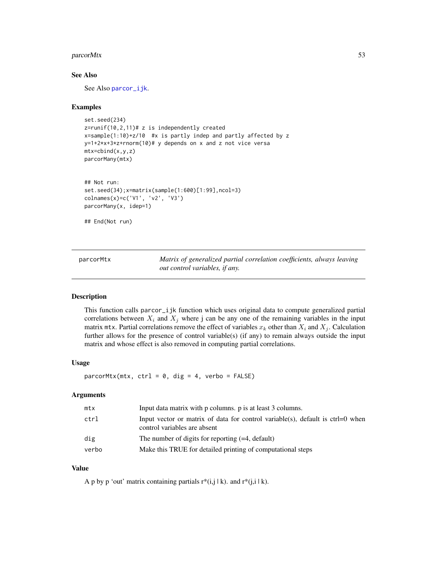#### parcorMtx 53

## See Also

See Also [parcor\\_ijk](#page-55-0).

## Examples

```
set.seed(234)
z=runif(10,2,11)# z is independently created
x=sample(1:10)+z/10 #x is partly indep and partly affected by z
y=1+2*x+3*z+rnorm(10)# y depends on x and z not vice versa
mtx=cbind(x,y,z)
parcorMany(mtx)
## Not run:
set.seed(34);x=matrix(sample(1:600)[1:99],ncol=3)
colnames(x)=c('V1', 'v2', 'V3')
parcorMany(x, idep=1)
## End(Not run)
```
parcorMtx *Matrix of generalized partial correlation coefficients, always leaving out control variables, if any.*

#### Description

This function calls parcor\_ijk function which uses original data to compute generalized partial correlations between  $X_i$  and  $X_j$  where j can be any one of the remaining variables in the input matrix mtx. Partial correlations remove the effect of variables  $x_k$  other than  $X_i$  and  $X_j$ . Calculation further allows for the presence of control variable(s) (if any) to remain always outside the input matrix and whose effect is also removed in computing partial correlations.

## Usage

 $\text{parcorMtx}(\text{mtx}, \text{ctrl} = 0, \text{dig} = 4, \text{verbo} = \text{FALSE})$ 

#### Arguments

| mtx   | Input data matrix with p columns. p is at least 3 columns.                                                              |
|-------|-------------------------------------------------------------------------------------------------------------------------|
| ctrl  | Input vector or matrix of data for control variable(s), default is $\text{ctrl}=0$ when<br>control variables are absent |
| dig   | The number of digits for reporting $(=4, \text{ default})$                                                              |
| verbo | Make this TRUE for detailed printing of computational steps                                                             |

## Value

A p by p 'out' matrix containing partials  $r^*(i,j | k)$ . and  $r^*(j,i | k)$ .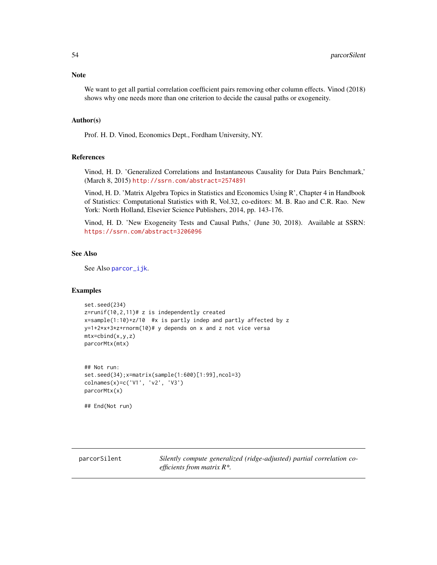## Note

We want to get all partial correlation coefficient pairs removing other column effects. Vinod (2018) shows why one needs more than one criterion to decide the causal paths or exogeneity.

#### Author(s)

Prof. H. D. Vinod, Economics Dept., Fordham University, NY.

# References

Vinod, H. D. 'Generalized Correlations and Instantaneous Causality for Data Pairs Benchmark,' (March 8, 2015) <http://ssrn.com/abstract=2574891>

Vinod, H. D. 'Matrix Algebra Topics in Statistics and Economics Using R', Chapter 4 in Handbook of Statistics: Computational Statistics with R, Vol.32, co-editors: M. B. Rao and C.R. Rao. New York: North Holland, Elsevier Science Publishers, 2014, pp. 143-176.

Vinod, H. D. 'New Exogeneity Tests and Causal Paths,' (June 30, 2018). Available at SSRN: <https://ssrn.com/abstract=3206096>

## See Also

See Also [parcor\\_ijk](#page-55-0).

## Examples

```
set.seed(234)
z=runif(10,2,11)# z is independently created
x=sample(1:10)+z/10 #x is partly indep and partly affected by z
y=1+2*x+3*z+rnorm(10)# y depends on x and z not vice versa
mtx=cbind(x,y,z)
parcorMtx(mtx)
```

```
## Not run:
set.seed(34);x=matrix(sample(1:600)[1:99],ncol=3)
colnames(x)=c('V1', 'v2', 'V3')
parcorMtx(x)
```
## End(Not run)

parcorSilent *Silently compute generalized (ridge-adjusted) partial correlation coefficients from matrix R\*.*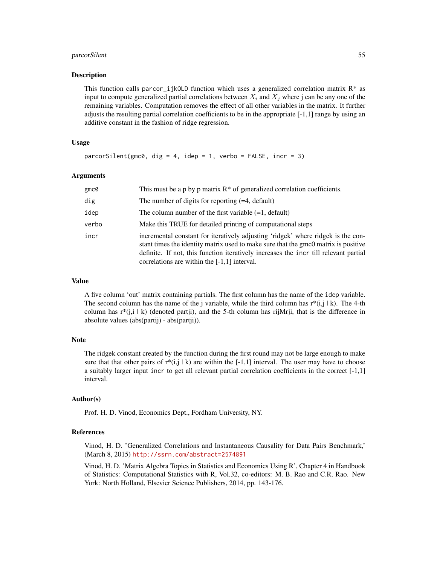## parcorSilent 55

#### Description

This function calls parcor\_ijkOLD function which uses a generalized correlation matrix  $\mathbb{R}^*$  as input to compute generalized partial correlations between  $X_i$  and  $X_j$  where j can be any one of the remaining variables. Computation removes the effect of all other variables in the matrix. It further adjusts the resulting partial correlation coefficients to be in the appropriate [-1,1] range by using an additive constant in the fashion of ridge regression.

## Usage

```
parcorSilent(gmc0, dig = 4, idep = 1, verbo = FALSE, incr = 3)
```
## Arguments

| gmc@  | This must be a p by p matrix $R^*$ of generalized correlation coefficients.                                                                                                                                                                                                                                      |
|-------|------------------------------------------------------------------------------------------------------------------------------------------------------------------------------------------------------------------------------------------------------------------------------------------------------------------|
| dig   | The number of digits for reporting $(=4, \text{ default})$                                                                                                                                                                                                                                                       |
| idep  | The column number of the first variable $(=1,$ default)                                                                                                                                                                                                                                                          |
| verbo | Make this TRUE for detailed printing of computational steps                                                                                                                                                                                                                                                      |
| incr  | incremental constant for iteratively adjusting 'ridgek' where ridgek is the con-<br>stant times the identity matrix used to make sure that the gmc0 matrix is positive<br>definite. If not, this function iteratively increases the incr till relevant partial<br>correlations are within the $[-1,1]$ interval. |

#### Value

A five column 'out' matrix containing partials. The first column has the name of the idep variable. The second column has the name of the j variable, while the third column has  $r^*(i,j | k)$ . The 4-th column has  $r^*(j, i \mid k)$  (denoted partii), and the 5-th column has rijMrji, that is the difference in absolute values (abs(partij) - abs(partji)).

#### Note

The ridgek constant created by the function during the first round may not be large enough to make sure that that other pairs of  $r^*(i,j \mid k)$  are within the [-1,1] interval. The user may have to choose a suitably larger input incr to get all relevant partial correlation coefficients in the correct [-1,1] interval.

## Author(s)

Prof. H. D. Vinod, Economics Dept., Fordham University, NY.

#### References

Vinod, H. D. 'Generalized Correlations and Instantaneous Causality for Data Pairs Benchmark,' (March 8, 2015) <http://ssrn.com/abstract=2574891>

Vinod, H. D. 'Matrix Algebra Topics in Statistics and Economics Using R', Chapter 4 in Handbook of Statistics: Computational Statistics with R, Vol.32, co-editors: M. B. Rao and C.R. Rao. New York: North Holland, Elsevier Science Publishers, 2014, pp. 143-176.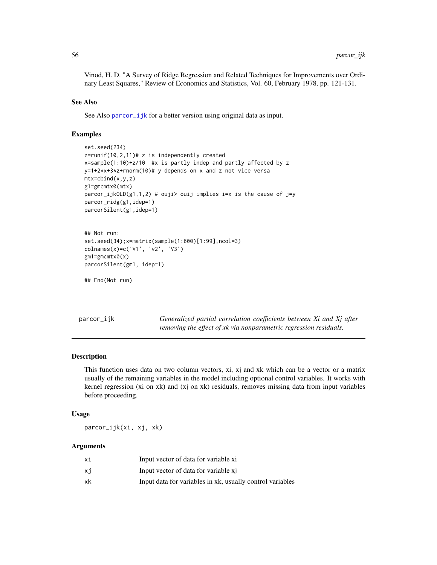Vinod, H. D. "A Survey of Ridge Regression and Related Techniques for Improvements over Ordinary Least Squares," Review of Economics and Statistics, Vol. 60, February 1978, pp. 121-131.

#### See Also

See Also parcor\_i jk for a better version using original data as input.

## Examples

```
set.seed(234)
z=runif(10,2,11)# z is independently created
x=sample(1:10)+z/10 #x is partly indep and partly affected by z
y=1+2*x+3*z+rnorm(10)# y depends on x and z not vice versa
mtx=cbind(x,y,z)g1=gmcmtx0(mtx)
parcor_ijkOLD(g1,1,2) # ouji> ouij implies i=x is the cause of j=y
parcor_ridg(g1,idep=1)
parcorSilent(g1,idep=1)
## Not run:
set.seed(34);x=matrix(sample(1:600)[1:99],ncol=3)
colnames(x)=c('V1', 'v2', 'V3')
```

```
parcorSilent(gm1, idep=1)
```

```
## End(Not run)
```
gm1=gmcmtx0(x)

<span id="page-55-0"></span>parcor\_ijk *Generalized partial correlation coefficients between Xi and Xj after removing the effect of xk via nonparametric regression residuals.*

## Description

This function uses data on two column vectors, xi, xj and xk which can be a vector or a matrix usually of the remaining variables in the model including optional control variables. It works with kernel regression (xi on xk) and (xj on xk) residuals, removes missing data from input variables before proceeding.

## Usage

parcor\_ijk(xi, xj, xk)

#### Arguments

| хi | Input vector of data for variable xi                      |
|----|-----------------------------------------------------------|
| xi | Input vector of data for variable xi                      |
| xk | Input data for variables in xk, usually control variables |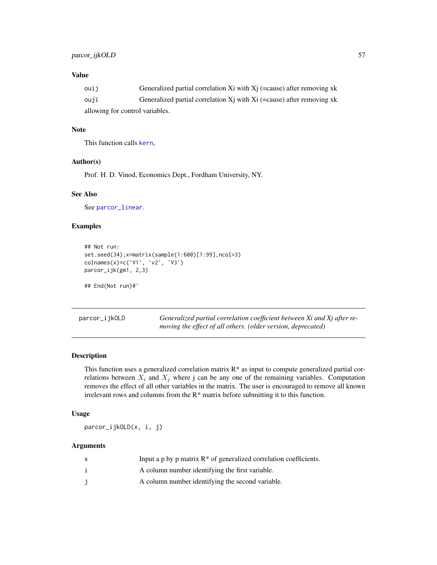## Value

| ouij                            | Generalized partial correlation Xi with $X_i$ (=cause) after removing xk |  |
|---------------------------------|--------------------------------------------------------------------------|--|
| ouji                            | Generalized partial correlation Xi with Xi (=cause) after removing xk    |  |
| allowing for control variables. |                                                                          |  |

## Note

This function calls [kern](#page-38-0),

## Author(s)

Prof. H. D. Vinod, Economics Dept., Fordham University, NY.

#### See Also

See [parcor\\_linear](#page-57-0).

## Examples

```
## Not run:
set.seed(34);x=matrix(sample(1:600)[1:99],ncol=3)
colnames(x)=c('V1', 'v2', 'V3')
parcor_ijk(gm1, 2,3)
```
## End(Not run)#'

<span id="page-56-0"></span>parcor\_ijkOLD *Generalized partial correlation coefficient between Xi and Xj after removing the effect of all others. (older version, deprecated)*

#### Description

This function uses a generalized correlation matrix  $R^*$  as input to compute generalized partial correlations between  $X_i$  and  $X_j$  where j can be any one of the remaining variables. Computation removes the effect of all other variables in the matrix. The user is encouraged to remove all known irrelevant rows and columns from the R\* matrix before submitting it to this function.

# Usage

parcor\_ijkOLD(x, i, j)

## Arguments

| x | Input a p by p matrix $R^*$ of generalized correlation coefficients. |
|---|----------------------------------------------------------------------|
|   | A column number identifying the first variable.                      |
|   | A column number identifying the second variable.                     |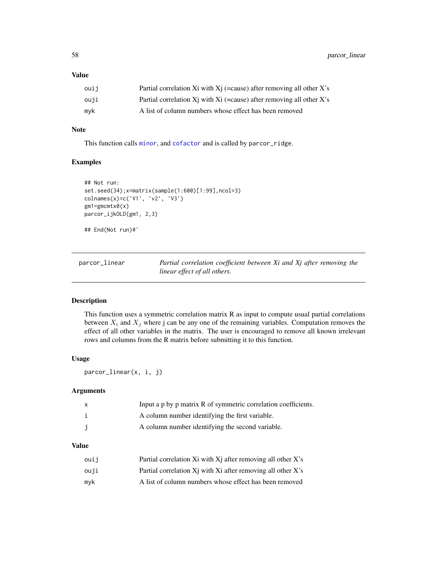## Value

| ouij | Partial correlation Xi with $X_i$ (=cause) after removing all other X's     |
|------|-----------------------------------------------------------------------------|
| ouji | Partial correlation $Xi$ with $Xi$ (=cause) after removing all other $X$ 's |
| myk  | A list of column numbers whose effect has been removed                      |

## Note

This function calls [minor](#page-43-0), and [cofactor](#page-26-0) and is called by parcor\_ridge.

## Examples

```
## Not run:
set.seed(34);x=matrix(sample(1:600)[1:99],ncol=3)
colnames(x)=c('V1', 'v2', 'V3')
gm1=gmcmtx0(x)
parcor_ijkOLD(gm1, 2,3)
## End(Not run)#'
```
<span id="page-57-0"></span>

parcor\_linear *Partial correlation coefficient between Xi and Xj after removing the linear effect of all others.*

## Description

This function uses a symmetric correlation matrix R as input to compute usual partial correlations between  $X_i$  and  $X_j$  where j can be any one of the remaining variables. Computation removes the effect of all other variables in the matrix. The user is encouraged to remove all known irrelevant rows and columns from the R matrix before submitting it to this function.

## Usage

parcor\_linear(x, i, j)

#### Arguments

| Input a p by p matrix R of symmetric correlation coefficients. |
|----------------------------------------------------------------|
| A column number identifying the first variable.                |
| A column number identifying the second variable.               |

#### Value

| ouii | Partial correlation Xi with Xi after removing all other X's        |
|------|--------------------------------------------------------------------|
| ouji | Partial correlation $Xi$ with $Xi$ after removing all other $X$ 's |
| mvk  | A list of column numbers whose effect has been removed             |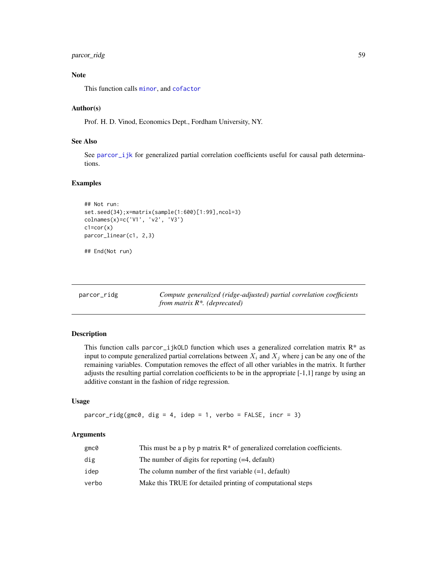# parcor\_ridg 59

# Note

This function calls [minor](#page-43-0), and [cofactor](#page-26-0)

## Author(s)

Prof. H. D. Vinod, Economics Dept., Fordham University, NY.

## See Also

See [parcor\\_ijk](#page-55-0) for generalized partial correlation coefficients useful for causal path determinations.

## Examples

```
## Not run:
set.seed(34);x=matrix(sample(1:600)[1:99],ncol=3)
colnames(x)=c('V1', 'v2', 'V3')
c1=cor(x)parcor_linear(c1, 2,3)
## End(Not run)
```

| parcor_ridg | Compute generalized (ridge-adjusted) partial correlation coefficients |
|-------------|-----------------------------------------------------------------------|
|             | from matrix $R^*$ . (deprecated)                                      |

# Description

This function calls parcor\_i jkOLD function which uses a generalized correlation matrix  $R^*$  as input to compute generalized partial correlations between  $X_i$  and  $X_j$  where j can be any one of the remaining variables. Computation removes the effect of all other variables in the matrix. It further adjusts the resulting partial correlation coefficients to be in the appropriate [-1,1] range by using an additive constant in the fashion of ridge regression.

#### Usage

```
parcor\_ridge(gmc0, dig = 4, idep = 1, verbo = FALSE, incr = 3)
```
#### Arguments

| gmc0  | This must be a p by p matrix $R^*$ of generalized correlation coefficients. |
|-------|-----------------------------------------------------------------------------|
| dig   | The number of digits for reporting $(=4, \text{ default})$                  |
| idep  | The column number of the first variable $(=1,$ default)                     |
| verbo | Make this TRUE for detailed printing of computational steps                 |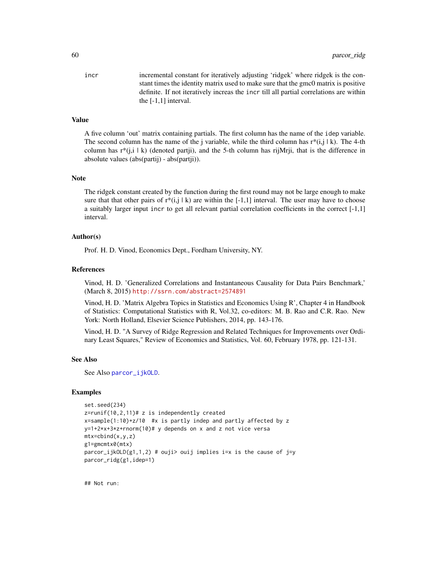incr incremental constant for iteratively adjusting 'ridgek' where ridgek is the constant times the identity matrix used to make sure that the gmc0 matrix is positive definite. If not iteratively increas the incr till all partial correlations are within the [-1,1] interval.

## Value

A five column 'out' matrix containing partials. The first column has the name of the idep variable. The second column has the name of the j variable, while the third column has  $r^*(i,j | k)$ . The 4-th column has  $r^*(i,i | k)$  (denoted partii), and the 5-th column has rijMrii, that is the difference in absolute values (abs(partij) - abs(partji)).

## Note

The ridgek constant created by the function during the first round may not be large enough to make sure that that other pairs of  $r*(i,j \mid k)$  are within the [-1,1] interval. The user may have to choose a suitably larger input incr to get all relevant partial correlation coefficients in the correct [-1,1] interval.

#### Author(s)

Prof. H. D. Vinod, Economics Dept., Fordham University, NY.

#### References

Vinod, H. D. 'Generalized Correlations and Instantaneous Causality for Data Pairs Benchmark,' (March 8, 2015) <http://ssrn.com/abstract=2574891>

Vinod, H. D. 'Matrix Algebra Topics in Statistics and Economics Using R', Chapter 4 in Handbook of Statistics: Computational Statistics with R, Vol.32, co-editors: M. B. Rao and C.R. Rao. New York: North Holland, Elsevier Science Publishers, 2014, pp. 143-176.

Vinod, H. D. "A Survey of Ridge Regression and Related Techniques for Improvements over Ordinary Least Squares," Review of Economics and Statistics, Vol. 60, February 1978, pp. 121-131.

#### See Also

See Also [parcor\\_ijkOLD](#page-56-0).

## Examples

```
set.seed(234)
z=runif(10,2,11)# z is independently created
x=sample(1:10)+z/10 #x is partly indep and partly affected by z
y=1+2*x+3*z+rnorm(10)# y depends on x and z not vice versa
mtx=cbind(x,y,z)g1=gmcmtx0(mtx)
parcor_{ijk}OLD(g1,1,2) # ouji> ouij implies i=x is the cause of j=y
parcor_ridg(g1,idep=1)
```
## Not run: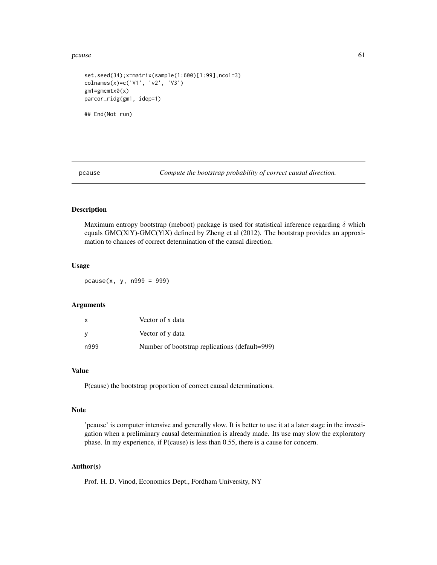#### $pcause$  61

```
set.seed(34);x=matrix(sample(1:600)[1:99],ncol=3)
colnames(x)=c('V1', 'v2', 'V3')
gm1=gmcmtx0(x)
parcor_ridg(gm1, idep=1)
## End(Not run)
```
pcause *Compute the bootstrap probability of correct causal direction.*

## Description

Maximum entropy bootstrap (meboot) package is used for statistical inference regarding  $\delta$  which equals GMC(X|Y)-GMC(Y|X) defined by Zheng et al (2012). The bootstrap provides an approximation to chances of correct determination of the causal direction.

## Usage

pcause(x, y, n999 = 999)

## Arguments

| X    | Vector of x data                               |
|------|------------------------------------------------|
| V    | Vector of y data                               |
| n999 | Number of bootstrap replications (default=999) |

## Value

P(cause) the bootstrap proportion of correct causal determinations.

#### Note

'pcause' is computer intensive and generally slow. It is better to use it at a later stage in the investigation when a preliminary causal determination is already made. Its use may slow the exploratory phase. In my experience, if P(cause) is less than 0.55, there is a cause for concern.

# Author(s)

Prof. H. D. Vinod, Economics Dept., Fordham University, NY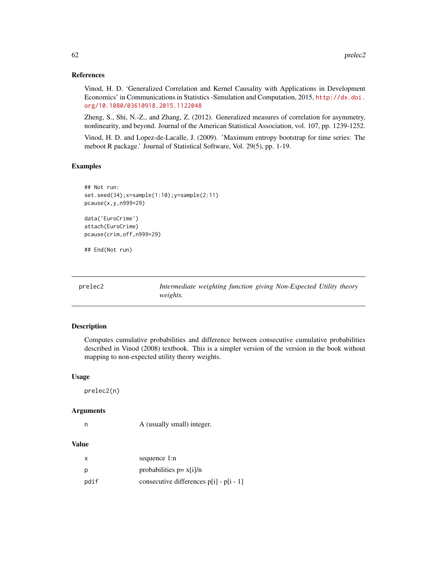## References

Vinod, H. D. 'Generalized Correlation and Kernel Causality with Applications in Development Economics' in Communications in Statistics -Simulation and Computation, 2015, [http://dx.doi.](http://dx.doi.org/10.1080/03610918.2015.1122048) [org/10.1080/03610918.2015.1122048](http://dx.doi.org/10.1080/03610918.2015.1122048)

Zheng, S., Shi, N.-Z., and Zhang, Z. (2012). Generalized measures of correlation for asymmetry, nonlinearity, and beyond. Journal of the American Statistical Association, vol. 107, pp. 1239-1252.

Vinod, H. D. and Lopez-de-Lacalle, J. (2009). 'Maximum entropy bootstrap for time series: The meboot R package.' Journal of Statistical Software, Vol. 29(5), pp. 1-19.

## Examples

```
## Not run:
set.seed(34);x=sample(1:10);y=sample(2:11)
pcause(x,y,n999=29)
```
data('EuroCrime') attach(EuroCrime) pcause(crim,off,n999=29)

## End(Not run)

| prelec2 |                 |  | Intermediate weighting function giving Non-Expected Utility theory |  |
|---------|-----------------|--|--------------------------------------------------------------------|--|
|         | <i>weights.</i> |  |                                                                    |  |

## Description

Computes cumulative probabilities and difference between consecutive cumulative probabilities described in Vinod (2008) textbook. This is a simpler version of the version in the book without mapping to non-expected utility theory weights.

### Usage

prelec2(n)

#### Arguments

|  | A (usually small) integer. |
|--|----------------------------|

## Value

| X    | sequence 1:n                            |
|------|-----------------------------------------|
| р    | probabilities $p = x[i]/n$              |
| pdif | consecutive differences p[i] - p[i - 1] |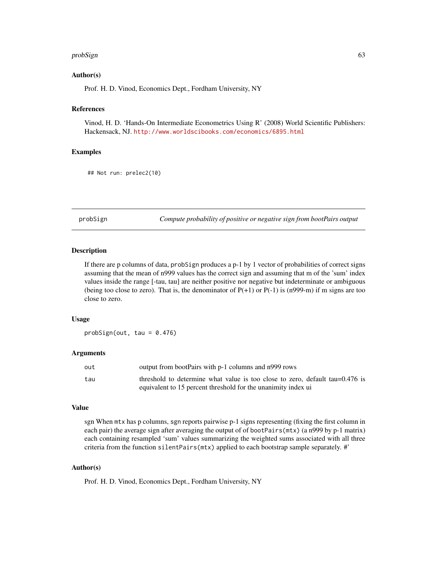#### probSign 63

## Author(s)

Prof. H. D. Vinod, Economics Dept., Fordham University, NY

## References

Vinod, H. D. 'Hands-On Intermediate Econometrics Using R' (2008) World Scientific Publishers: Hackensack, NJ. <http://www.worldscibooks.com/economics/6895.html>

#### Examples

## Not run: prelec2(10)

probSign *Compute probability of positive or negative sign from bootPairs output*

## Description

If there are p columns of data, probSign produces a p-1 by 1 vector of probabilities of correct signs assuming that the mean of n999 values has the correct sign and assuming that m of the 'sum' index values inside the range [-tau, tau] are neither positive nor negative but indeterminate or ambiguous (being too close to zero). That is, the denominator of  $P(+1)$  or  $P(-1)$  is (n999-m) if m signs are too close to zero.

## Usage

 $probability($ out, tau = 0.476)

## Arguments

| out | output from bootPairs with p-1 columns and n999 rows                         |
|-----|------------------------------------------------------------------------------|
| tau | threshold to determine what value is too close to zero, default tau=0.476 is |
|     | equivalent to 15 percent threshold for the unanimity index uj                |

#### Value

sgn When mtx has p columns, sgn reports pairwise p-1 signs representing (fixing the first column in each pair) the average sign after averaging the output of of bootPairs(mtx) (a n999 by p-1 matrix) each containing resampled 'sum' values summarizing the weighted sums associated with all three criteria from the function silentPairs(mtx) applied to each bootstrap sample separately. #'

## Author(s)

Prof. H. D. Vinod, Economics Dept., Fordham University, NY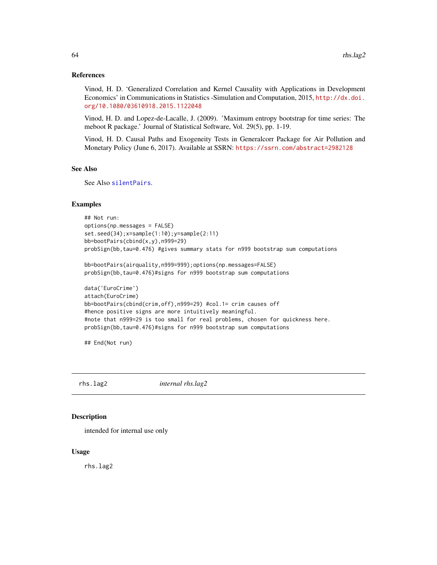#### References

Vinod, H. D. 'Generalized Correlation and Kernel Causality with Applications in Development Economics' in Communications in Statistics -Simulation and Computation, 2015, [http://dx.doi.](http://dx.doi.org/10.1080/03610918.2015.1122048) [org/10.1080/03610918.2015.1122048](http://dx.doi.org/10.1080/03610918.2015.1122048)

Vinod, H. D. and Lopez-de-Lacalle, J. (2009). 'Maximum entropy bootstrap for time series: The meboot R package.' Journal of Statistical Software, Vol. 29(5), pp. 1-19.

Vinod, H. D. Causal Paths and Exogeneity Tests in Generalcorr Package for Air Pollution and Monetary Policy (June 6, 2017). Available at SSRN: <https://ssrn.com/abstract=2982128>

## See Also

See Also [silentPairs](#page-72-0).

# Examples

```
## Not run:
options(np.messages = FALSE)
set.seed(34);x=sample(1:10);y=sample(2:11)
bb=bootPairs(cbind(x,y),n999=29)
probSign(bb,tau=0.476) #gives summary stats for n999 bootstrap sum computations
```
bb=bootPairs(airquality,n999=999);options(np.messages=FALSE) probSign(bb,tau=0.476)#signs for n999 bootstrap sum computations

```
data('EuroCrime')
attach(EuroCrime)
bb=bootPairs(cbind(crim,off),n999=29) #col.1= crim causes off
#hence positive signs are more intuitively meaningful.
#note that n999=29 is too small for real problems, chosen for quickness here.
probSign(bb,tau=0.476)#signs for n999 bootstrap sum computations
```
## End(Not run)

rhs.lag2 *internal rhs.lag2*

#### **Description**

intended for internal use only

#### Usage

rhs.lag2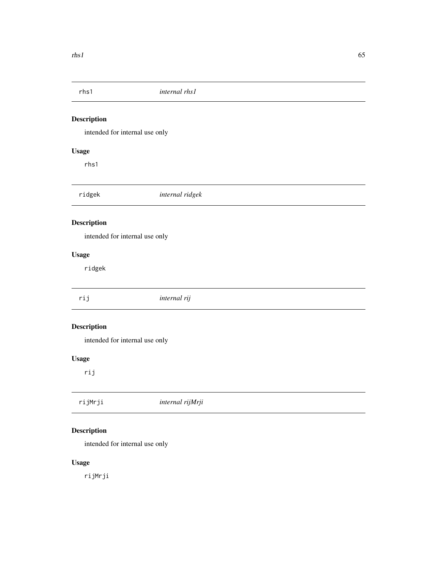intended for internal use only

# Usage

rhs1

ridgek *internal ridgek*

# Description

intended for internal use only

# Usage

ridgek

| rij                | internal rij |
|--------------------|--------------|
| <b>Description</b> |              |

intended for internal use only

# Usage

rij

| rijMrji<br>internal rijMrji |
|-----------------------------|
|-----------------------------|

# Description

intended for internal use only

# Usage

rijMrji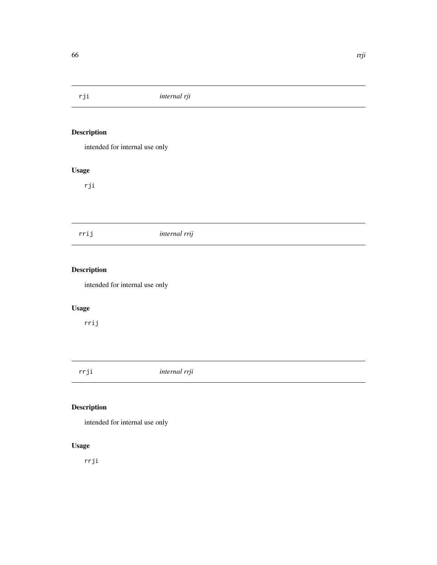intended for internal use only

# Usage

rji

# rrij *internal rrij*

# Description

intended for internal use only

# Usage

rrij

rrji *internal rrji*

# Description

intended for internal use only

# Usage

rrji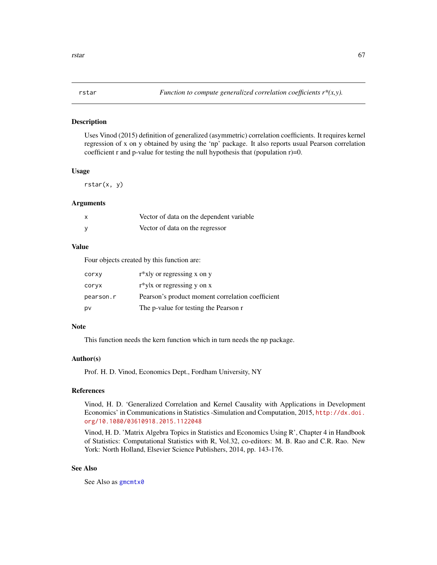Uses Vinod (2015) definition of generalized (asymmetric) correlation coefficients. It requires kernel regression of x on y obtained by using the 'np' package. It also reports usual Pearson correlation coefficient r and p-value for testing the null hypothesis that (population  $r$ )=0.

#### Usage

rstar(x, y)

#### Arguments

| X        | Vector of data on the dependent variable |
|----------|------------------------------------------|
| <b>V</b> | Vector of data on the regressor          |

## Value

Four objects created by this function are:

| corxy     | $r^*$ xly or regressing x on y                   |
|-----------|--------------------------------------------------|
| coryx     | $r^*y$ x or regressing y on x                    |
| pearson.r | Pearson's product moment correlation coefficient |
| p٧        | The p-value for testing the Pearson r            |

## Note

This function needs the kern function which in turn needs the np package.

## Author(s)

Prof. H. D. Vinod, Economics Dept., Fordham University, NY

## References

Vinod, H. D. 'Generalized Correlation and Kernel Causality with Applications in Development Economics' in Communications in Statistics -Simulation and Computation, 2015, [http://dx.doi.](http://dx.doi.org/10.1080/03610918.2015.1122048) [org/10.1080/03610918.2015.1122048](http://dx.doi.org/10.1080/03610918.2015.1122048)

Vinod, H. D. 'Matrix Algebra Topics in Statistics and Economics Using R', Chapter 4 in Handbook of Statistics: Computational Statistics with R, Vol.32, co-editors: M. B. Rao and C.R. Rao. New York: North Holland, Elsevier Science Publishers, 2014, pp. 143-176.

## See Also

See Also as [gmcmtx0](#page-33-0)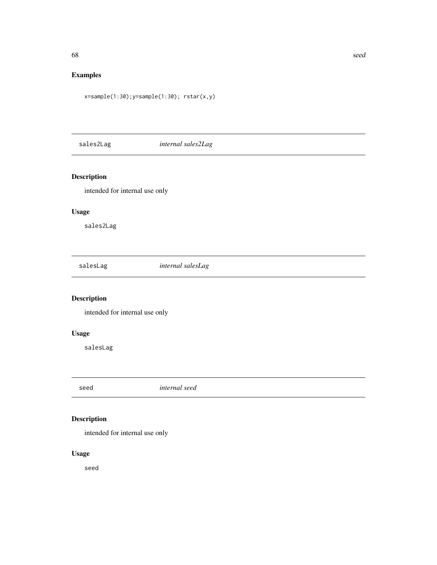# Examples

x=sample(1:30);y=sample(1:30); rstar(x,y)

sales2Lag *internal sales2Lag*

# Description

intended for internal use only

# Usage

sales2Lag

salesLag *internal salesLag*

# Description

intended for internal use only

# Usage

salesLag

seed *internal seed*

# Description

intended for internal use only

# Usage

seed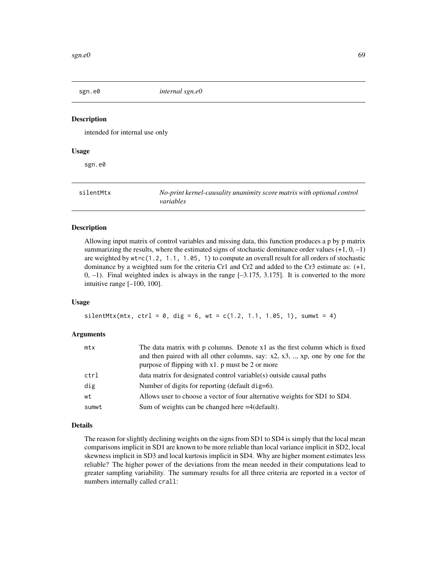intended for internal use only

#### Usage

sgn.e0

silentMtx *No-print kernel-causality unanimity score matrix with optional control variables*

## Description

Allowing input matrix of control variables and missing data, this function produces a p by p matrix summarizing the results, where the estimated signs of stochastic dominance order values  $(+1, 0, -1)$ are weighted by wt=c(1.2, 1.1, 1.05, 1) to compute an overall result for all orders of stochastic dominance by a weighted sum for the criteria Cr1 and Cr2 and added to the Cr3 estimate as: (+1,  $0, -1$ ). Final weighted index is always in the range  $[-3.175, 3.175]$ . It is converted to the more intuitive range [–100, 100].

#### Usage

 $silentMtx(mtx, ctr1 = 0, dig = 6, wt = c(1.2, 1.1, 1.05, 1), sumwt = 4)$ 

## Arguments

| mtx   | The data matrix with p columns. Denote x1 as the first column which is fixed           |
|-------|----------------------------------------------------------------------------------------|
|       | and then paired with all other columns, say: $x2, x3, \ldots, xp$ , one by one for the |
|       | purpose of flipping with $x1$ . p must be 2 or more                                    |
| ctrl  | data matrix for designated control variable(s) outside causal paths                    |
| dig   | Number of digits for reporting (default dig=6).                                        |
| wt    | Allows user to choose a vector of four alternative weights for SD1 to SD4.             |
| sumwt | Sum of weights can be changed here $=4$ (default).                                     |

## Details

The reason for slightly declining weights on the signs from SD1 to SD4 is simply that the local mean comparisons implicit in SD1 are known to be more reliable than local variance implicit in SD2, local skewness implicit in SD3 and local kurtosis implicit in SD4. Why are higher moment estimates less reliable? The higher power of the deviations from the mean needed in their computations lead to greater sampling variability. The summary results for all three criteria are reported in a vector of numbers internally called crall: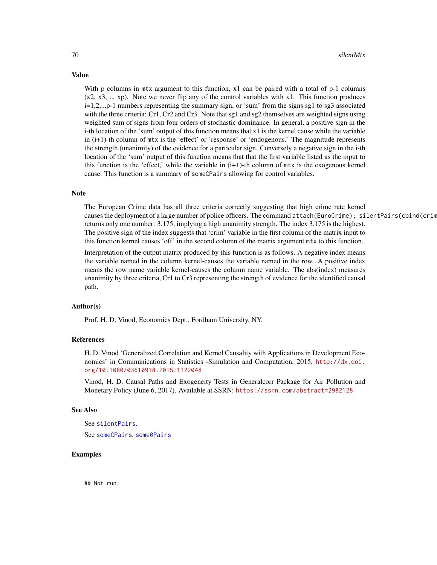#### 70 silentMtx

Value

With p columns in mtx argument to this function, x1 can be paired with a total of p-1 columns  $(x2, x3, \ldots, xp)$ . Note we never flip any of the control variables with x1. This function produces i=1,2,..,p-1 numbers representing the summary sign, or 'sum' from the signs sg1 to sg3 associated with the three criteria: Cr1, Cr2 and Cr3. Note that sg1 and sg2 themselves are weighted signs using weighted sum of signs from four orders of stochastic dominance. In general, a positive sign in the i-th location of the 'sum' output of this function means that x1 is the kernel cause while the variable in (i+1)-th column of mtx is the 'effect' or 'response' or 'endogenous.' The magnitude represents the strength (unanimity) of the evidence for a particular sign. Conversely a negative sign in the i-th location of the 'sum' output of this function means that that the first variable listed as the input to this function is the 'effect,' while the variable in  $(i+1)$ -th column of  $mtx$  is the exogenous kernel cause. This function is a summary of someCPairs allowing for control variables.

## Note

The European Crime data has all three criteria correctly suggesting that high crime rate kernel causes the deployment of a large number of police officers. The command attach(EuroCrime); silentPairs(cbind(crim returns only one number: 3.175, implying a high unanimity strength. The index 3.175 is the highest. The positive sign of the index suggests that 'crim' variable in the first column of the matrix input to this function kernel causes 'off' in the second column of the matrix argument mtx to this function.

Interpretation of the output matrix produced by this function is as follows. A negative index means the variable named in the column kernel-causes the variable named in the row. A positive index means the row name variable kernel-causes the column name variable. The abs(index) measures unanimity by three criteria, Cr1 to Cr3 representing the strength of evidence for the identified causal path.

#### Author(s)

Prof. H. D. Vinod, Economics Dept., Fordham University, NY.

## References

H. D. Vinod 'Generalized Correlation and Kernel Causality with Applications in Development Economics' in Communications in Statistics -Simulation and Computation, 2015, [http://dx.doi.](http://dx.doi.org/10.1080/03610918.2015.1122048) [org/10.1080/03610918.2015.1122048](http://dx.doi.org/10.1080/03610918.2015.1122048)

Vinod, H. D. Causal Paths and Exogeneity Tests in Generalcorr Package for Air Pollution and Monetary Policy (June 6, 2017). Available at SSRN: <https://ssrn.com/abstract=2982128>

#### See Also

```
See silentPairs.
someCPairssome0Pairs
```
## Examples

## Not run: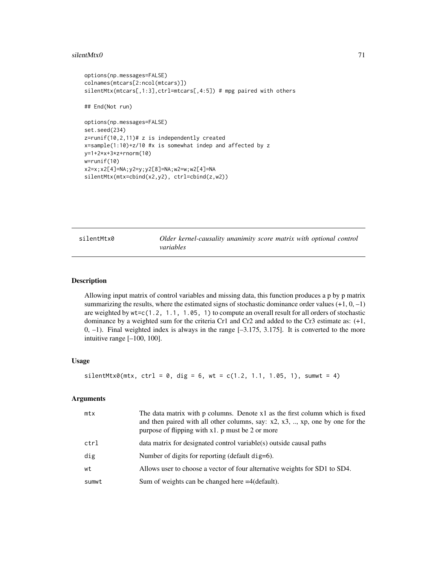#### $s$ ilentMtx0 71

```
options(np.messages=FALSE)
colnames(mtcars[2:ncol(mtcars)])
silentMtx(mtcars[,1:3],ctrl=mtcars[,4:5]) # mpg paired with others
## End(Not run)
options(np.messages=FALSE)
set.seed(234)
z=runif(10,2,11)# z is independently created
x=sample(1:10)+z/10 #x is somewhat indep and affected by z
y=1+2*x+3*z+rnorm(10)
w=runif(10)
x2=x;x2[4]=NA;y2=y;y2[8]=NA;w2=w;w2[4]=NA
silentMtx(mtx=cbind(x2,y2), ctrl=cbind(z,w2))
```
silentMtx0 *Older kernel-causality unanimity score matrix with optional control variables*

#### Description

Allowing input matrix of control variables and missing data, this function produces a p by p matrix summarizing the results, where the estimated signs of stochastic dominance order values  $(+1, 0, -1)$ are weighted by wt=c(1.2, 1.1, 1.05, 1) to compute an overall result for all orders of stochastic dominance by a weighted sum for the criteria Cr1 and Cr2 and added to the Cr3 estimate as: (+1, 0, –1). Final weighted index is always in the range [–3.175, 3.175]. It is converted to the more intuitive range [–100, 100].

#### Usage

```
silentMtx0(mx, ctr1 = 0, dig = 6, wt = c(1.2, 1.1, 1.05, 1), sumwt = 4)
```
## Arguments

| mtx   | The data matrix with p columns. Denote x1 as the first column which is fixed<br>and then paired with all other columns, say: $x2$ , $x3$ , , xp, one by one for the<br>purpose of flipping with x1. p must be 2 or more |
|-------|-------------------------------------------------------------------------------------------------------------------------------------------------------------------------------------------------------------------------|
| ctrl  | data matrix for designated control variable(s) outside causal paths                                                                                                                                                     |
| dig   | Number of digits for reporting (default dig=6).                                                                                                                                                                         |
| wt    | Allows user to choose a vector of four alternative weights for SD1 to SD4.                                                                                                                                              |
| sumwt | Sum of weights can be changed here $=4$ (default).                                                                                                                                                                      |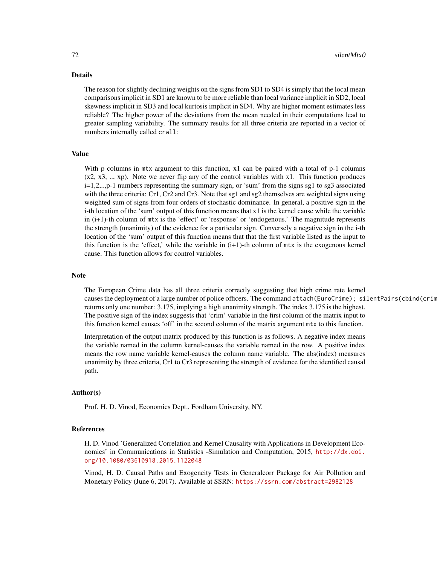# Details

The reason for slightly declining weights on the signs from SD1 to SD4 is simply that the local mean comparisons implicit in SD1 are known to be more reliable than local variance implicit in SD2, local skewness implicit in SD3 and local kurtosis implicit in SD4. Why are higher moment estimates less reliable? The higher power of the deviations from the mean needed in their computations lead to greater sampling variability. The summary results for all three criteria are reported in a vector of numbers internally called crall:

## Value

With p columns in mtx argument to this function, x1 can be paired with a total of p-1 columns  $(x2, x3, \ldots, xp)$ . Note we never flip any of the control variables with x1. This function produces i=1,2,..,p-1 numbers representing the summary sign, or 'sum' from the signs sg1 to sg3 associated with the three criteria: Cr1, Cr2 and Cr3. Note that sg1 and sg2 themselves are weighted signs using weighted sum of signs from four orders of stochastic dominance. In general, a positive sign in the i-th location of the 'sum' output of this function means that x1 is the kernel cause while the variable in (i+1)-th column of mtx is the 'effect' or 'response' or 'endogenous.' The magnitude represents the strength (unanimity) of the evidence for a particular sign. Conversely a negative sign in the i-th location of the 'sum' output of this function means that that the first variable listed as the input to this function is the 'effect,' while the variable in  $(i+1)$ -th column of  $mtx$  is the exogenous kernel cause. This function allows for control variables.

## **Note**

The European Crime data has all three criteria correctly suggesting that high crime rate kernel causes the deployment of a large number of police officers. The command attach(EuroCrime); silentPairs(cbind(crim returns only one number: 3.175, implying a high unanimity strength. The index 3.175 is the highest. The positive sign of the index suggests that 'crim' variable in the first column of the matrix input to this function kernel causes 'off' in the second column of the matrix argument mtx to this function.

Interpretation of the output matrix produced by this function is as follows. A negative index means the variable named in the column kernel-causes the variable named in the row. A positive index means the row name variable kernel-causes the column name variable. The abs(index) measures unanimity by three criteria, Cr1 to Cr3 representing the strength of evidence for the identified causal path.

#### Author(s)

Prof. H. D. Vinod, Economics Dept., Fordham University, NY.

#### References

H. D. Vinod 'Generalized Correlation and Kernel Causality with Applications in Development Economics' in Communications in Statistics -Simulation and Computation, 2015, [http://dx.doi.](http://dx.doi.org/10.1080/03610918.2015.1122048) [org/10.1080/03610918.2015.1122048](http://dx.doi.org/10.1080/03610918.2015.1122048)

Vinod, H. D. Causal Paths and Exogeneity Tests in Generalcorr Package for Air Pollution and Monetary Policy (June 6, 2017). Available at SSRN: <https://ssrn.com/abstract=2982128>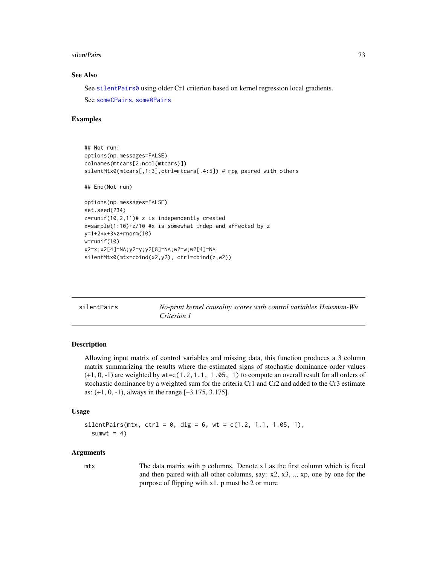#### <span id="page-72-1"></span>silentPairs 73

#### See Also

See [silentPairs0](#page-74-0) using older Cr1 criterion based on kernel regression local gradients. See [someCPairs](#page-78-0), [some0Pairs](#page-76-0)

#### Examples

```
## Not run:
options(np.messages=FALSE)
colnames(mtcars[2:ncol(mtcars)])
silentMtx0(mtcars[,1:3],ctrl=mtcars[,4:5]) # mpg paired with others
## End(Not run)
options(np.messages=FALSE)
set.seed(234)
z=runif(10,2,11)# z is independently created
x=sample(1:10)+z/10 #x is somewhat indep and affected by z
y=1+2*x+3*z+rnorm(10)
w=runif(10)
x2=x;x2[4]=NA;y2=y;y2[8]=NA;w2=w;w2[4]=NA
silentMtx0(mtx=cbind(x2,y2), ctrl=cbind(z,w2))
```
<span id="page-72-0"></span>

| silentPairs | No-print kernel causality scores with control variables Hausman-Wu |
|-------------|--------------------------------------------------------------------|
|             | Criterion 1                                                        |

#### Description

Allowing input matrix of control variables and missing data, this function produces a 3 column matrix summarizing the results where the estimated signs of stochastic dominance order values  $(+1, 0, -1)$  are weighted by  $wt = c(1, 2, 1, 1, 1, 0.6, 1)$  to compute an overall result for all orders of stochastic dominance by a weighted sum for the criteria Cr1 and Cr2 and added to the Cr3 estimate as: (+1, 0, -1), always in the range [–3.175, 3.175].

# Usage

```
silentPairs(mtx, ctrl = 0, dig = 6, wt = c(1.2, 1.1, 1.05, 1),
  sumwt = 4)
```
#### Arguments

mtx The data matrix with p columns. Denote x1 as the first column which is fixed and then paired with all other columns, say: x2, x3, .., xp, one by one for the purpose of flipping with x1. p must be 2 or more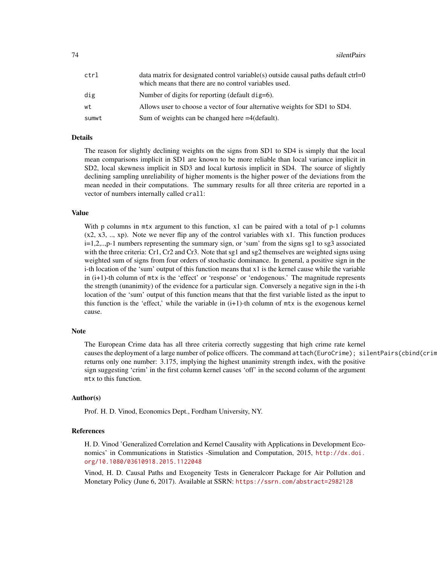| ctrl  | data matrix for designated control variable(s) outside causal paths default ctrl=0<br>which means that there are no control variables used. |
|-------|---------------------------------------------------------------------------------------------------------------------------------------------|
| dig   | Number of digits for reporting (default dig=6).                                                                                             |
| wt    | Allows user to choose a vector of four alternative weights for SD1 to SD4.                                                                  |
| sumwt | Sum of weights can be changed here $=4$ (default).                                                                                          |

# Details

The reason for slightly declining weights on the signs from SD1 to SD4 is simply that the local mean comparisons implicit in SD1 are known to be more reliable than local variance implicit in SD2, local skewness implicit in SD3 and local kurtosis implicit in SD4. The source of slightly declining sampling unreliability of higher moments is the higher power of the deviations from the mean needed in their computations. The summary results for all three criteria are reported in a vector of numbers internally called crall:

#### Value

With p columns in mtx argument to this function, x1 can be paired with a total of p-1 columns  $(x2, x3, \ldots, xp)$ . Note we never flip any of the control variables with x1. This function produces i=1,2,..,p-1 numbers representing the summary sign, or 'sum' from the signs sg1 to sg3 associated with the three criteria: Cr1, Cr2 and Cr3. Note that sg1 and sg2 themselves are weighted signs using weighted sum of signs from four orders of stochastic dominance. In general, a positive sign in the i-th location of the 'sum' output of this function means that x1 is the kernel cause while the variable in (i+1)-th column of mtx is the 'effect' or 'response' or 'endogenous.' The magnitude represents the strength (unanimity) of the evidence for a particular sign. Conversely a negative sign in the i-th location of the 'sum' output of this function means that that the first variable listed as the input to this function is the 'effect,' while the variable in  $(i+1)$ -th column of  $mtx$  is the exogenous kernel cause.

### **Note**

The European Crime data has all three criteria correctly suggesting that high crime rate kernel causes the deployment of a large number of police officers. The command attach(EuroCrime); silentPairs(cbind(crim returns only one number: 3.175, implying the highest unanimity strength index, with the positive sign suggesting 'crim' in the first column kernel causes 'off' in the second column of the argument mtx to this function.

#### Author(s)

Prof. H. D. Vinod, Economics Dept., Fordham University, NY.

#### References

H. D. Vinod 'Generalized Correlation and Kernel Causality with Applications in Development Economics' in Communications in Statistics -Simulation and Computation, 2015, [http://dx.doi.](http://dx.doi.org/10.1080/03610918.2015.1122048) [org/10.1080/03610918.2015.1122048](http://dx.doi.org/10.1080/03610918.2015.1122048)

Vinod, H. D. Causal Paths and Exogeneity Tests in Generalcorr Package for Air Pollution and Monetary Policy (June 6, 2017). Available at SSRN: <https://ssrn.com/abstract=2982128>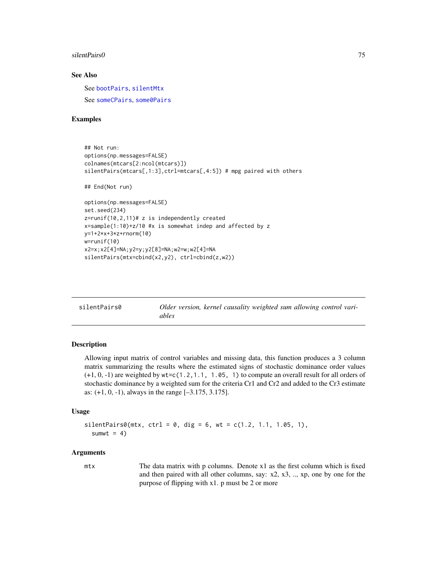#### <span id="page-74-1"></span>silentPairs0 75

# See Also

See [bootPairs](#page-13-0), [silentMtx](#page-68-0) See [someCPairs](#page-78-0), [some0Pairs](#page-76-0)

# Examples

```
## Not run:
options(np.messages=FALSE)
colnames(mtcars[2:ncol(mtcars)])
silentPairs(mtcars[,1:3],ctrl=mtcars[,4:5]) # mpg paired with others
## End(Not run)
options(np.messages=FALSE)
set.seed(234)
z=runif(10,2,11)# z is independently created
x=sample(1:10)+z/10 #x is somewhat indep and affected by z
y=1+2*x+3*z+rnorm(10)
w=runif(10)
x2=x;x2[4]=NA;y2=y;y2[8]=NA;w2=w;w2[4]=NA
silentPairs(mtx=cbind(x2,y2), ctrl=cbind(z,w2))
```
<span id="page-74-0"></span>

| silentPairs0 | Older version, kernel causality weighted sum allowing control vari- |
|--------------|---------------------------------------------------------------------|
|              | ables                                                               |

# Description

Allowing input matrix of control variables and missing data, this function produces a 3 column matrix summarizing the results where the estimated signs of stochastic dominance order values  $(+1, 0, -1)$  are weighted by  $wt = c(1, 2, 1, 1, 1, 0.6, 1)$  to compute an overall result for all orders of stochastic dominance by a weighted sum for the criteria Cr1 and Cr2 and added to the Cr3 estimate as: (+1, 0, -1), always in the range [–3.175, 3.175].

# Usage

```
silentPairs@(mtx, ctr1 = 0, dig = 6, wt = c(1.2, 1.1, 1.05, 1),sumwt = 4)
```
#### Arguments

mtx The data matrix with p columns. Denote x1 as the first column which is fixed and then paired with all other columns, say: x2, x3, .., xp, one by one for the purpose of flipping with x1. p must be 2 or more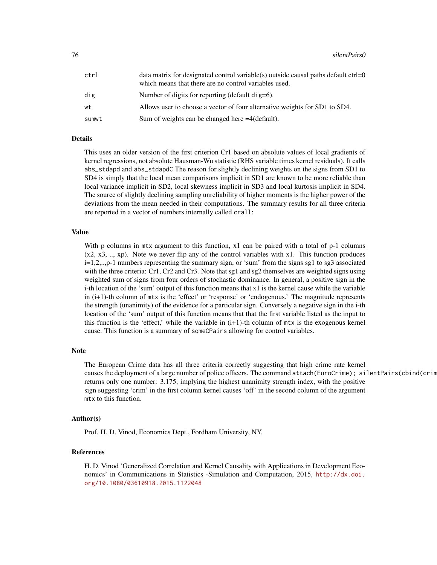| ctrl  | data matrix for designated control variable(s) outside causal paths default ctrl=0<br>which means that there are no control variables used. |
|-------|---------------------------------------------------------------------------------------------------------------------------------------------|
| dig   | Number of digits for reporting (default dig=6).                                                                                             |
| wt    | Allows user to choose a vector of four alternative weights for SD1 to SD4.                                                                  |
| sumwt | Sum of weights can be changed here $=4$ (default).                                                                                          |

# Details

This uses an older version of the first criterion Cr1 based on absolute values of local gradients of kernel regressions, not absolute Hausman-Wu statistic (RHS variable times kernel residuals). It calls abs\_stdapd and abs\_stdapdC The reason for slightly declining weights on the signs from SD1 to SD4 is simply that the local mean comparisons implicit in SD1 are known to be more reliable than local variance implicit in SD2, local skewness implicit in SD3 and local kurtosis implicit in SD4. The source of slightly declining sampling unreliability of higher moments is the higher power of the deviations from the mean needed in their computations. The summary results for all three criteria are reported in a vector of numbers internally called crall:

# Value

With p columns in mtx argument to this function, x1 can be paired with a total of p-1 columns  $(x2, x3, \ldots, xp)$ . Note we never flip any of the control variables with x1. This function produces i=1,2,..,p-1 numbers representing the summary sign, or 'sum' from the signs sg1 to sg3 associated with the three criteria: Cr1, Cr2 and Cr3. Note that sg1 and sg2 themselves are weighted signs using weighted sum of signs from four orders of stochastic dominance. In general, a positive sign in the i-th location of the 'sum' output of this function means that x1 is the kernel cause while the variable in (i+1)-th column of mtx is the 'effect' or 'response' or 'endogenous.' The magnitude represents the strength (unanimity) of the evidence for a particular sign. Conversely a negative sign in the i-th location of the 'sum' output of this function means that that the first variable listed as the input to this function is the 'effect,' while the variable in  $(i+1)$ -th column of  $mtx$  is the exogenous kernel cause. This function is a summary of someCPairs allowing for control variables.

#### Note

The European Crime data has all three criteria correctly suggesting that high crime rate kernel causes the deployment of a large number of police officers. The command attach(EuroCrime); silentPairs(cbind(crim returns only one number: 3.175, implying the highest unanimity strength index, with the positive sign suggesting 'crim' in the first column kernel causes 'off' in the second column of the argument mtx to this function.

#### Author(s)

Prof. H. D. Vinod, Economics Dept., Fordham University, NY.

#### References

H. D. Vinod 'Generalized Correlation and Kernel Causality with Applications in Development Economics' in Communications in Statistics -Simulation and Computation, 2015, [http://dx.doi.](http://dx.doi.org/10.1080/03610918.2015.1122048) [org/10.1080/03610918.2015.1122048](http://dx.doi.org/10.1080/03610918.2015.1122048)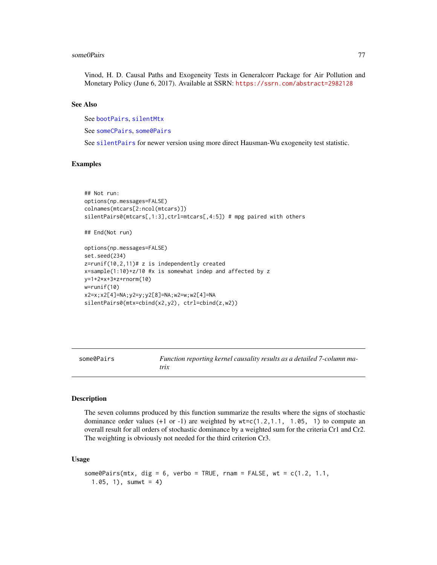#### <span id="page-76-1"></span>some0Pairs 77

Vinod, H. D. Causal Paths and Exogeneity Tests in Generalcorr Package for Air Pollution and Monetary Policy (June 6, 2017). Available at SSRN: <https://ssrn.com/abstract=2982128>

#### See Also

See [bootPairs](#page-13-0), [silentMtx](#page-68-0)

See [someCPairs](#page-78-0), [some0Pairs](#page-76-0)

See [silentPairs](#page-72-0) for newer version using more direct Hausman-Wu exogeneity test statistic.

# Examples

```
## Not run:
options(np.messages=FALSE)
colnames(mtcars[2:ncol(mtcars)])
silentPairs0(mtcars[,1:3],ctrl=mtcars[,4:5]) # mpg paired with others
```

```
## End(Not run)
```

```
options(np.messages=FALSE)
set.seed(234)
z=runif(10,2,11)# z is independently created
x=sample(1:10)+z/10 #x is somewhat indep and affected by z
y=1+2*x+3*z+rnorm(10)
w=runif(10)
x2=x;x2[4]=NA;y2=y;y2[8]=NA;w2=w;w2[4]=NA
silentPairs0(mtx=cbind(x2,y2), ctrl=cbind(z,w2))
```
<span id="page-76-0"></span>some0Pairs *Function reporting kernel causality results as a detailed 7-column matrix*

#### Description

The seven columns produced by this function summarize the results where the signs of stochastic dominance order values  $(+1 \text{ or } -1)$  are weighted by  $wt = c(1, 2, 1, 1, 1, 0.05, 1)$  to compute an overall result for all orders of stochastic dominance by a weighted sum for the criteria Cr1 and Cr2. The weighting is obviously not needed for the third criterion Cr3.

# Usage

```
some0Pairs(mtx, dig = 6, verbo = TRUE, rnam = FALSE, wt = c(1.2, 1.1, 1)1.05, 1), sumwt = 4)
```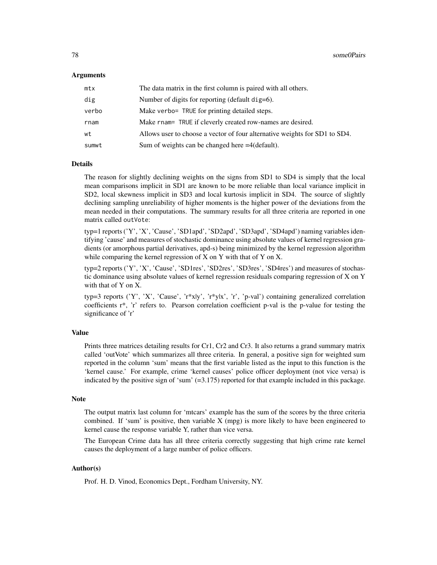#### Arguments

| mtx   | The data matrix in the first column is paired with all others.             |
|-------|----------------------------------------------------------------------------|
| dig   | Number of digits for reporting (default dig=6).                            |
| verbo | Make verbo= TRUE for printing detailed steps.                              |
| rnam  | Make rnam= TRUE if cleverly created row-names are desired.                 |
| wt    | Allows user to choose a vector of four alternative weights for SD1 to SD4. |
| sumwt | Sum of weights can be changed here $=4$ (default).                         |

# Details

The reason for slightly declining weights on the signs from SD1 to SD4 is simply that the local mean comparisons implicit in SD1 are known to be more reliable than local variance implicit in SD2, local skewness implicit in SD3 and local kurtosis implicit in SD4. The source of slightly declining sampling unreliability of higher moments is the higher power of the deviations from the mean needed in their computations. The summary results for all three criteria are reported in one matrix called outVote:

typ=1 reports ('Y', 'X', 'Cause', 'SD1apd', 'SD2apd', 'SD3apd', 'SD4apd') naming variables identifying 'cause' and measures of stochastic dominance using absolute values of kernel regression gradients (or amorphous partial derivatives, apd-s) being minimized by the kernel regression algorithm while comparing the kernel regression of X on Y with that of Y on X.

typ=2 reports ('Y', 'X', 'Cause', 'SD1res', 'SD2res', 'SD3res', 'SD4res') and measures of stochastic dominance using absolute values of kernel regression residuals comparing regression of X on Y with that of Y on X.

typ=3 reports ('Y', 'X', 'Cause', 'r\*x|y', 'r\*y|x', 'r', 'p-val') containing generalized correlation coefficients r\*, 'r' refers to. Pearson correlation coefficient p-val is the p-value for testing the significance of 'r'

## Value

Prints three matrices detailing results for Cr1, Cr2 and Cr3. It also returns a grand summary matrix called 'outVote' which summarizes all three criteria. In general, a positive sign for weighted sum reported in the column 'sum' means that the first variable listed as the input to this function is the 'kernel cause.' For example, crime 'kernel causes' police officer deployment (not vice versa) is indicated by the positive sign of 'sum'  $(=3.175)$  reported for that example included in this package.

#### **Note**

The output matrix last column for 'mtcars' example has the sum of the scores by the three criteria combined. If 'sum' is positive, then variable  $X$  (mpg) is more likely to have been engineered to kernel cause the response variable Y, rather than vice versa.

The European Crime data has all three criteria correctly suggesting that high crime rate kernel causes the deployment of a large number of police officers.

# Author(s)

Prof. H. D. Vinod, Economics Dept., Fordham University, NY.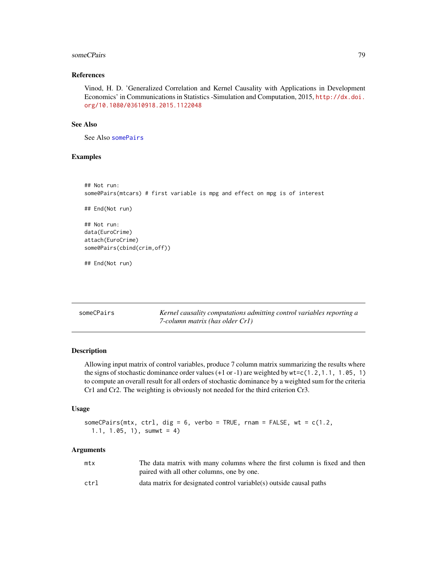#### <span id="page-78-1"></span>someCPairs 79

#### References

Vinod, H. D. 'Generalized Correlation and Kernel Causality with Applications in Development Economics' in Communications in Statistics -Simulation and Computation, 2015, [http://dx.doi.](http://dx.doi.org/10.1080/03610918.2015.1122048) [org/10.1080/03610918.2015.1122048](http://dx.doi.org/10.1080/03610918.2015.1122048)

#### See Also

See Also [somePairs](#page-84-0)

# Examples

```
## Not run:
some0Pairs(mtcars) # first variable is mpg and effect on mpg is of interest
## End(Not run)
## Not run:
data(EuroCrime)
attach(EuroCrime)
some0Pairs(cbind(crim,off))
## End(Not run)
```
<span id="page-78-0"></span>

| someCPairs | Kernel causality computations admitting control variables reporting a |
|------------|-----------------------------------------------------------------------|
|            | 7-column matrix (has older Cr1)                                       |

# Description

Allowing input matrix of control variables, produce 7 column matrix summarizing the results where the signs of stochastic dominance order values  $(+1 \text{ or } -1)$  are weighted by  $\text{wt} = c(1 \cdot 2, 1 \cdot 1, 1 \cdot 05, 1)$ to compute an overall result for all orders of stochastic dominance by a weighted sum for the criteria Cr1 and Cr2. The weighting is obviously not needed for the third criterion Cr3.

#### Usage

```
someCPairs(mtx, ctrl, dig = 6, verbo = TRUE, rnam = FALSE, wt = c(1.2),
  1.1, 1.05, 1), sumwt = 4)
```
#### Arguments

| mtx  | The data matrix with many columns where the first column is fixed and then |
|------|----------------------------------------------------------------------------|
|      | paired with all other columns, one by one.                                 |
| ctrl | data matrix for designated control variable(s) outside causal paths        |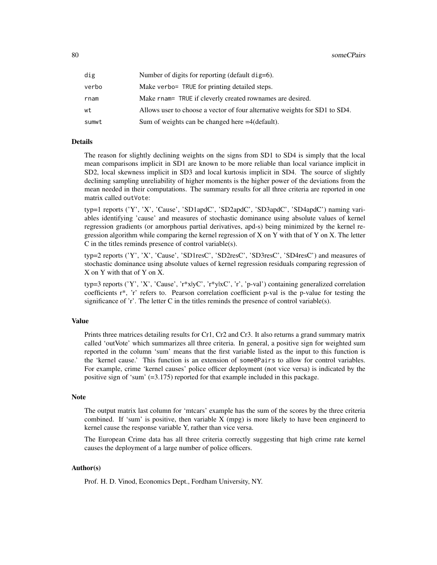| dig   | Number of digits for reporting (default dig=6).                            |
|-------|----------------------------------------------------------------------------|
| verbo | Make verbo= TRUE for printing detailed steps.                              |
| rnam  | Make rnam= TRUE if cleverly created rownames are desired.                  |
| wt    | Allows user to choose a vector of four alternative weights for SD1 to SD4. |
| sumwt | Sum of weights can be changed here $=4$ (default).                         |

# Details

The reason for slightly declining weights on the signs from SD1 to SD4 is simply that the local mean comparisons implicit in SD1 are known to be more reliable than local variance implicit in SD2, local skewness implicit in SD3 and local kurtosis implicit in SD4. The source of slightly declining sampling unreliability of higher moments is the higher power of the deviations from the mean needed in their computations. The summary results for all three criteria are reported in one matrix called outVote:

typ=1 reports ('Y', 'X', 'Cause', 'SD1apdC', 'SD2apdC', 'SD3apdC', 'SD4apdC') naming variables identifying 'cause' and measures of stochastic dominance using absolute values of kernel regression gradients (or amorphous partial derivatives, apd-s) being minimized by the kernel regression algorithm while comparing the kernel regression of X on Y with that of Y on X. The letter C in the titles reminds presence of control variable(s).

typ=2 reports ('Y', 'X', 'Cause', 'SD1resC', 'SD2resC', 'SD3resC', 'SD4resC') and measures of stochastic dominance using absolute values of kernel regression residuals comparing regression of X on Y with that of Y on X.

typ=3 reports ('Y', 'X', 'Cause', 'r\*x|yC', 'r\*y|xC', 'r', 'p-val') containing generalized correlation coefficients r\*, 'r' refers to. Pearson correlation coefficient p-val is the p-value for testing the significance of  $\dot{r}$ . The letter C in the titles reminds the presence of control variable(s).

#### Value

Prints three matrices detailing results for Cr1, Cr2 and Cr3. It also returns a grand summary matrix called 'outVote' which summarizes all three criteria. In general, a positive sign for weighted sum reported in the column 'sum' means that the first variable listed as the input to this function is the 'kernel cause.' This function is an extension of some0Pairs to allow for control variables. For example, crime 'kernel causes' police officer deployment (not vice versa) is indicated by the positive sign of 'sum' (=3.175) reported for that example included in this package.

#### Note

The output matrix last column for 'mtcars' example has the sum of the scores by the three criteria combined. If 'sum' is positive, then variable  $X$  (mpg) is more likely to have been engineerd to kernel cause the response variable Y, rather than vice versa.

The European Crime data has all three criteria correctly suggesting that high crime rate kernel causes the deployment of a large number of police officers.

# Author(s)

Prof. H. D. Vinod, Economics Dept., Fordham University, NY.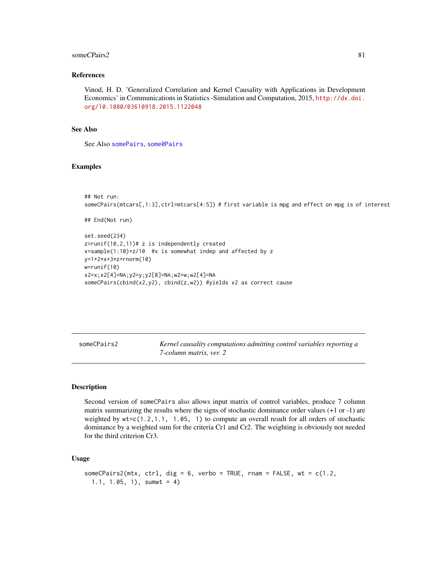#### <span id="page-80-0"></span>someCPairs2 81

#### References

Vinod, H. D. 'Generalized Correlation and Kernel Causality with Applications in Development Economics' in Communications in Statistics -Simulation and Computation, 2015, [http://dx.doi.](http://dx.doi.org/10.1080/03610918.2015.1122048) [org/10.1080/03610918.2015.1122048](http://dx.doi.org/10.1080/03610918.2015.1122048)

#### See Also

See Also [somePairs](#page-84-0), [some0Pairs](#page-76-0)

#### Examples

```
## Not run:
someCPairs(mtcars[,1:3],ctrl=mtcars[4:5]) # first variable is mpg and effect on mpg is of interest
```

```
## End(Not run)
```

```
set.seed(234)
z=runif(10,2,11)# z is independently created
x=sample(1:10)+z/10 #x is somewhat indep and affected by z
y=1+2*x+3*z+rnorm(10)
w=runif(10)
x2=x;x2[4]=NA;y2=y;y2[8]=NA;w2=w;w2[4]=NA
someCPairs(cbind(x2,y2), cbind(z,w2)) #yields x2 as correct cause
```
someCPairs2 *Kernel causality computations admitting control variables reporting a 7-column matrix, ver. 2*

#### **Description**

Second version of someCPairs also allows input matrix of control variables, produce 7 column matrix summarizing the results where the signs of stochastic dominance order values (+1 or -1) are weighted by  $w = c(1.2, 1.1, 1.05, 1)$  to compute an overall result for all orders of stochastic dominance by a weighted sum for the criteria Cr1 and Cr2. The weighting is obviously not needed for the third criterion Cr3.

# Usage

```
someCPairs2(mtx, ctrl, dig = 6, verbo = TRUE, rnam = FALSE, wt = c(1.2,1.1, 1.05, 1), sumwt = 4)
```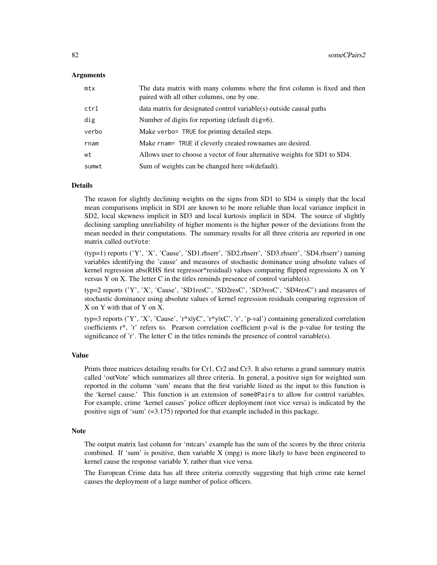#### Arguments

| mtx   | The data matrix with many columns where the first column is fixed and then<br>paired with all other columns, one by one. |
|-------|--------------------------------------------------------------------------------------------------------------------------|
| ctrl  | data matrix for designated control variable(s) outside causal paths                                                      |
| dig   | Number of digits for reporting (default dig=6).                                                                          |
| verbo | Make verbo= TRUE for printing detailed steps.                                                                            |
| rnam  | Make rnam= TRUE if cleverly created rownames are desired.                                                                |
| wt    | Allows user to choose a vector of four alternative weights for SD1 to SD4.                                               |
| sumwt | Sum of weights can be changed here $=4$ (default).                                                                       |

# **Details**

The reason for slightly declining weights on the signs from SD1 to SD4 is simply that the local mean comparisons implicit in SD1 are known to be more reliable than local variance implicit in SD2, local skewness implicit in SD3 and local kurtosis implicit in SD4. The source of slightly declining sampling unreliability of higher moments is the higher power of the deviations from the mean needed in their computations. The summary results for all three criteria are reported in one matrix called outVote:

(typ=1) reports ('Y', 'X', 'Cause', 'SD1.rhserr', 'SD2.rhserr', 'SD3.rhserr', 'SD4.rhserr') naming variables identifying the 'cause' and measures of stochastic dominance using absolute values of kernel regression abs(RHS first regressor\*residual) values comparing flipped regressions X on Y versus Y on X. The letter C in the titles reminds presence of control variable(s).

typ=2 reports ('Y', 'X', 'Cause', 'SD1resC', 'SD2resC', 'SD3resC', 'SD4resC') and measures of stochastic dominance using absolute values of kernel regression residuals comparing regression of X on Y with that of Y on X.

typ=3 reports ('Y', 'X', 'Cause', 'r\*x|yC', 'r\*y|xC', 'r', 'p-val') containing generalized correlation coefficients r\*, 'r' refers to. Pearson correlation coefficient p-val is the p-value for testing the significance of 'r'. The letter C in the titles reminds the presence of control variable(s).

#### Value

Prints three matrices detailing results for Cr1, Cr2 and Cr3. It also returns a grand summary matrix called 'outVote' which summarizes all three criteria. In general, a positive sign for weighted sum reported in the column 'sum' means that the first variable listed as the input to this function is the 'kernel cause.' This function is an extension of some0Pairs to allow for control variables. For example, crime 'kernel causes' police officer deployment (not vice versa) is indicated by the positive sign of 'sum' (=3.175) reported for that example included in this package.

#### Note

The output matrix last column for 'mtcars' example has the sum of the scores by the three criteria combined. If 'sum' is positive, then variable  $X$  (mpg) is more likely to have been engineered to kernel cause the response variable Y, rather than vice versa.

The European Crime data has all three criteria correctly suggesting that high crime rate kernel causes the deployment of a large number of police officers.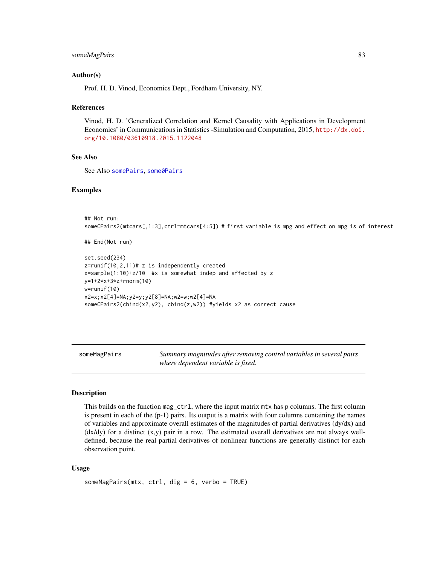## <span id="page-82-0"></span>someMagPairs 83

#### Author(s)

Prof. H. D. Vinod, Economics Dept., Fordham University, NY.

#### References

Vinod, H. D. 'Generalized Correlation and Kernel Causality with Applications in Development Economics' in Communications in Statistics -Simulation and Computation, 2015, [http://dx.doi.](http://dx.doi.org/10.1080/03610918.2015.1122048) [org/10.1080/03610918.2015.1122048](http://dx.doi.org/10.1080/03610918.2015.1122048)

# See Also

See Also [somePairs](#page-84-0), [some0Pairs](#page-76-0)

#### Examples

```
## Not run:
someCPairs2(mtcars[,1:3],ctrl=mtcars[4:5]) # first variable is mpg and effect on mpg is of interest
```

```
## End(Not run)
```

```
set.seed(234)
z = runif(10, 2, 11)# z is independently created
x=sample(1:10)+z/10 #x is somewhat indep and affected by z
y=1+2*x+3*z+rnorm(10)
w=runif(10)
x2=x;x2[4]=NA;y2=y;y2[8]=NA;w2=w;w2[4]=NA
someCPairs2(cbind(x2,y2), cbind(z,w2)) #yields x2 as correct cause
```
someMagPairs *Summary magnitudes after removing control variables in several pairs where dependent variable is fixed.*

#### Description

This builds on the function mag\_ctrl, where the input matrix mtx has p columns. The first column is present in each of the (p-1) pairs. Its output is a matrix with four columns containing the names of variables and approximate overall estimates of the magnitudes of partial derivatives (dy/dx) and (dx/dy) for a distinct (x,y) pair in a row. The estimated overall derivatives are not always welldefined, because the real partial derivatives of nonlinear functions are generally distinct for each observation point.

#### Usage

```
someMagPairs(mtx, ctrl, dig = 6, verbo = TRUE)
```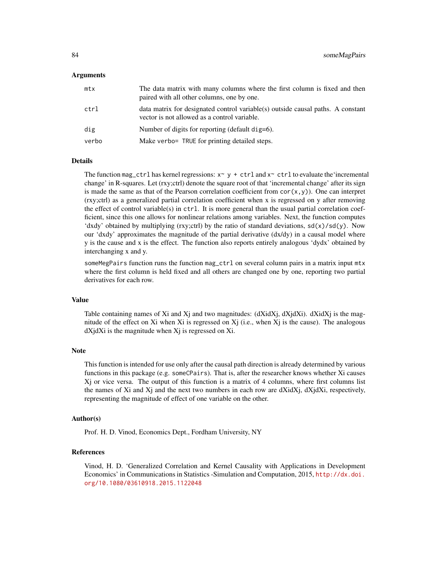#### Arguments

| mtx   | The data matrix with many columns where the first column is fixed and then<br>paired with all other columns, one by one.        |
|-------|---------------------------------------------------------------------------------------------------------------------------------|
| ctrl  | data matrix for designated control variable(s) outside causal paths. A constant<br>vector is not allowed as a control variable. |
| dig   | Number of digits for reporting (default dig=6).                                                                                 |
| verbo | Make verbo= TRUE for printing detailed steps.                                                                                   |
|       |                                                                                                                                 |

# Details

The function mag\_ctrl has kernel regressions:  $x \sim y + \text{ctrl}$  and  $x \sim \text{ctrl}$  to evaluate the 'incremental change' in R-squares. Let (rxy;ctrl) denote the square root of that 'incremental change' after its sign is made the same as that of the Pearson correlation coefficient from  $\text{cor}(x, y)$ ). One can interpret (rxy;ctrl) as a generalized partial correlation coefficient when x is regressed on y after removing the effect of control variable(s) in  $ctrl$ . It is more general than the usual partial correlation coefficient, since this one allows for nonlinear relations among variables. Next, the function computes 'dxdy' obtained by multiplying (rxy;ctrl) by the ratio of standard deviations,  $sd(x)/sd(y)$ . Now our 'dxdy' approximates the magnitude of the partial derivative  $\left(\frac{dx}{dy}\right)$  in a causal model where y is the cause and x is the effect. The function also reports entirely analogous 'dydx' obtained by interchanging x and y.

someMegPairs function runs the function mag\_ctrl on several column pairs in a matrix input mtx where the first column is held fixed and all others are changed one by one, reporting two partial derivatives for each row.

# Value

Table containing names of Xi and Xj and two magnitudes: (dXidXj, dXjdXj). dXidXj is the magnitude of the effect on Xi when Xi is regressed on  $X_i$  (i.e., when  $X_i$  is the cause). The analogous  $dX$ j $dX$ i is the magnitude when  $X$ j is regressed on  $X$ i.

#### **Note**

This function is intended for use only after the causal path direction is already determined by various functions in this package (e.g. someCPairs). That is, after the researcher knows whether Xi causes  $X<sub>j</sub>$  or vice versa. The output of this function is a matrix of 4 columns, where first columns list the names of Xi and X<sub>j</sub> and the next two numbers in each row are  $dXidX$ <sub>i</sub>,  $dXidX$ <sub>i</sub>, respectively, representing the magnitude of effect of one variable on the other.

#### Author(s)

Prof. H. D. Vinod, Economics Dept., Fordham University, NY

#### References

Vinod, H. D. 'Generalized Correlation and Kernel Causality with Applications in Development Economics' in Communications in Statistics -Simulation and Computation, 2015, [http://dx.doi.](http://dx.doi.org/10.1080/03610918.2015.1122048) [org/10.1080/03610918.2015.1122048](http://dx.doi.org/10.1080/03610918.2015.1122048)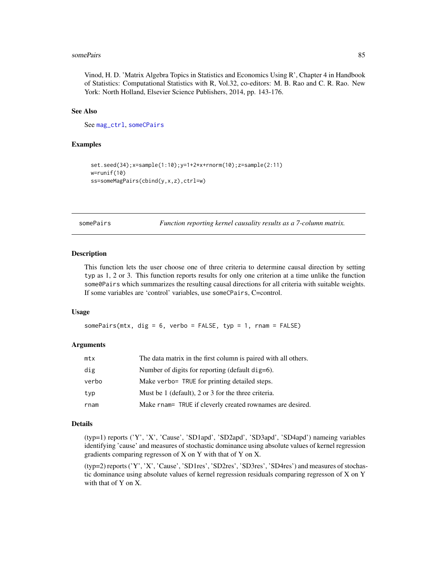#### <span id="page-84-1"></span>somePairs 85

Vinod, H. D. 'Matrix Algebra Topics in Statistics and Economics Using R', Chapter 4 in Handbook of Statistics: Computational Statistics with R, Vol.32, co-editors: M. B. Rao and C. R. Rao. New York: North Holland, Elsevier Science Publishers, 2014, pp. 143-176.

#### See Also

See [mag\\_ctrl](#page-42-0), [someCPairs](#page-78-0)

# Examples

```
set.seed(34);x=sample(1:10);y=1+2*x+rnorm(10);z=sample(2:11)
w=runif(10)
ss=someMagPairs(cbind(y,x,z),ctrl=w)
```
<span id="page-84-0"></span>somePairs *Function reporting kernel causality results as a 7-column matrix.*

#### Description

This function lets the user choose one of three criteria to determine causal direction by setting typ as 1, 2 or 3. This function reports results for only one criterion at a time unlike the function some  $\theta$  Pairs which summarizes the resulting causal directions for all criteria with suitable weights. If some variables are 'control' variables, use someCPairs, C=control.

#### Usage

somePairs(mtx, dig =  $6$ , verbo = FALSE, typ =  $1$ , rnam = FALSE)

# Arguments

| mtx   | The data matrix in the first column is paired with all others. |
|-------|----------------------------------------------------------------|
| dig   | Number of digits for reporting (default dig=6).                |
| verbo | Make verbo= TRUE for printing detailed steps.                  |
| typ   | Must be 1 (default), 2 or 3 for the three criteria.            |
| rnam  | Make rnam= TRUE if cleverly created rownames are desired.      |

# Details

(typ=1) reports ('Y', 'X', 'Cause', 'SD1apd', 'SD2apd', 'SD3apd', 'SD4apd') nameing variables identifying 'cause' and measures of stochastic dominance using absolute values of kernel regression gradients comparing regresson of X on Y with that of Y on X.

(typ=2) reports ('Y', 'X', 'Cause', 'SD1res', 'SD2res', 'SD3res', 'SD4res') and measures of stochastic dominance using absolute values of kernel regression residuals comparing regresson of X on Y with that of Y on X.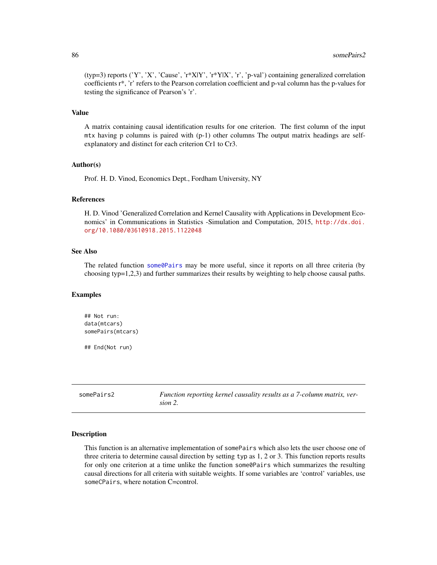(typ=3) reports ('Y', 'X', 'Cause', 'r\*X|Y', 'r\*Y|X', 'r', 'p-val') containing generalized correlation coefficients r\*, 'r' refers to the Pearson correlation coefficient and p-val column has the p-values for testing the significance of Pearson's 'r'.

#### Value

A matrix containing causal identification results for one criterion. The first column of the input mtx having p columns is paired with (p-1) other columns The output matrix headings are selfexplanatory and distinct for each criterion Cr1 to Cr3.

#### Author(s)

Prof. H. D. Vinod, Economics Dept., Fordham University, NY

#### References

H. D. Vinod 'Generalized Correlation and Kernel Causality with Applications in Development Economics' in Communications in Statistics -Simulation and Computation, 2015, [http://dx.doi.](http://dx.doi.org/10.1080/03610918.2015.1122048) [org/10.1080/03610918.2015.1122048](http://dx.doi.org/10.1080/03610918.2015.1122048)

# See Also

The related function some  $\Theta$ Pairs may be more useful, since it reports on all three criteria (by choosing typ=1,2,3) and further summarizes their results by weighting to help choose causal paths.

#### Examples

```
## Not run:
data(mtcars)
somePairs(mtcars)
```
## End(Not run)

<span id="page-85-0"></span>somePairs2 *Function reporting kernel causality results as a 7-column matrix, version 2.*

#### Description

This function is an alternative implementation of somePairs which also lets the user choose one of three criteria to determine causal direction by setting typ as 1, 2 or 3. This function reports results for only one criterion at a time unlike the function some0Pairs which summarizes the resulting causal directions for all criteria with suitable weights. If some variables are 'control' variables, use someCPairs, where notation C=control.

<span id="page-85-1"></span>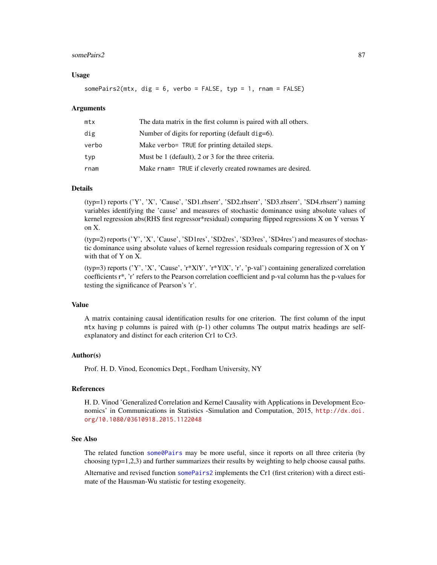#### <span id="page-86-0"></span>somePairs2 87

# Usage

somePairs2(mtx, dig = 6, verbo = FALSE, typ = 1, rnam = FALSE)

#### Arguments

| mtx   | The data matrix in the first column is paired with all others. |
|-------|----------------------------------------------------------------|
| dig   | Number of digits for reporting (default dig=6).                |
| verbo | Make verbo= TRUE for printing detailed steps.                  |
| typ   | Must be 1 (default), 2 or 3 for the three criteria.            |
| rnam  | Make rnam= TRUE if cleverly created rownames are desired.      |

# Details

(typ=1) reports ('Y', 'X', 'Cause', 'SD1.rhserr', 'SD2.rhserr', 'SD3.rhserr', 'SD4.rhserr') naming variables identifying the 'cause' and measures of stochastic dominance using absolute values of kernel regression abs(RHS first regressor\*residual) comparing flipped regressions X on Y versus Y on X.

(typ=2) reports ('Y', 'X', 'Cause', 'SD1res', 'SD2res', 'SD3res', 'SD4res') and measures of stochastic dominance using absolute values of kernel regression residuals comparing regression of X on Y with that of Y on X.

(typ=3) reports ('Y', 'X', 'Cause', 'r\*X|Y', 'r\*Y|X', 'r', 'p-val') containing generalized correlation coefficients r\*, 'r' refers to the Pearson correlation coefficient and p-val column has the p-values for testing the significance of Pearson's 'r'.

#### Value

A matrix containing causal identification results for one criterion. The first column of the input  $mtx$  having p columns is paired with  $(p-1)$  other columns The output matrix headings are selfexplanatory and distinct for each criterion Cr1 to Cr3.

#### Author(s)

Prof. H. D. Vinod, Economics Dept., Fordham University, NY

#### References

H. D. Vinod 'Generalized Correlation and Kernel Causality with Applications in Development Economics' in Communications in Statistics -Simulation and Computation, 2015, [http://dx.doi.](http://dx.doi.org/10.1080/03610918.2015.1122048) [org/10.1080/03610918.2015.1122048](http://dx.doi.org/10.1080/03610918.2015.1122048)

# See Also

The related function [some0Pairs](#page-76-0) may be more useful, since it reports on all three criteria (by choosing typ=1,2,3) and further summarizes their results by weighting to help choose causal paths.

Alternative and revised function [somePairs2](#page-85-0) implements the Cr1 (first criterion) with a direct estimate of the Hausman-Wu statistic for testing exogeneity.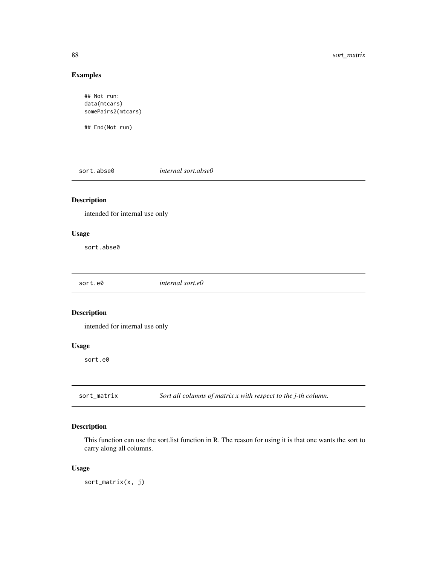# Examples

```
## Not run:
data(mtcars)
somePairs2(mtcars)
```
## End(Not run)

sort.abse0 *internal sort.abse0*

# Description

intended for internal use only

# Usage

sort.abse0

| sort.e0 | internal sort.e0 |
|---------|------------------|
|         |                  |

# Description

intended for internal use only

# Usage

sort.e0

sort\_matrix *Sort all columns of matrix x with respect to the j-th column.*

# Description

This function can use the sort.list function in R. The reason for using it is that one wants the sort to carry along all columns.

# Usage

sort\_matrix(x, j)

<span id="page-87-0"></span>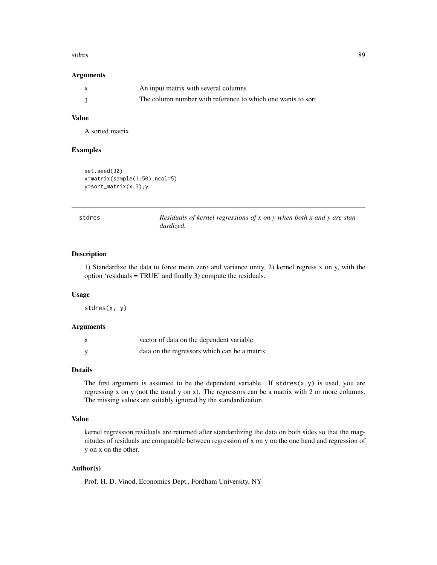#### <span id="page-88-0"></span>stdres 89

#### Arguments

| $\mathsf{x}$ | An input matrix with several columns                        |
|--------------|-------------------------------------------------------------|
|              | The column number with reference to which one wants to sort |

# Value

A sorted matrix

#### Examples

```
set.seed(30)
x=matrix(sample(1:50),ncol=5)
y=sort_matrix(x,3);y
```

| stdres | Residuals of kernel regressions of $x$ on $y$ when both $x$ and $y$ are stan- |
|--------|-------------------------------------------------------------------------------|
|        | dardized.                                                                     |

#### Description

1) Standardize the data to force mean zero and variance unity, 2) kernel regress x on y, with the option 'residuals = TRUE' and finally 3) compute the residuals.

# Usage

stdres(x, y)

#### Arguments

| vector of data on the dependent variable     |
|----------------------------------------------|
| data on the regressors which can be a matrix |

# Details

The first argument is assumed to be the dependent variable. If  $stdres(x, y)$  is used, you are regressing x on y (not the usual y on x). The regressors can be a matrix with 2 or more columns. The missing values are suitably ignored by the standardization.

#### Value

kernel regression residuals are returned after standardizing the data on both sides so that the magnitudes of residuals are comparable between regression of x on y on the one hand and regression of y on x on the other.

# Author(s)

Prof. H. D. Vinod, Economics Dept., Fordham University, NY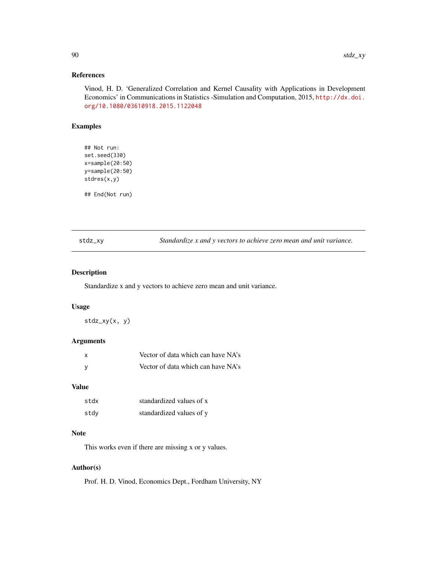# <span id="page-89-0"></span>References

Vinod, H. D. 'Generalized Correlation and Kernel Causality with Applications in Development Economics' in Communications in Statistics -Simulation and Computation, 2015, [http://dx.doi.](http://dx.doi.org/10.1080/03610918.2015.1122048) [org/10.1080/03610918.2015.1122048](http://dx.doi.org/10.1080/03610918.2015.1122048)

# Examples

## Not run: set.seed(330) x=sample(20:50) y=sample(20:50) stdres(x,y)

## End(Not run)

stdz\_xy *Standardize x and y vectors to achieve zero mean and unit variance.*

# Description

Standardize x and y vectors to achieve zero mean and unit variance.

### Usage

stdz\_xy(x, y)

# Arguments

| x   | Vector of data which can have NA's |
|-----|------------------------------------|
| - V | Vector of data which can have NA's |

# Value

| stdx | standardized values of x |
|------|--------------------------|
| stdy | standardized values of y |

#### Note

This works even if there are missing x or y values.

# Author(s)

Prof. H. D. Vinod, Economics Dept., Fordham University, NY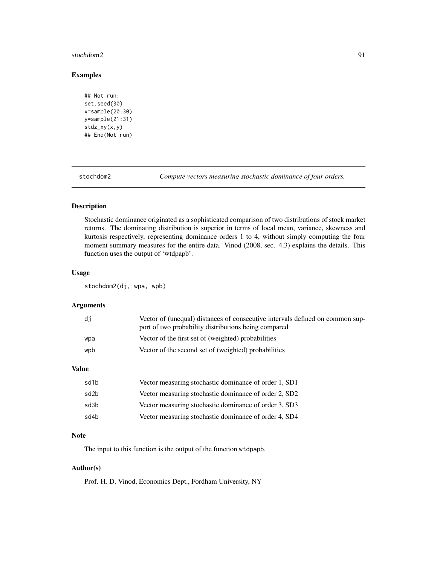#### <span id="page-90-1"></span>stochdom2 91

# Examples

```
## Not run:
set.seed(30)
x=sample(20:30)
y=sample(21:31)
stdz_xy(x,y)
## End(Not run)
```
<span id="page-90-0"></span>stochdom2 *Compute vectors measuring stochastic dominance of four orders.*

# Description

Stochastic dominance originated as a sophisticated comparison of two distributions of stock market returns. The dominating distribution is superior in terms of local mean, variance, skewness and kurtosis respectively, representing dominance orders 1 to 4, without simply computing the four moment summary measures for the entire data. Vinod (2008, sec. 4.3) explains the details. This function uses the output of 'wtdpapb'.

#### Usage

stochdom2(dj, wpa, wpb)

# Arguments

| di  | Vector of (unequal) distances of consecutive intervals defined on common sup-<br>port of two probability distributions being compared |
|-----|---------------------------------------------------------------------------------------------------------------------------------------|
| wpa | Vector of the first set of (weighted) probabilities                                                                                   |
| wpb | Vector of the second set of (weighted) probabilities                                                                                  |

# Value

| sd1b | Vector measuring stochastic dominance of order 1, SD1 |
|------|-------------------------------------------------------|
| sd2b | Vector measuring stochastic dominance of order 2, SD2 |
| sd3b | Vector measuring stochastic dominance of order 3, SD3 |
| sd4b | Vector measuring stochastic dominance of order 4, SD4 |

# Note

The input to this function is the output of the function wtdpapb.

# Author(s)

Prof. H. D. Vinod, Economics Dept., Fordham University, NY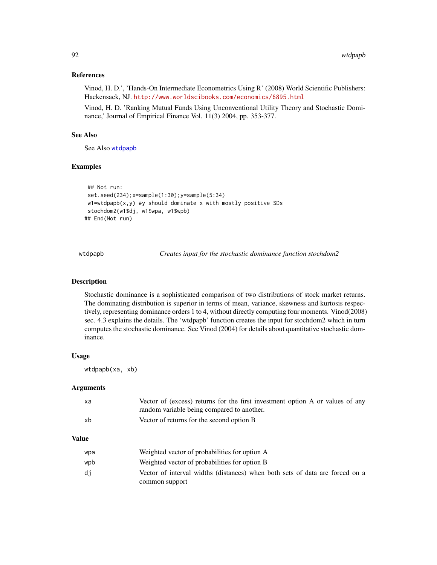# <span id="page-91-1"></span>References

Vinod, H. D.', 'Hands-On Intermediate Econometrics Using R' (2008) World Scientific Publishers: Hackensack, NJ. <http://www.worldscibooks.com/economics/6895.html>

Vinod, H. D. 'Ranking Mutual Funds Using Unconventional Utility Theory and Stochastic Dominance,' Journal of Empirical Finance Vol. 11(3) 2004, pp. 353-377.

# See Also

See Also [wtdpapb](#page-91-0)

# Examples

```
## Not run:
set.seed(234);x=sample(1:30);y=sample(5:34)
w1 = wtdpapb(x,y) #y should dominate x with mostly positive SDs
stochdom2(w1$dj, w1$wpa, w1$wpb)
## End(Not run)
```
<span id="page-91-0"></span>wtdpapb *Creates input for the stochastic dominance function stochdom2*

#### Description

Stochastic dominance is a sophisticated comparison of two distributions of stock market returns. The dominating distribution is superior in terms of mean, variance, skewness and kurtosis respectively, representing dominance orders 1 to 4, without directly computing four moments. Vinod(2008) sec. 4.3 explains the details. The 'wtdpapb' function creates the input for stochdom2 which in turn computes the stochastic dominance. See Vinod (2004) for details about quantitative stochastic dominance.

# Usage

wtdpapb(xa, xb)

#### Arguments

| xa | Vector of (excess) returns for the first investment option A or values of any |
|----|-------------------------------------------------------------------------------|
|    | random variable being compared to another.                                    |
| xb | Vector of returns for the second option B                                     |

#### Value

| wpa | Weighted vector of probabilities for option A                                |
|-----|------------------------------------------------------------------------------|
| wpb | Weighted vector of probabilities for option B                                |
| di  | Vector of interval widths (distances) when both sets of data are forced on a |
|     | common support                                                               |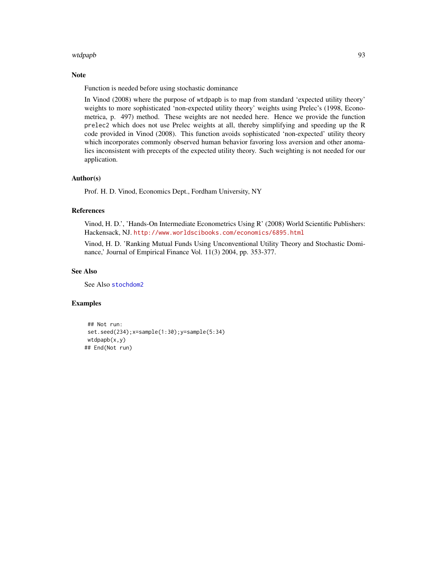#### <span id="page-92-0"></span>wtdpapb 93

# Note

Function is needed before using stochastic dominance

In Vinod (2008) where the purpose of wtdpapb is to map from standard 'expected utility theory' weights to more sophisticated 'non-expected utility theory' weights using Prelec's (1998, Econometrica, p. 497) method. These weights are not needed here. Hence we provide the function prelec2 which does not use Prelec weights at all, thereby simplifying and speeding up the R code provided in Vinod (2008). This function avoids sophisticated 'non-expected' utility theory which incorporates commonly observed human behavior favoring loss aversion and other anomalies inconsistent with precepts of the expected utility theory. Such weighting is not needed for our application.

#### Author(s)

Prof. H. D. Vinod, Economics Dept., Fordham University, NY

#### References

Vinod, H. D.', 'Hands-On Intermediate Econometrics Using R' (2008) World Scientific Publishers: Hackensack, NJ. <http://www.worldscibooks.com/economics/6895.html>

Vinod, H. D. 'Ranking Mutual Funds Using Unconventional Utility Theory and Stochastic Dominance,' Journal of Empirical Finance Vol. 11(3) 2004, pp. 353-377.

#### See Also

See Also [stochdom2](#page-90-0)

#### Examples

```
## Not run:
set.seed(234);x=sample(1:30);y=sample(5:34)
wtdpapb(x,y)## End(Not run)
```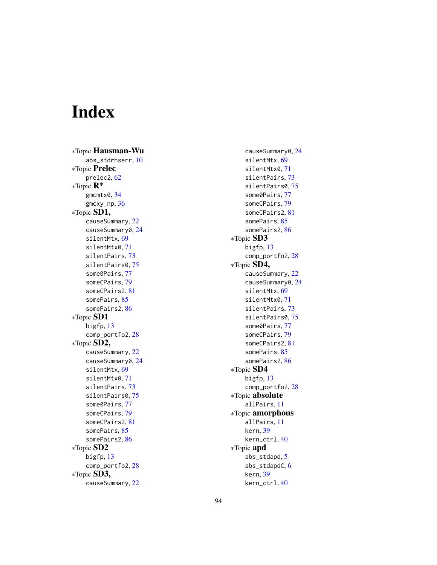# Index

∗Topic Hausman-Wu abs\_stdrhserr , [10](#page-9-0) ∗Topic Prelec prelec2 , [62](#page-61-0) ∗Topic R\* gmcmtx0 , [34](#page-33-0) gmcxy\_np , [36](#page-35-0) ∗Topic SD1, causeSummary , [22](#page-21-0) causeSummary0 , [24](#page-23-0) silentMtx , [69](#page-68-1) silentMtx0 , [71](#page-70-0) silentPairs, [73](#page-72-1) silentPairs0 , [75](#page-74-1) some0Pairs , [77](#page-76-1) someCPairs , [79](#page-78-1) someCPairs2 , [81](#page-80-0) somePairs , [85](#page-84-1) somePairs2 , [86](#page-85-1) ∗Topic SD1 bigfp , [13](#page-12-0) comp\_portfo2 , [28](#page-27-0) ∗Topic SD2, causeSummary, [22](#page-21-0) causeSummary0 , [24](#page-23-0) silentMtx , [69](#page-68-1) silentMtx0 , [71](#page-70-0) silentPairs , [73](#page-72-1) silentPairs0,[75](#page-74-1) some0Pairs , [77](#page-76-1) someCPairs , [79](#page-78-1) someCPairs2 , [81](#page-80-0) somePairs , [85](#page-84-1) somePairs2 , [86](#page-85-1) ∗Topic SD2 bigfp , [13](#page-12-0) comp\_portfo2 , [28](#page-27-0) ∗Topic SD3, causeSummary , [22](#page-21-0)

causeSummary0 , [24](#page-23-0) silentMtx , [69](#page-68-1) silentMtx0 , [71](#page-70-0) silentPairs , [73](#page-72-1) silentPairs0,[75](#page-74-1) some0Pairs , [77](#page-76-1) someCPairs , [79](#page-78-1) someCPairs2 , [81](#page-80-0) somePairs , [85](#page-84-1) somePairs2 , [86](#page-85-1) ∗Topic SD3 bigfp , [13](#page-12-0) comp\_portfo2 , [28](#page-27-0) ∗Topic SD4, causeSummary , [22](#page-21-0) causeSummary0, [24](#page-23-0) silentMtx , [69](#page-68-1) silentMtx0 , [71](#page-70-0) silentPairs, [73](#page-72-1) silentPairs0 , [75](#page-74-1) some0Pairs, [77](#page-76-1) someCPairs , [79](#page-78-1) someCPairs2 , [81](#page-80-0) somePairs, [85](#page-84-1) somePairs2 , [86](#page-85-1) ∗Topic SD4 bigfp , [13](#page-12-0) comp\_portfo2 , [28](#page-27-0) ∗Topic absolute allPairs , [11](#page-10-0) ∗Topic amorphous allPairs , [11](#page-10-0) kern , [39](#page-38-0) kern\_ctrl , [40](#page-39-0) ∗Topic apd abs\_stdapd , [5](#page-4-0) abs\_stdapdC, [6](#page-5-0) kern , [39](#page-38-0) kern\_ctrl , [40](#page-39-0)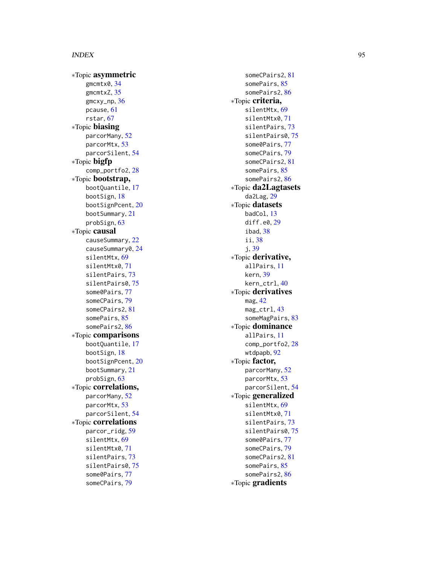∗Topic asymmetric gmcmtx0 , [34](#page-33-0) gmcmtxZ , [35](#page-34-0) gmcxy\_np , [36](#page-35-0) pcause , [61](#page-60-0) rstar , [67](#page-66-0) ∗Topic biasing parcorMany , [52](#page-51-0) parcorMtx , [53](#page-52-0) parcorSilent , [54](#page-53-0) ∗Topic bigfp comp\_portfo2 , [28](#page-27-0) ∗Topic bootstrap, bootQuantile , [17](#page-16-0) bootSign , [18](#page-17-0) bootSignPcent, [20](#page-19-0) bootSummary , [21](#page-20-0) probSign , [63](#page-62-0) ∗Topic causal causeSummary , [22](#page-21-0) causeSummary0 , [24](#page-23-0) silentMtx , [69](#page-68-1) silentMtx0 , [71](#page-70-0) silentPairs , [73](#page-72-1) silentPairs0,[75](#page-74-1) some0Pairs , [77](#page-76-1) someCPairs , [79](#page-78-1) someCPairs2 , [81](#page-80-0) somePairs , [85](#page-84-1) somePairs2 , [86](#page-85-1) ∗Topic comparisons bootQuantile , [17](#page-16-0) bootSign , [18](#page-17-0) bootSignPcent, [20](#page-19-0) bootSummary , [21](#page-20-0) probSign , [63](#page-62-0) ∗Topic correlations, parcorMany , [52](#page-51-0) parcorMtx , [53](#page-52-0) parcorSilent , [54](#page-53-0) ∗Topic correlations parcor\_ridg , [59](#page-58-0) silentMtx , [69](#page-68-1) silentMtx0 , [71](#page-70-0) silentPairs, [73](#page-72-1) silentPairs0 , [75](#page-74-1) some0Pairs , [77](#page-76-1) someCPairs , [79](#page-78-1)

someCPairs2 , [81](#page-80-0) somePairs , [85](#page-84-1) somePairs2, [86](#page-85-1) ∗Topic criteria, silentMtx , [69](#page-68-1) silentMtx0 , [71](#page-70-0) silentPairs, [73](#page-72-1) silentPairs0 , [75](#page-74-1) some0Pairs , [77](#page-76-1) someCPairs , [79](#page-78-1) someCPairs2 , [81](#page-80-0) somePairs, [85](#page-84-1) somePairs2 , [86](#page-85-1) ∗Topic da2Lagtasets da2Lag , [29](#page-28-0) ∗Topic datasets badCol , [13](#page-12-0) diff.e0 , [29](#page-28-0) ibad , [38](#page-37-0) ii , [38](#page-37-0) j , [39](#page-38-0) ∗Topic derivative, allPairs , [11](#page-10-0) kern , [39](#page-38-0) kern\_ctrl , [40](#page-39-0) ∗Topic derivatives mag , [42](#page-41-0) mag\_ctrl , [43](#page-42-1) someMagPairs, [83](#page-82-0) ∗Topic dominance allPairs , [11](#page-10-0) comp\_portfo2 , [28](#page-27-0) wtdpapb , [92](#page-91-1) ∗Topic factor, parcorMany , [52](#page-51-0) parcorMtx , [53](#page-52-0) parcorSilent , [54](#page-53-0) ∗Topic generalized silentMtx , [69](#page-68-1) silentMtx0 , [71](#page-70-0) silentPairs , [73](#page-72-1) silentPairs0 , [75](#page-74-1) some0Pairs, [77](#page-76-1) someCPairs , [79](#page-78-1) someCPairs2 , [81](#page-80-0) somePairs , [85](#page-84-1) somePairs2, [86](#page-85-1) ∗Topic gradients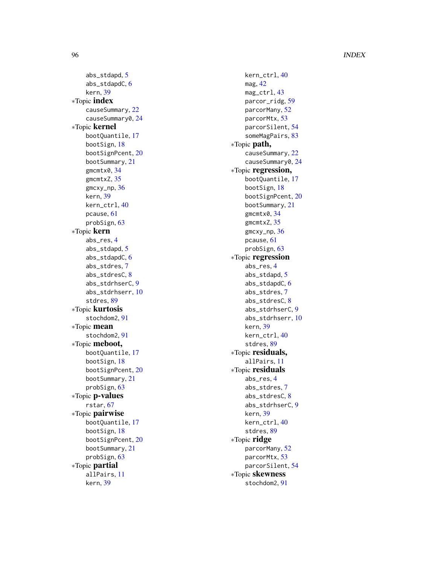abs\_stdapd , [5](#page-4-0) abs\_stdapdC, [6](#page-5-0) kern , [39](#page-38-0) ∗Topic index causeSummary, [22](#page-21-0) causeSummary0 , [24](#page-23-0) ∗Topic kernel bootQuantile , [17](#page-16-0) bootSign , [18](#page-17-0) bootSignPcent , [20](#page-19-0) bootSummary , [21](#page-20-0) gmcmtx0 , [34](#page-33-0) gmcmtxZ , [35](#page-34-0) gmcxy\_np , [36](#page-35-0) kern , [39](#page-38-0) kern\_ctrl , [40](#page-39-0) pcause , [61](#page-60-0) probSign , [63](#page-62-0) ∗Topic kern abs\_res , [4](#page-3-0) abs\_stdapd , [5](#page-4-0) abs\_stdapdC, [6](#page-5-0) abs\_stdres , [7](#page-6-0) abs\_stdresC , [8](#page-7-0) abs\_stdrhserC , [9](#page-8-0) abs\_stdrhserr , [10](#page-9-0) stdres, [89](#page-88-0) ∗Topic kurtosis stochdom2 , [91](#page-90-1) ∗Topic mean stochdom2 , [91](#page-90-1) ∗Topic meboot, bootQuantile , [17](#page-16-0) bootSign , [18](#page-17-0) bootSignPcent , [20](#page-19-0) bootSummary , [21](#page-20-0) probSign , [63](#page-62-0) ∗Topic p-values rstar , [67](#page-66-0) ∗Topic pairwise bootQuantile , [17](#page-16-0) bootSign , [18](#page-17-0) bootSignPcent, [20](#page-19-0) bootSummary , [21](#page-20-0) probSign , [63](#page-62-0) ∗Topic partial allPairs , [11](#page-10-0) kern , [39](#page-38-0)

kern\_ctrl , [40](#page-39-0) mag , [42](#page-41-0) mag\_ctrl , [43](#page-42-1) parcor\_ridg , [59](#page-58-0) parcorMany , [52](#page-51-0) parcorMtx , [53](#page-52-0) parcorSilent , [54](#page-53-0) someMagPairs, [83](#page-82-0) ∗Topic path, causeSummary , [22](#page-21-0) causeSummary0 , [24](#page-23-0) ∗Topic regression, bootQuantile , [17](#page-16-0) bootSign , [18](#page-17-0) bootSignPcent , [20](#page-19-0) bootSummary , [21](#page-20-0) gmcmtx0 , [34](#page-33-0) gmcmtxZ, [35](#page-34-0) gmcxy\_np , [36](#page-35-0) pcause , [61](#page-60-0) probSign , [63](#page-62-0) ∗Topic regression abs\_res , [4](#page-3-0) abs\_stdapd , [5](#page-4-0) abs\_stdapdC, [6](#page-5-0) abs\_stdres , [7](#page-6-0) abs\_stdresC, [8](#page-7-0) abs\_stdrhserC , [9](#page-8-0) abs\_stdrhserr , [10](#page-9-0) kern , [39](#page-38-0) kern\_ctrl , [40](#page-39-0) stdres, [89](#page-88-0) ∗Topic residuals, allPairs , [11](#page-10-0) ∗Topic residuals abs\_res , [4](#page-3-0) abs\_stdres , [7](#page-6-0) abs\_stdresC, [8](#page-7-0) abs\_stdrhserC , [9](#page-8-0) kern , [39](#page-38-0) kern\_ctrl , [40](#page-39-0) stdres, [89](#page-88-0) ∗Topic ridge parcorMany , [52](#page-51-0) parcorMtx , [53](#page-52-0) parcorSilent , [54](#page-53-0) ∗Topic skewness stochdom2 , [91](#page-90-1)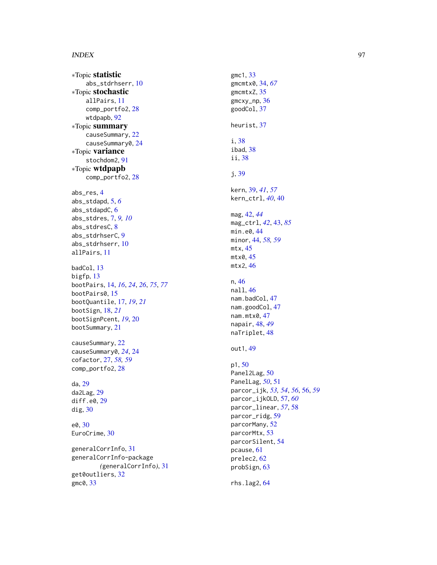∗Topic statistic abs\_stdrhserr , [10](#page-9-0) ∗Topic stochastic allPairs , [11](#page-10-0) comp\_portfo2 , [28](#page-27-0) wtdpapb , [92](#page-91-1) ∗Topic summary causeSummary , [22](#page-21-0) causeSummary0, [24](#page-23-0) ∗Topic variance stochdom2 , [91](#page-90-1) ∗Topic wtdpapb comp\_portfo2 , [28](#page-27-0) abs\_res , [4](#page-3-0) abs\_stdapd , [5](#page-4-0) , *[6](#page-5-0)* abs\_stdapdC, [6](#page-5-0) abs\_stdres , [7](#page-6-0) , *[9](#page-8-0) , [10](#page-9-0)* abs\_stdresC, [8](#page-7-0) abs\_stdrhserC , [9](#page-8-0) abs\_stdrhserr , [10](#page-9-0) allPairs , [11](#page-10-0) badCol , [13](#page-12-0) bigfp , [13](#page-12-0) bootPairs , [14](#page-13-1) , *[16](#page-15-0)* , *[24](#page-23-0)* , *[26](#page-25-0)* , *[75](#page-74-1)* , *[77](#page-76-1)* bootPairs0 , [15](#page-14-0) bootQuantile , [17](#page-16-0) , *[19](#page-18-0)* , *[21](#page-20-0)* bootSign , [18](#page-17-0) , *[21](#page-20-0)* bootSignPcent , *[19](#page-18-0)* , [20](#page-19-0) bootSummary , [21](#page-20-0) causeSummary, [22](#page-21-0) causeSummary0 , *[24](#page-23-0)* , [24](#page-23-0) cofactor , [27](#page-26-0) , *[58](#page-57-0) , [59](#page-58-0)* comp\_portfo2 , [28](#page-27-0) da , [29](#page-28-0) da2Lag , [29](#page-28-0) diff.e0 , [29](#page-28-0) dig , [30](#page-29-0) e0 , [30](#page-29-0) EuroCrime, [30](#page-29-0) generalCorrInfo , [31](#page-30-0) generalCorrInfo-package *(*generalCorrInfo *)* , [31](#page-30-0) get0outliers , [32](#page-31-0) gmc0 , [33](#page-32-0)

gmc1 , [33](#page-32-0) gmcmtx0 , [34](#page-33-0) , *[67](#page-66-0)* gmcmtxZ, [35](#page-34-0) gmcxy\_np , [36](#page-35-0) goodCol , [37](#page-36-0) heurist , [37](#page-36-0) i , [38](#page-37-0) ibad , [38](#page-37-0) ii , [38](#page-37-0) j , [39](#page-38-0) kern , [39](#page-38-0) , *[41](#page-40-0)* , *[57](#page-56-0)* kern\_ctrl , *[40](#page-39-0)* , [40](#page-39-0) mag , [42](#page-41-0) , *[44](#page-43-0)* mag\_ctrl , *[42](#page-41-0)* , [43](#page-42-1) , *[85](#page-84-1)* min.e0,[44](#page-43-0) minor , [44](#page-43-0) , *[58](#page-57-0) , [59](#page-58-0)* mtx , [45](#page-44-0) mtx0 , [45](#page-44-0) mtx2 , [46](#page-45-0) n , [46](#page-45-0) nall , [46](#page-45-0) nam.badCol, [47](#page-46-0) nam.goodCol, [47](#page-46-0) nam.mtx0,[47](#page-46-0) napair , [48](#page-47-0) , *[49](#page-48-0)* naTriplet, [48](#page-47-0) out1 , [49](#page-48-0) p1 , [50](#page-49-0) Panel2Lag, [50](#page-49-0) PanelLag , *[50](#page-49-0)* , [51](#page-50-0) parcor\_ijk , *[53](#page-52-0) , [54](#page-53-0)* , *[56](#page-55-0)* , [56](#page-55-0) , *[59](#page-58-0)* parcor\_ijkOLD , [57](#page-56-0) , *[60](#page-59-0)* parcor\_linear , *[57](#page-56-0)* , [58](#page-57-0) parcor\_ridg , [59](#page-58-0) parcorMany , [52](#page-51-0) parcorMtx , [53](#page-52-0) parcorSilent , [54](#page-53-0) pcause , [61](#page-60-0) prelec2 , [62](#page-61-0) probSign , [63](#page-62-0)

rhs.lag2 , [64](#page-63-0)